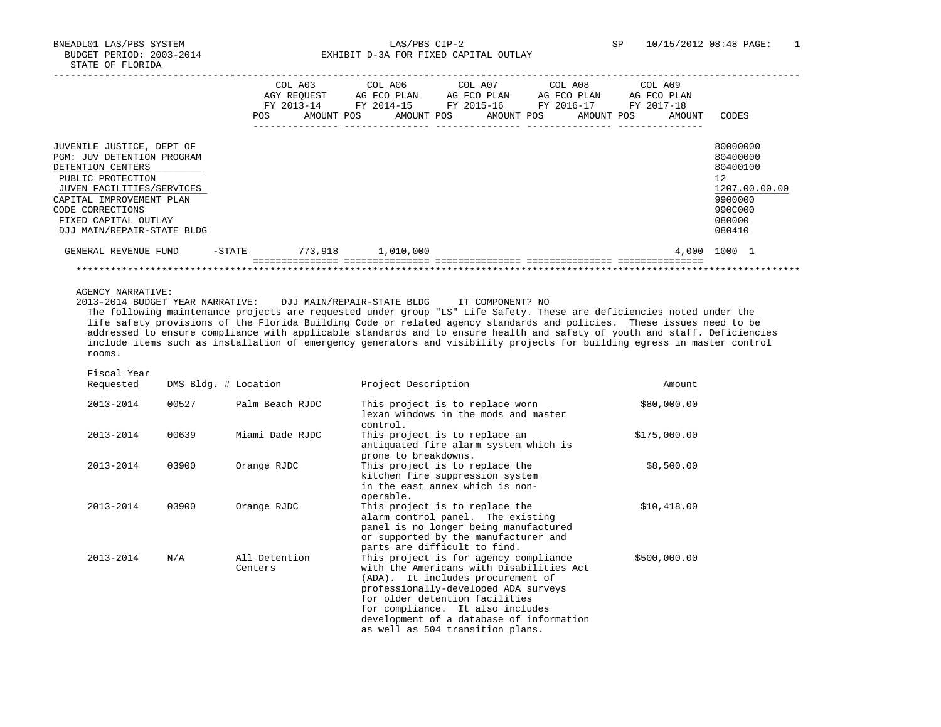BNEADL01 LAS/PBS SYSTEM LAS/PBS CIP-2 SP 10/15/2012 08:48 PAGE: 1 BUDGET PERIOD: 2003-2014 **EXHIBIT D-3A FOR FIXED CAPITAL OUTLAY** 

|                                                                                                                                                                                                                                             | POS    | COL A03<br>AGY REOUEST<br>AMOUNT POS | AG FCO PLAN | COL A06 COL A07 |  | AG FCO PLAN | COL A08<br>AG FCO PLAN<br>FY 2013-14 FY 2014-15 FY 2015-16 FY 2016-17<br>AMOUNT POS AMOUNT POS AMOUNT POS | COL A09<br>AG FCO PLAN<br>FY 2017-18<br>AMOUNT | CODES                                                                                                          |
|---------------------------------------------------------------------------------------------------------------------------------------------------------------------------------------------------------------------------------------------|--------|--------------------------------------|-------------|-----------------|--|-------------|-----------------------------------------------------------------------------------------------------------|------------------------------------------------|----------------------------------------------------------------------------------------------------------------|
| JUVENILE JUSTICE, DEPT OF<br><b>PGM: JUV DETENTION PROGRAM</b><br>DETENTION CENTERS<br>PUBLIC PROTECTION<br>JUVEN FACILITIES/SERVICES<br>CAPITAL IMPROVEMENT PLAN<br>CODE CORRECTIONS<br>FIXED CAPITAL OUTLAY<br>DJJ MAIN/REPAIR-STATE BLDG |        |                                      |             |                 |  |             |                                                                                                           |                                                | 80000000<br>80400000<br>80400100<br>12 <sup>°</sup><br>1207.00.00.00<br>9900000<br>990C000<br>080000<br>080410 |
| GENERAL REVENUE FUND                                                                                                                                                                                                                        | -STATE | 773,918                              |             | 1,010,000       |  |             |                                                                                                           |                                                | 4,000 1000 1                                                                                                   |
|                                                                                                                                                                                                                                             |        |                                      |             |                 |  |             |                                                                                                           |                                                |                                                                                                                |

AGENCY NARRATIVE:

2013-2014 BUDGET YEAR NARRATIVE: DJJ MAIN/REPAIR-STATE BLDG IT COMPONENT? NO

 The following maintenance projects are requested under group "LS" Life Safety. These are deficiencies noted under the life safety provisions of the Florida Building Code or related agency standards and policies. These issues need to be addressed to ensure compliance with applicable standards and to ensure health and safety of youth and staff. Deficiencies include items such as installation of emergency generators and visibility projects for building egress in master control rooms.

Fiscal Year

| Requested |       | DMS Bldg. # Location     | Project Description                                                                                                                                                                                                                                                                                                  | Amount       |
|-----------|-------|--------------------------|----------------------------------------------------------------------------------------------------------------------------------------------------------------------------------------------------------------------------------------------------------------------------------------------------------------------|--------------|
| 2013-2014 | 00527 | Palm Beach RJDC          | This project is to replace worn<br>lexan windows in the mods and master<br>control.                                                                                                                                                                                                                                  | \$80,000.00  |
| 2013-2014 | 00639 | Miami Dade RJDC          | This project is to replace an<br>antiquated fire alarm system which is<br>prone to breakdowns.                                                                                                                                                                                                                       | \$175,000.00 |
| 2013-2014 | 03900 | Orange RJDC              | This project is to replace the<br>kitchen fire suppression system<br>in the east annex which is non-<br>operable.                                                                                                                                                                                                    | \$8,500.00   |
| 2013-2014 | 03900 | Orange RJDC              | This project is to replace the<br>alarm control panel. The existing<br>panel is no longer being manufactured<br>or supported by the manufacturer and<br>parts are difficult to find.                                                                                                                                 | \$10,418.00  |
| 2013-2014 | N/A   | All Detention<br>Centers | This project is for agency compliance<br>with the Americans with Disabilities Act<br>(ADA). It includes procurement of<br>professionally-developed ADA surveys<br>for older detention facilities<br>for compliance. It also includes<br>development of a database of information<br>as well as 504 transition plans. | \$500,000.00 |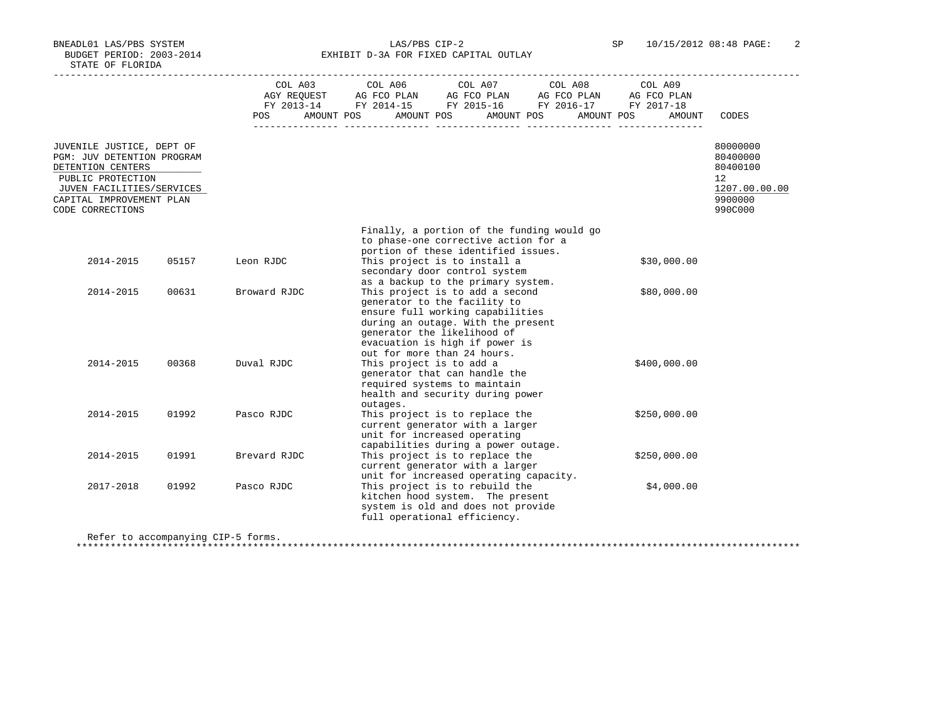BNEADL01 LAS/PBS SYSTEM LAS/PBS CIP-2 SP 10/15/2012 08:48 PAGE: 2 BUDGET PERIOD: 2003-2014 **EXHIBIT D-3A FOR FIXED CAPITAL OUTLAY** 

|                                                                                                                                                                                |       | <b>POS</b>   | $\begin{tabular}{lcccc} COL A03 & COL A06 & COL A07 & COL A08 & COL A09 \\ AGY REQUEST & AG FCO PLAN & AG FCO PLAN & AG FCO PLAN & AG FCO PLAN \\ \end{tabular}$<br>FY 2013-14 FY 2014-15 FY 2015-16 FY 2016-17 FY 2017-18<br>AMOUNT POS AMOUNT POS AMOUNT POS AMOUNT POS |                                                                                                                                                                                                                                                  | AMOUNT       | CODES                                                                                      |
|--------------------------------------------------------------------------------------------------------------------------------------------------------------------------------|-------|--------------|---------------------------------------------------------------------------------------------------------------------------------------------------------------------------------------------------------------------------------------------------------------------------|--------------------------------------------------------------------------------------------------------------------------------------------------------------------------------------------------------------------------------------------------|--------------|--------------------------------------------------------------------------------------------|
| JUVENILE JUSTICE, DEPT OF<br>PGM: JUV DETENTION PROGRAM<br>DETENTION CENTERS<br>PUBLIC PROTECTION<br>JUVEN FACILITIES/SERVICES<br>CAPITAL IMPROVEMENT PLAN<br>CODE CORRECTIONS |       |              |                                                                                                                                                                                                                                                                           |                                                                                                                                                                                                                                                  |              | 80000000<br>80400000<br>80400100<br>12 <sup>°</sup><br>1207.00.00.00<br>9900000<br>990C000 |
| 2014-2015                                                                                                                                                                      | 05157 | Leon RJDC    |                                                                                                                                                                                                                                                                           | Finally, a portion of the funding would go<br>to phase-one corrective action for a<br>portion of these identified issues.<br>This project is to install a<br>secondary door control system                                                       | \$30,000.00  |                                                                                            |
| 2014-2015                                                                                                                                                                      | 00631 | Broward RJDC |                                                                                                                                                                                                                                                                           | as a backup to the primary system.<br>This project is to add a second<br>generator to the facility to<br>ensure full working capabilities<br>during an outage. With the present<br>generator the likelihood of<br>evacuation is high if power is | \$80,000.00  |                                                                                            |
| 2014-2015                                                                                                                                                                      | 00368 | Duval RJDC   | This project is to add a                                                                                                                                                                                                                                                  | out for more than 24 hours.<br>generator that can handle the<br>required systems to maintain<br>health and security during power                                                                                                                 | \$400,000.00 |                                                                                            |
| 2014-2015                                                                                                                                                                      | 01992 | Pasco RJDC   | outages.                                                                                                                                                                                                                                                                  | This project is to replace the<br>current generator with a larger<br>unit for increased operating                                                                                                                                                | \$250,000.00 |                                                                                            |
| 2014-2015                                                                                                                                                                      | 01991 | Brevard RJDC |                                                                                                                                                                                                                                                                           | capabilities during a power outage.<br>This project is to replace the<br>current generator with a larger<br>unit for increased operating capacity.                                                                                               | \$250,000.00 |                                                                                            |
| 2017-2018                                                                                                                                                                      | 01992 | Pasco RJDC   |                                                                                                                                                                                                                                                                           | This project is to rebuild the<br>kitchen hood system. The present<br>system is old and does not provide<br>full operational efficiency.                                                                                                         | \$4,000.00   |                                                                                            |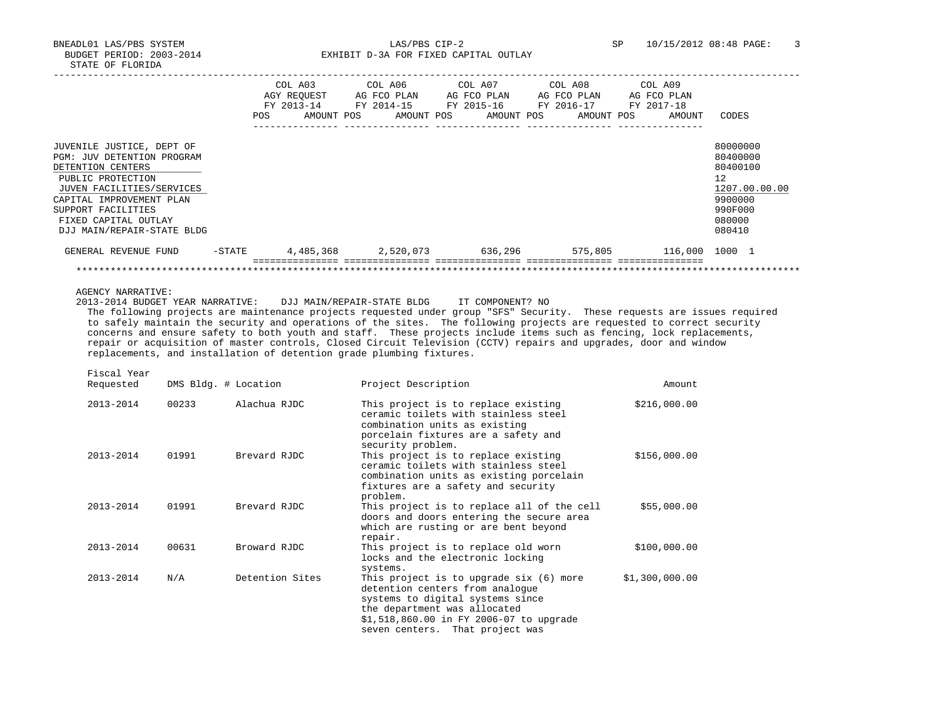BNEADL01 LAS/PBS SYSTEM LAS/PBS CIP-2 SP 10/15/2012 08:48 PAGE: 3 BUDGET PERIOD: 2003-2014 **EXHIBIT D-3A FOR FIXED CAPITAL OUTLAY** 

|                                                                                                                                                                                                                                               | <b>POS</b> | COL A03<br>AGY REOUEST<br>FY 2013-14<br>AMOUNT POS | COL A06<br>AG FCO PLAN<br>FY 2014-15 | COL A07<br>AG FCO PLAN<br>FY 2015-16<br>AMOUNT POS<br>AMOUNT POS | COL A08<br>AG FCO PLAN<br>FY 2016-17<br>AMOUNT POS | COL A09<br>AG FCO PLAN<br>FY 2017-18<br>AMOUNT | CODES                                                                                             |
|-----------------------------------------------------------------------------------------------------------------------------------------------------------------------------------------------------------------------------------------------|------------|----------------------------------------------------|--------------------------------------|------------------------------------------------------------------|----------------------------------------------------|------------------------------------------------|---------------------------------------------------------------------------------------------------|
| JUVENILE JUSTICE, DEPT OF<br><b>PGM: JUV DETENTION PROGRAM</b><br>DETENTION CENTERS<br>PUBLIC PROTECTION<br>JUVEN FACILITIES/SERVICES<br>CAPITAL IMPROVEMENT PLAN<br>SUPPORT FACILITIES<br>FIXED CAPITAL OUTLAY<br>DJJ MAIN/REPAIR-STATE BLDG |            |                                                    |                                      |                                                                  |                                                    |                                                | 80000000<br>80400000<br>80400100<br>12<br>1207.00.00.00<br>9900000<br>990F000<br>080000<br>080410 |
| GENERAL REVENUE FUND                                                                                                                                                                                                                          | -STATE     | 4,485,368                                          | 2,520,073                            | 636,296                                                          | 575,805                                            | 116,000 1000 1                                 |                                                                                                   |
|                                                                                                                                                                                                                                               |            |                                                    |                                      |                                                                  |                                                    |                                                |                                                                                                   |

AGENCY NARRATIVE:

 2013-2014 BUDGET YEAR NARRATIVE: DJJ MAIN/REPAIR-STATE BLDG IT COMPONENT? NO The following projects are maintenance projects requested under group "SFS" Security. These requests are issues required to safely maintain the security and operations of the sites. The following projects are requested to correct security concerns and ensure safety to both youth and staff. These projects include items such as fencing, lock replacements, repair or acquisition of master controls, Closed Circuit Television (CCTV) repairs and upgrades, door and window replacements, and installation of detention grade plumbing fixtures.

Fiscal Year

| Requested | DMS Bldg. # Location |                 | Project Description                                                                                                                                                                                                          | Amount         |
|-----------|----------------------|-----------------|------------------------------------------------------------------------------------------------------------------------------------------------------------------------------------------------------------------------------|----------------|
| 2013-2014 | 00233                | Alachua RJDC    | This project is to replace existing<br>ceramic toilets with stainless steel<br>combination units as existing<br>porcelain fixtures are a safety and<br>security problem.                                                     | \$216,000.00   |
| 2013-2014 | 01991                | Brevard RJDC    | This project is to replace existing<br>ceramic toilets with stainless steel<br>combination units as existing porcelain<br>fixtures are a safety and security<br>problem.                                                     | \$156,000.00   |
| 2013-2014 | 01991                | Brevard RJDC    | This project is to replace all of the cell<br>doors and doors entering the secure area<br>which are rusting or are bent beyond<br>repair.                                                                                    | \$55,000.00    |
| 2013-2014 | 00631                | Broward RJDC    | This project is to replace old worn<br>locks and the electronic locking<br>systems.                                                                                                                                          | \$100,000.00   |
| 2013-2014 | N/A                  | Detention Sites | This project is to upgrade six (6) more<br>detention centers from analoque<br>systems to digital systems since<br>the department was allocated<br>\$1,518,860.00 in FY 2006-07 to upgrade<br>seven centers. That project was | \$1,300,000.00 |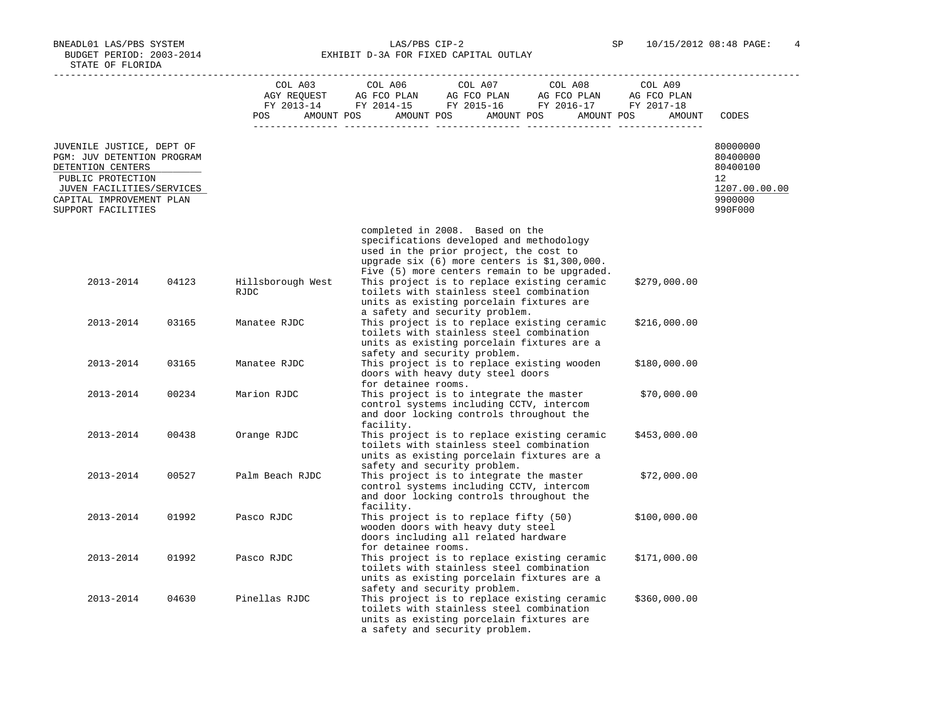BNEADL01 LAS/PBS SYSTEM LAS/PBS CIP-2 SP 10/15/2012 08:48 PAGE: 4 BUDGET PERIOD: 2003-2014 **EXHIBIT D-3A FOR FIXED CAPITAL OUTLAY** 

|                                                                                                                                                            |       | COL A03<br>AGY REOUEST    | COL A06<br>COL A07<br>COL A08<br>COL A09<br>AG FCO PLAN AG FCO PLAN AG FCO PLAN<br>AG FCO PLAN<br>FY 2013-14 FY 2014-15 FY 2015-16 FY 2016-17 FY 2017-18                                                                                                                                                                                                                         |                                                                    |
|------------------------------------------------------------------------------------------------------------------------------------------------------------|-------|---------------------------|----------------------------------------------------------------------------------------------------------------------------------------------------------------------------------------------------------------------------------------------------------------------------------------------------------------------------------------------------------------------------------|--------------------------------------------------------------------|
|                                                                                                                                                            |       | AMOUNT POS<br>POS         | AMOUNT POS<br>AMOUNT POS<br>AMOUNT POS                                                                                                                                                                                                                                                                                                                                           | AMOUNT<br>CODES                                                    |
| JUVENILE JUSTICE, DEPT OF<br>PGM: JUV DETENTION PROGRAM<br>DETENTION CENTERS<br>PUBLIC PROTECTION<br>JUVEN FACILITIES/SERVICES<br>CAPITAL IMPROVEMENT PLAN |       |                           |                                                                                                                                                                                                                                                                                                                                                                                  | 80000000<br>80400000<br>80400100<br>12<br>1207.00.00.00<br>9900000 |
| SUPPORT FACILITIES                                                                                                                                         |       |                           |                                                                                                                                                                                                                                                                                                                                                                                  | 990F000                                                            |
| 2013-2014                                                                                                                                                  | 04123 | Hillsborough West<br>RJDC | completed in 2008. Based on the<br>specifications developed and methodology<br>used in the prior project, the cost to<br>upgrade $six$ (6) more centers is $$1,300,000$ .<br>Five (5) more centers remain to be upgraded.<br>This project is to replace existing ceramic<br>\$279,000.00<br>toilets with stainless steel combination<br>units as existing porcelain fixtures are |                                                                    |
| 2013-2014                                                                                                                                                  | 03165 | Manatee RJDC              | a safety and security problem.<br>This project is to replace existing ceramic<br>\$216,000.00<br>toilets with stainless steel combination<br>units as existing porcelain fixtures are a                                                                                                                                                                                          |                                                                    |
| 2013-2014                                                                                                                                                  | 03165 | Manatee RJDC              | safety and security problem.<br>This project is to replace existing wooden<br>\$180,000.00<br>doors with heavy duty steel doors                                                                                                                                                                                                                                                  |                                                                    |
| 2013-2014                                                                                                                                                  | 00234 | Marion RJDC               | for detainee rooms.<br>This project is to integrate the master<br>\$70,000.00<br>control systems including CCTV, intercom<br>and door locking controls throughout the<br>facility.                                                                                                                                                                                               |                                                                    |
| 2013-2014                                                                                                                                                  | 00438 | Orange RJDC               | This project is to replace existing ceramic<br>\$453,000.00<br>toilets with stainless steel combination<br>units as existing porcelain fixtures are a                                                                                                                                                                                                                            |                                                                    |
| 2013-2014                                                                                                                                                  | 00527 | Palm Beach RJDC           | safety and security problem.<br>This project is to integrate the master<br>\$72,000.00<br>control systems including CCTV, intercom<br>and door locking controls throughout the                                                                                                                                                                                                   |                                                                    |
| 2013-2014                                                                                                                                                  | 01992 | Pasco RJDC                | facility.<br>This project is to replace fifty (50)<br>\$100,000.00<br>wooden doors with heavy duty steel<br>doors including all related hardware                                                                                                                                                                                                                                 |                                                                    |
| 2013-2014                                                                                                                                                  | 01992 | Pasco RJDC                | for detainee rooms.<br>This project is to replace existing ceramic<br>\$171,000.00<br>toilets with stainless steel combination<br>units as existing porcelain fixtures are a                                                                                                                                                                                                     |                                                                    |
| 2013-2014                                                                                                                                                  | 04630 | Pinellas RJDC             | safety and security problem.<br>This project is to replace existing ceramic<br>\$360,000.00<br>toilets with stainless steel combination<br>units as existing porcelain fixtures are<br>a safety and security problem.                                                                                                                                                            |                                                                    |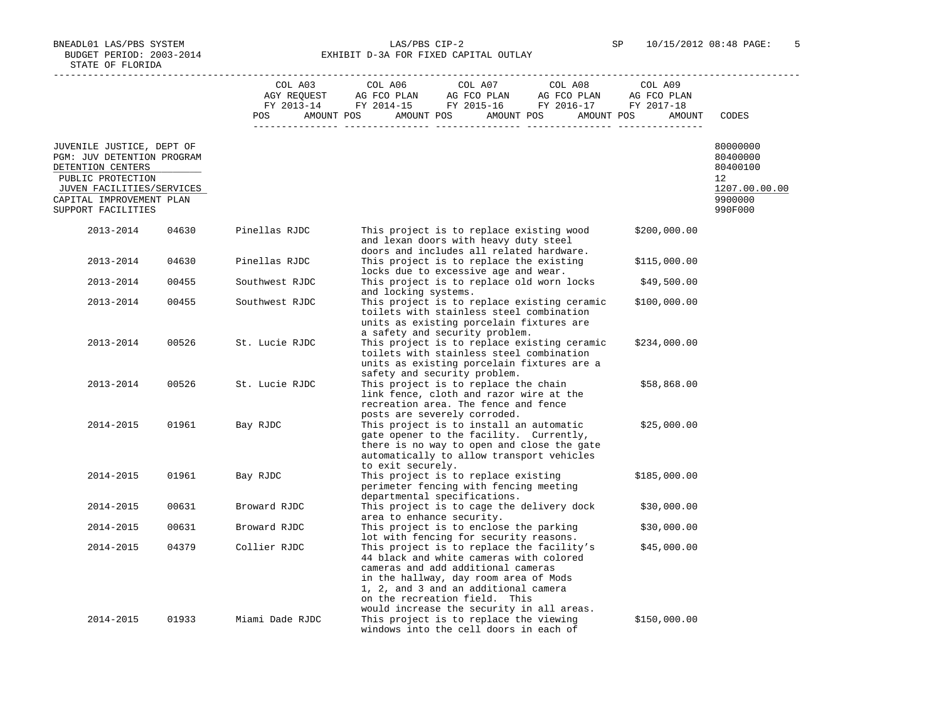BNEADL01 LAS/PBS SYSTEM LAS/PBS CIP-2 SP 10/15/2012 08:48 PAGE: 5 BUDGET PERIOD: 2003-2014 **EXHIBIT D-3A FOR FIXED CAPITAL OUTLAY** 

|                                                                                                                                                                                  |       | COL A03         | COL A06<br>COL A07 COL A08<br>COL A09                                                                                                                                                                                                                                                                    |                                                                               |
|----------------------------------------------------------------------------------------------------------------------------------------------------------------------------------|-------|-----------------|----------------------------------------------------------------------------------------------------------------------------------------------------------------------------------------------------------------------------------------------------------------------------------------------------------|-------------------------------------------------------------------------------|
|                                                                                                                                                                                  |       | POS             | AMOUNT POS AMOUNT POS AMOUNT POS<br>AMOUNT POS<br>AMOUNT                                                                                                                                                                                                                                                 | CODES                                                                         |
| JUVENILE JUSTICE, DEPT OF<br>PGM: JUV DETENTION PROGRAM<br>DETENTION CENTERS<br>PUBLIC PROTECTION<br>JUVEN FACILITIES/SERVICES<br>CAPITAL IMPROVEMENT PLAN<br>SUPPORT FACILITIES |       |                 |                                                                                                                                                                                                                                                                                                          | 80000000<br>80400000<br>80400100<br>12<br>1207.00.00.00<br>9900000<br>990F000 |
| 2013-2014                                                                                                                                                                        | 04630 | Pinellas RJDC   | This project is to replace existing wood<br>\$200,000.00<br>and lexan doors with heavy duty steel<br>doors and includes all related hardware.                                                                                                                                                            |                                                                               |
| 2013-2014                                                                                                                                                                        | 04630 | Pinellas RJDC   | This project is to replace the existing<br>\$115,000.00<br>locks due to excessive age and wear.                                                                                                                                                                                                          |                                                                               |
| 2013-2014                                                                                                                                                                        | 00455 | Southwest RJDC  | This project is to replace old worn locks<br>\$49,500.00<br>and locking systems.                                                                                                                                                                                                                         |                                                                               |
| 2013-2014                                                                                                                                                                        | 00455 | Southwest RJDC  | This project is to replace existing ceramic<br>\$100,000.00<br>toilets with stainless steel combination<br>units as existing porcelain fixtures are<br>a safety and security problem.                                                                                                                    |                                                                               |
| 2013-2014                                                                                                                                                                        | 00526 | St. Lucie RJDC  | This project is to replace existing ceramic<br>\$234,000.00<br>toilets with stainless steel combination<br>units as existing porcelain fixtures are a<br>safety and security problem.                                                                                                                    |                                                                               |
| 2013-2014                                                                                                                                                                        | 00526 | St. Lucie RJDC  | This project is to replace the chain<br>\$58,868.00<br>link fence, cloth and razor wire at the<br>recreation area. The fence and fence<br>posts are severely corroded.                                                                                                                                   |                                                                               |
| 2014-2015                                                                                                                                                                        | 01961 | Bay RJDC        | This project is to install an automatic<br>\$25,000.00<br>gate opener to the facility. Currently,<br>there is no way to open and close the gate<br>automatically to allow transport vehicles<br>to exit securely.                                                                                        |                                                                               |
| 2014-2015                                                                                                                                                                        | 01961 | Bay RJDC        | This project is to replace existing<br>\$185,000.00<br>perimeter fencing with fencing meeting<br>departmental specifications.                                                                                                                                                                            |                                                                               |
| 2014-2015                                                                                                                                                                        | 00631 | Broward RJDC    | This project is to cage the delivery dock<br>\$30,000.00<br>area to enhance security.                                                                                                                                                                                                                    |                                                                               |
| 2014-2015                                                                                                                                                                        | 00631 | Broward RJDC    | This project is to enclose the parking<br>\$30,000.00<br>lot with fencing for security reasons.                                                                                                                                                                                                          |                                                                               |
| 2014-2015                                                                                                                                                                        | 04379 | Collier RJDC    | This project is to replace the facility's<br>\$45,000.00<br>44 black and white cameras with colored<br>cameras and add additional cameras<br>in the hallway, day room area of Mods<br>1, 2, and 3 and an additional camera<br>on the recreation field. This<br>would increase the security in all areas. |                                                                               |
| 2014-2015                                                                                                                                                                        | 01933 | Miami Dade RJDC | This project is to replace the viewing<br>\$150,000.00<br>windows into the cell doors in each of                                                                                                                                                                                                         |                                                                               |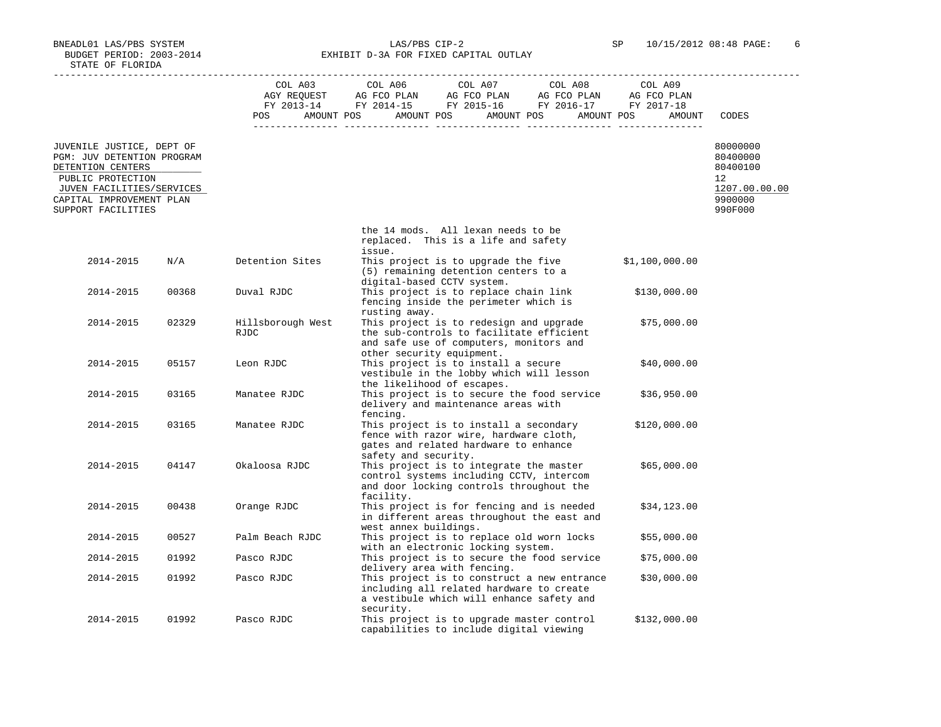BUDGET PERIOD: 2003-2014 EXHIBIT D-3A FOR FIXED CAPITAL OUTLAY

 ----------------------------------------------------------------------------------------------------------------------------------- COL A03 COL A06 COL A07 COL A08 COL A09 AGY REQUEST AG FCO PLAN AG FCO PLAN AG FCO PLAN AG FCO PLAN FY 2013-14 FY 2014-15 FY 2015-16 FY 2016-17 FY 2017-18 POS AMOUNT POS AMOUNT POS AMOUNT POS AMOUNT POS AMOUNT CODES --------------- --------------- --------------- --------------- --------------- JUVENILE JUSTICE, DEPT OF 80000000 PGM: JUV DETENTION PROGRAM 80100000<br>DETENTION CENTERS 80400100 DETENTION CENTERS AND RESOLUTION CONTRASSED AND RESOLUTION CONTRACT AND RELEASED AND RELEASED AND RELEASED AND RELEASED AND RELEASED AND RELEASED AND RELEASED AND RELEASED AND RELEASED AND RELEASED AND RELEASED AND RELEASE PUBLIC PROTECTION 12<br>JUVEN FACILITIES/SERVICES 1207.00.00 PUBLIC PROTECTION 1207.00.00.00  $\frac{\text{JUVEN} }{\text{JDFTAI}}$ , IMPROVEMENT PLAN  $\frac{1207.00}{9900000}$ CAPITAL IMPROVEMENT PLAN 9900000<br>SUPPORT FACILITIES 9900000 SUPPORT FACILITIES the 14 mods. All lexan needs to be replaced. This is a life and safety issue. 2014-2015 N/A Detention Sites This project is to upgrade the five \$1,100,000.00 (5) remaining detention centers to a digital-based CCTV system. This project is to replace chain link \$130,000.00 fencing inside the perimeter which is rusting away. Exteed Fillsborough West This project is to redesign and upgrade  $$75,000.00$ <br>RJDC the sub-controls to facilitate efficient the sub-controls to facilitate efficient and safe use of computers, monitors and other security equipment.<br>2014-2015 05157 Leon RJDC This project is to install This project is to install a secure \$40,000.00 vestibule in the lobby which will lesson the likelihood of escapes.<br>2014-2015 03165 Manatee RJDC This project is to secure t This project is to secure the food service  $$36,950.00$  delivery and maintenance areas with fencing. This project is to install a secondary \$120,000.00 fence with razor wire, hardware cloth, gates and related hardware to enhance safety and security.<br>2014-2015 04147 Okaloosa RJDC This project is to in This project is to integrate the master \$65,000.00 control systems including CCTV, intercom and door locking controls throughout the facility. This project is for fencing and is needed \$34,123.00 in different areas throughout the east and west annex buildings. 2014-2015 00527 Palm Beach RJDC This project is to replace old worn locks \$55,000.00 with an electronic locking system.<br>01992 Desco RJDC This project is to secure the food 2014-2015 01992 Pasco RJDC This project is to secure the food service \$75,000.00 delivery area with fencing. 2014-2015 01992 Pasco RJDC This project is to construct a new entrance \$30,000.00 including all related hardware to create a vestibule which will enhance safety and security. Pasco RJDC This project is to upgrade master control \$132,000.00 capabilities to include digital viewing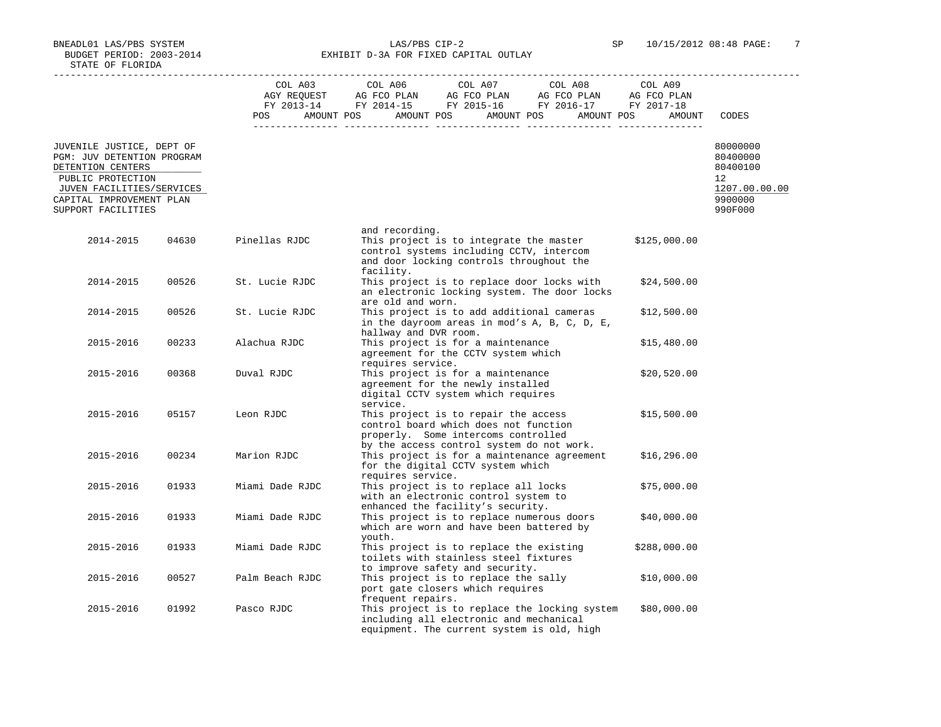BNEADL01 LAS/PBS SYSTEM LAS/PBS CIP-2 SP 10/15/2012 08:48 PAGE: 7 BUDGET PERIOD: 2003-2014 **EXHIBIT D-3A FOR FIXED CAPITAL OUTLAY** 

|                                                                              |       | COL A03         | COL A06 COL A07 COL A08                                                                                                                                           | COL A09      |                                  |
|------------------------------------------------------------------------------|-------|-----------------|-------------------------------------------------------------------------------------------------------------------------------------------------------------------|--------------|----------------------------------|
|                                                                              |       |                 |                                                                                                                                                                   |              |                                  |
|                                                                              |       |                 | POS AMOUNT POS AMOUNT POS AMOUNT POS AMOUNT POS                                                                                                                   | AMOUNT       | CODES                            |
| JUVENILE JUSTICE, DEPT OF<br>PGM: JUV DETENTION PROGRAM<br>DETENTION CENTERS |       |                 |                                                                                                                                                                   |              | 80000000<br>80400000<br>80400100 |
| PUBLIC PROTECTION                                                            |       |                 |                                                                                                                                                                   |              | 12                               |
| JUVEN FACILITIES/SERVICES                                                    |       |                 |                                                                                                                                                                   |              | 1207.00.00.00                    |
| CAPITAL IMPROVEMENT PLAN<br>SUPPORT FACILITIES                               |       |                 |                                                                                                                                                                   |              | 9900000<br>990F000               |
|                                                                              |       |                 | and recording.                                                                                                                                                    |              |                                  |
| 2014-2015                                                                    | 04630 | Pinellas RJDC   | This project is to integrate the master<br>control systems including CCTV, intercom<br>and door locking controls throughout the<br>facility.                      | \$125,000.00 |                                  |
| 2014-2015                                                                    | 00526 | St. Lucie RJDC  | This project is to replace door locks with<br>an electronic locking system. The door locks<br>are old and worn.                                                   | \$24,500.00  |                                  |
| 2014-2015                                                                    | 00526 | St. Lucie RJDC  | This project is to add additional cameras<br>in the dayroom areas in mod's A, B, C, D, E,<br>hallway and DVR room.                                                | \$12,500.00  |                                  |
| 2015-2016                                                                    | 00233 | Alachua RJDC    | This project is for a maintenance<br>agreement for the CCTV system which                                                                                          | \$15,480.00  |                                  |
| 2015-2016                                                                    | 00368 | Duval RJDC      | requires service.<br>This project is for a maintenance<br>agreement for the newly installed<br>digital CCTV system which requires<br>service.                     | \$20,520.00  |                                  |
| 2015-2016                                                                    | 05157 | Leon RJDC       | This project is to repair the access<br>control board which does not function<br>properly. Some intercoms controlled<br>by the access control system do not work. | \$15,500.00  |                                  |
| 2015-2016                                                                    | 00234 | Marion RJDC     | This project is for a maintenance agreement<br>for the digital CCTV system which<br>requires service.                                                             | \$16, 296.00 |                                  |
| 2015-2016                                                                    | 01933 | Miami Dade RJDC | This project is to replace all locks<br>with an electronic control system to                                                                                      | \$75,000.00  |                                  |
| 2015-2016                                                                    | 01933 | Miami Dade RJDC | enhanced the facility's security.<br>This project is to replace numerous doors<br>which are worn and have been battered by<br>youth.                              | \$40,000.00  |                                  |
| 2015-2016                                                                    | 01933 | Miami Dade RJDC | This project is to replace the existing<br>toilets with stainless steel fixtures<br>to improve safety and security.                                               | \$288,000.00 |                                  |
| 2015-2016                                                                    | 00527 | Palm Beach RJDC | This project is to replace the sally<br>port gate closers which requires<br>frequent repairs.                                                                     | \$10,000.00  |                                  |
| 2015-2016                                                                    | 01992 | Pasco RJDC      | This project is to replace the locking system<br>including all electronic and mechanical<br>equipment. The current system is old, high                            | \$80,000.00  |                                  |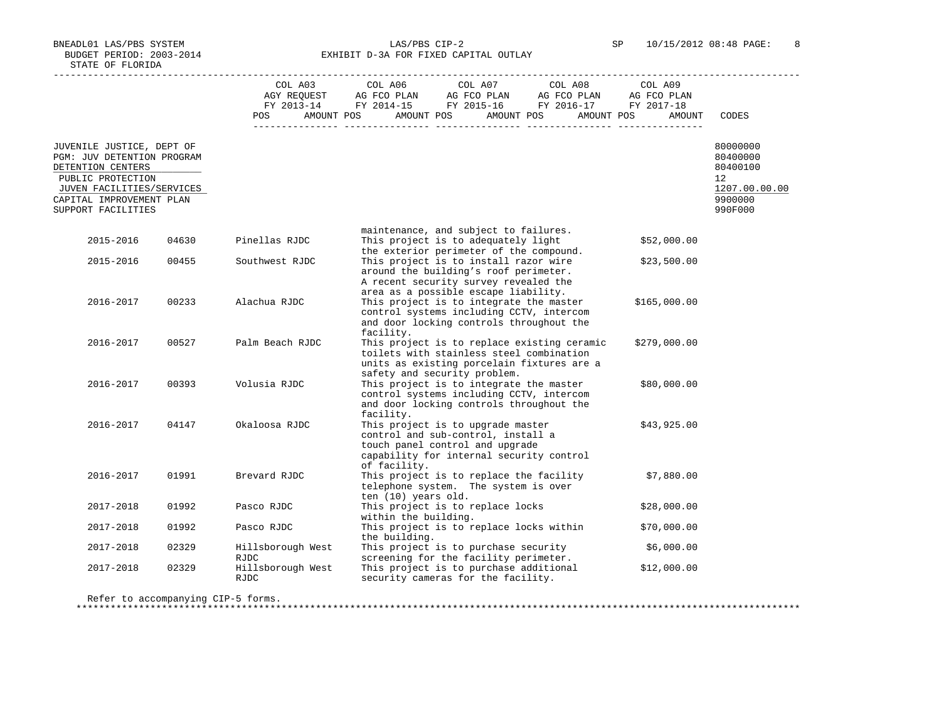BNEADL01 LAS/PBS SYSTEM LAS/PBS CIP-2 SP 10/15/2012 08:48 PAGE: 8 BUDGET PERIOD: 2003-2014 **EXHIBIT D-3A FOR FIXED CAPITAL OUTLAY** 

 ----------------------------------------------------------------------------------------------------------------------------------- COL A03 COL A06 COL A07 COL A08 COL A09 AGY REQUEST AG FCO PLAN AG FCO PLAN AG FCO PLAN AG FCO PLAN FY 2013-14 FY 2014-15 FY 2015-16 FY 2016-17 FY 2017-18 POS AMOUNT POS AMOUNT POS AMOUNT POS AMOUNT POS AMOUNT CODES --------------- --------------- --------------- --------------- --------------- JUVENILE JUSTICE, DEPT OF 80000000 PGM: JUV DETENTION PROGRAM 80100000<br>DETENTION CENTERS 80400100 DETENTION CENTERS AND RESOLUTION CONTRASSED AND RESOLUTION CONTRACT AND RELEASED AND RELEASED AND RELEASED AND RELEASED AND RELEASED AND RELEASED AND RELEASED AND RELEASED AND RELEASED AND RELEASED AND RELEASED AND RELEASE PUBLIC PROTECTION 12<br>JUVEN FACILITIES/SERVICES 1207.00.00 PUBLIC PROTECTION 1207.00.00.00  $\frac{\text{JUVEN} }{\text{JDFTAI}}$ , IMPROVEMENT PLAN  $\frac{1207.00}{9900000}$ CAPITAL IMPROVEMENT PLAN 9900000<br>SUPPORT FACILITIES 990F000 SUPPORT FACILITIES maintenance, and subject to failures. This project is to adequately light \$52,000.00 the exterior perimeter of the compound. 2015-2016 00455 Southwest RJDC This project is to install razor wire \$23,500.00 around the building's roof perimeter. A recent security survey revealed the area as a possible escape liability. 2016-2017 00233 Alachua RJDC This project is to integrate the master \$165,000.00 control systems including CCTV, intercom and door locking controls throughout the facility.<br>2016-2017 00527 Palm Beach RJDC This project 2016-2017 00527 Palm Beach RJDC This project is to replace existing ceramic \$279,000.00 toilets with stainless steel combination units as existing porcelain fixtures are a safety and security problem. This project is to integrate the master \$80,000.00 control systems including CCTV, intercom and door locking controls throughout the facility. This project is to upgrade master \$43,925.00 control and sub-control, install a touch panel control and upgrade capability for internal security control of facility. 2016-2017 01991 Brevard RJDC This project is to replace the facility \$7,880.00 telephone system. The system is over ten (10) years old. This project is to replace locks \$28,000.00 within the building. This project is to replace locks within \$70,000.00 the building.<br>2017-2018 02329 Hillsborough West This project This project is to purchase security  $$6,000.00$ RJDC screening for the facility perimeter.<br>2017-2018 02329 Hillsborough West This project is to purchase additional 2017-2018 02329 Hillsborough West This project is to purchase additional \$12,000.00 RJDC security cameras for the facility.

Refer to accompanying CIP-5 forms.

\*\*\*\*\*\*\*\*\*\*\*\*\*\*\*\*\*\*\*\*\*\*\*\*\*\*\*\*\*\*\*\*\*\*\*\*\*\*\*\*\*\*\*\*\*\*\*\*\*\*\*\*\*\*\*\*\*\*\*\*\*\*\*\*\*\*\*\*\*\*\*\*\*\*\*\*\*\*\*\*\*\*\*\*\*\*\*\*\*\*\*\*\*\*\*\*\*\*\*\*\*\*\*\*\*\*\*\*\*\*\*\*\*\*\*\*\*\*\*\*\*\*\*\*\*\*\*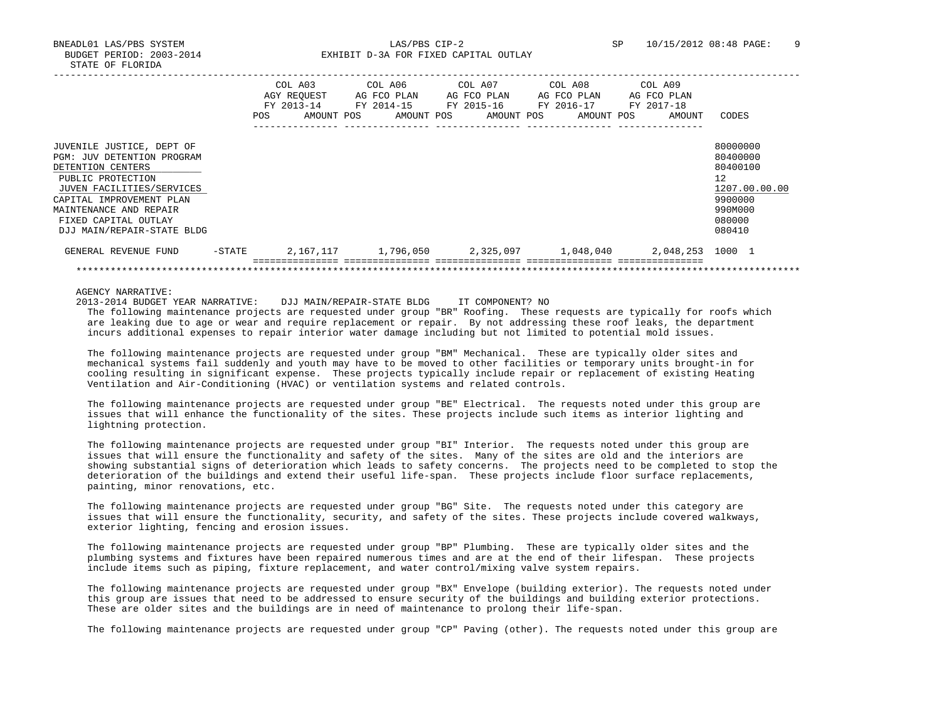BNEADL01 LAS/PBS SYSTEM LAS/PBS CIP-2 SP 10/15/2012 08:48 PAGE: 9 BUDGET PERIOD: 2003-2014 **EXHIBIT D-3A FOR FIXED CAPITAL OUTLAY** 

|                            |           | COL A03<br>AGY REOUEST<br>FY 2013-14 | COL A06<br>AG FCO PLAN<br>FY 2014-15 | COL A07<br>AG FCO PLAN<br>FY 2015-16 |            | COL A08<br>AG FCO PLAN<br>FY 2016-17 |            | COL A09<br>AG FCO PLAN<br>FY 2017-18 |               |
|----------------------------|-----------|--------------------------------------|--------------------------------------|--------------------------------------|------------|--------------------------------------|------------|--------------------------------------|---------------|
|                            | POS.      | AMOUNT POS                           | AMOUNT POS                           |                                      | AMOUNT POS |                                      | AMOUNT POS | AMOUNT                               | CODES         |
| JUVENILE JUSTICE, DEPT OF  |           |                                      |                                      |                                      |            |                                      |            |                                      | 80000000      |
| PGM: JUV DETENTION PROGRAM |           |                                      |                                      |                                      |            |                                      |            |                                      | 80400000      |
| DETENTION CENTERS          |           |                                      |                                      |                                      |            |                                      |            |                                      | 80400100      |
| PUBLIC PROTECTION          |           |                                      |                                      |                                      |            |                                      |            |                                      | 12            |
| JUVEN FACILITIES/SERVICES  |           |                                      |                                      |                                      |            |                                      |            |                                      | 1207.00.00.00 |
| CAPITAL IMPROVEMENT PLAN   |           |                                      |                                      |                                      |            |                                      |            |                                      | 9900000       |
| MAINTENANCE AND REPAIR     |           |                                      |                                      |                                      |            |                                      |            |                                      | 990M000       |
| FIXED CAPITAL OUTLAY       |           |                                      |                                      |                                      |            |                                      |            |                                      | 080000        |
| DJJ MAIN/REPAIR-STATE BLDG |           |                                      |                                      |                                      |            |                                      |            |                                      | 080410        |
| GENERAL REVENUE FUND       | $-$ STATE | 2,167,117                            | 1,796,050                            |                                      |            |                                      |            | 2,048,253                            | 1000 1        |
|                            |           |                                      |                                      |                                      |            |                                      |            |                                      |               |

AGENCY NARRATIVE:

2013-2014 BUDGET YEAR NARRATIVE: DJJ MAIN/REPAIR-STATE BLDG IT COMPONENT? NO

 The following maintenance projects are requested under group "BR" Roofing. These requests are typically for roofs which are leaking due to age or wear and require replacement or repair. By not addressing these roof leaks, the department incurs additional expenses to repair interior water damage including but not limited to potential mold issues.

 The following maintenance projects are requested under group "BM" Mechanical. These are typically older sites and mechanical systems fail suddenly and youth may have to be moved to other facilities or temporary units brought-in for cooling resulting in significant expense. These projects typically include repair or replacement of existing Heating Ventilation and Air-Conditioning (HVAC) or ventilation systems and related controls.

 The following maintenance projects are requested under group "BE" Electrical. The requests noted under this group are issues that will enhance the functionality of the sites. These projects include such items as interior lighting and lightning protection.

 The following maintenance projects are requested under group "BI" Interior. The requests noted under this group are issues that will ensure the functionality and safety of the sites. Many of the sites are old and the interiors are showing substantial signs of deterioration which leads to safety concerns. The projects need to be completed to stop the deterioration of the buildings and extend their useful life-span. These projects include floor surface replacements, painting, minor renovations, etc.

 The following maintenance projects are requested under group "BG" Site. The requests noted under this category are issues that will ensure the functionality, security, and safety of the sites. These projects include covered walkways, exterior lighting, fencing and erosion issues.

 The following maintenance projects are requested under group "BP" Plumbing. These are typically older sites and the plumbing systems and fixtures have been repaired numerous times and are at the end of their lifespan. These projects include items such as piping, fixture replacement, and water control/mixing valve system repairs.

 The following maintenance projects are requested under group "BX" Envelope (building exterior). The requests noted under this group are issues that need to be addressed to ensure security of the buildings and building exterior protections. These are older sites and the buildings are in need of maintenance to prolong their life-span.

The following maintenance projects are requested under group "CP" Paving (other). The requests noted under this group are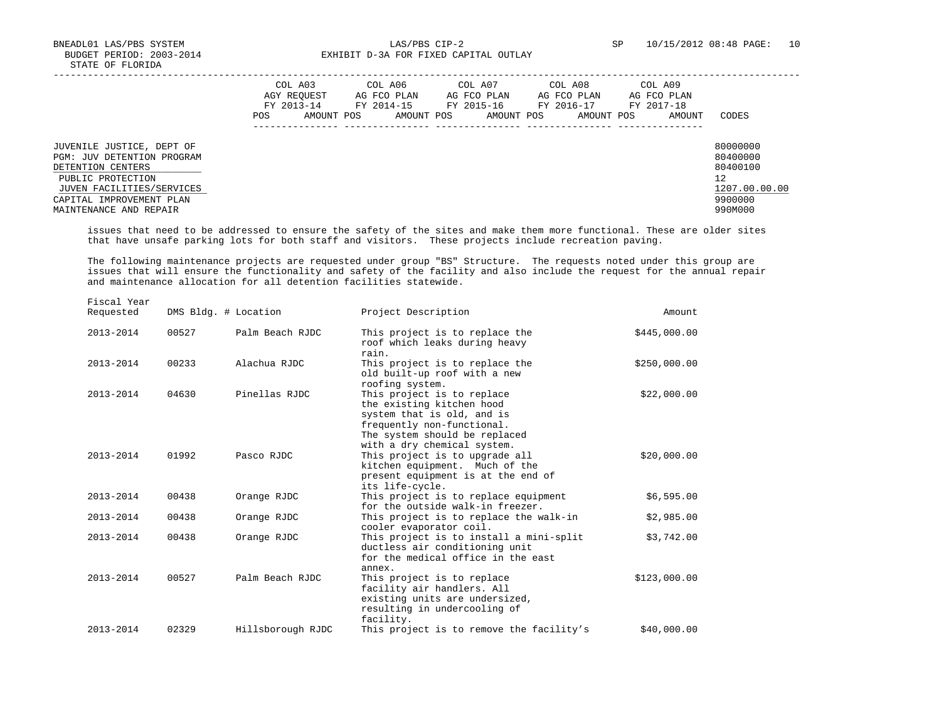BNEADL01 LAS/PBS SYSTEM LAS/PBS CIP-2 SP 10/15/2012 08:48 PAGE: 10 BUDGET PERIOD: 2003-2014 **EXHIBIT D-3A FOR FIXED CAPITAL OUTLAY** 

|                                                                                                                                                                                      | COL A03<br>AGY REOUEST<br>FY 2013-14<br>POS | AMOUNT POS | COL A06<br>AG FCO PLAN<br>FY 2014-15<br>AMOUNT POS | COL A07<br>AG FCO PLAN<br>FY 2015-16<br>AMOUNT POS | COL A08<br>AG FCO PLAN<br>FY 2016-17<br>AMOUNT POS | COL A09<br>AG FCO PLAN<br>FY 2017-18<br>AMOUNT | CODES                                                                         |
|--------------------------------------------------------------------------------------------------------------------------------------------------------------------------------------|---------------------------------------------|------------|----------------------------------------------------|----------------------------------------------------|----------------------------------------------------|------------------------------------------------|-------------------------------------------------------------------------------|
| JUVENILE JUSTICE, DEPT OF<br>PGM: JUV DETENTION PROGRAM<br>DETENTION CENTERS<br>PUBLIC PROTECTION<br>JUVEN FACILITIES/SERVICES<br>CAPITAL IMPROVEMENT PLAN<br>MAINTENANCE AND REPAIR |                                             |            |                                                    |                                                    |                                                    |                                                | 80000000<br>80400000<br>80400100<br>12<br>1207.00.00.00<br>9900000<br>990M000 |

 issues that need to be addressed to ensure the safety of the sites and make them more functional. These are older sites that have unsafe parking lots for both staff and visitors. These projects include recreation paving.

 The following maintenance projects are requested under group "BS" Structure. The requests noted under this group are issues that will ensure the functionality and safety of the facility and also include the request for the annual repair and maintenance allocation for all detention facilities statewide.

| Amount       | Project Description                                                                                                                                                                 |                   | DMS Bldg. # Location | Fiscal Year<br>Requested |  |
|--------------|-------------------------------------------------------------------------------------------------------------------------------------------------------------------------------------|-------------------|----------------------|--------------------------|--|
| \$445,000.00 | This project is to replace the<br>roof which leaks during heavy<br>rain.                                                                                                            | Palm Beach RJDC   | 00527                | 2013-2014                |  |
| \$250,000.00 | This project is to replace the<br>old built-up roof with a new<br>roofing system.                                                                                                   | Alachua RJDC      | 00233                | 2013-2014                |  |
| \$22,000.00  | This project is to replace<br>the existing kitchen hood<br>system that is old, and is<br>frequently non-functional.<br>The system should be replaced<br>with a dry chemical system. | Pinellas RJDC     | 04630                | 2013-2014                |  |
| \$20,000.00  | This project is to upgrade all<br>kitchen equipment. Much of the<br>present equipment is at the end of<br>its life-cycle.                                                           | Pasco RJDC        | 01992                | 2013-2014                |  |
| \$6,595.00   | This project is to replace equipment<br>for the outside walk-in freezer.                                                                                                            | Orange RJDC       | 00438                | 2013-2014                |  |
| \$2,985.00   | This project is to replace the walk-in<br>cooler evaporator coil.                                                                                                                   | Orange RJDC       | 00438                | 2013-2014                |  |
| \$3,742.00   | This project is to install a mini-split<br>ductless air conditioning unit<br>for the medical office in the east<br>annex.                                                           | Orange RJDC       | 00438                | 2013-2014                |  |
| \$123,000.00 | This project is to replace<br>facility air handlers. All<br>existing units are undersized,<br>resulting in undercooling of<br>facility.                                             | Palm Beach RJDC   | 00527                | 2013-2014                |  |
| \$40,000.00  | This project is to remove the facility's                                                                                                                                            | Hillsborough RJDC | 02329                | 2013-2014                |  |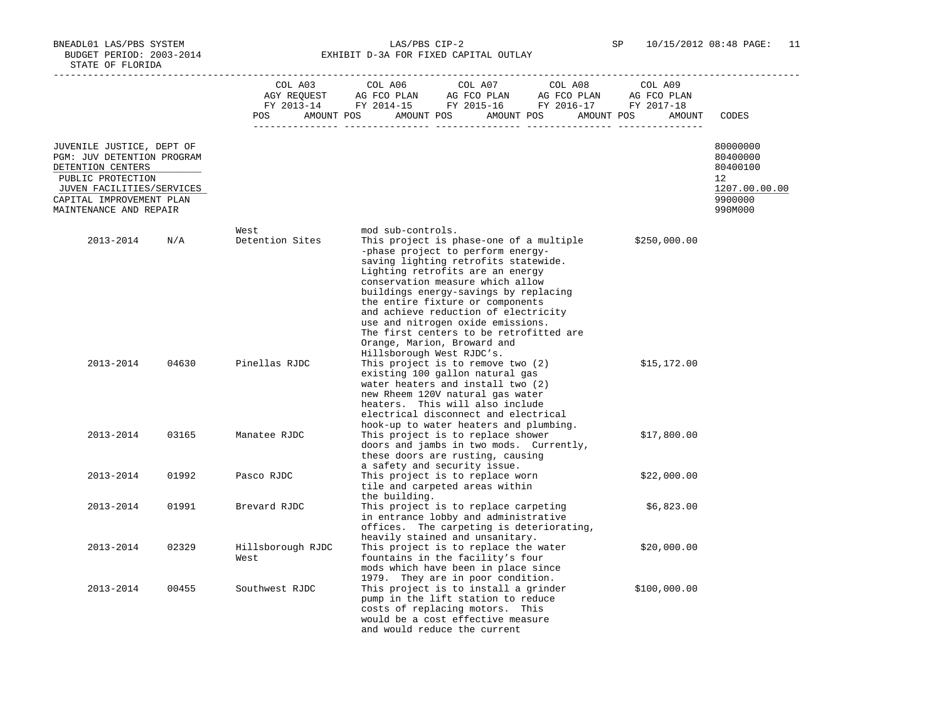BNEADL01 LAS/PBS SYSTEM LAS/PBS CIP-2 SP 10/15/2012 08:48 PAGE: 11 BUDGET PERIOD: 2003-2014 **EXHIBIT D-3A FOR FIXED CAPITAL OUTLAY** 

|                                                                                                   |       | COL A03<br>POS            | COL A06<br>COL A07<br>COL A08<br>AMOUNT POS AMOUNT POS AMOUNT POS AMOUNT POS                                                                                                                                                                                              | COL A09<br>AMOUNT | CODES                                  |
|---------------------------------------------------------------------------------------------------|-------|---------------------------|---------------------------------------------------------------------------------------------------------------------------------------------------------------------------------------------------------------------------------------------------------------------------|-------------------|----------------------------------------|
| JUVENILE JUSTICE, DEPT OF<br>PGM: JUV DETENTION PROGRAM<br>DETENTION CENTERS<br>PUBLIC PROTECTION |       |                           |                                                                                                                                                                                                                                                                           |                   | 80000000<br>80400000<br>80400100<br>12 |
| JUVEN FACILITIES/SERVICES<br>CAPITAL IMPROVEMENT PLAN<br>MAINTENANCE AND REPAIR                   |       |                           |                                                                                                                                                                                                                                                                           |                   | 1207.00.00.00<br>9900000<br>990M000    |
|                                                                                                   |       |                           |                                                                                                                                                                                                                                                                           |                   |                                        |
| 2013-2014                                                                                         | N/A   | West<br>Detention Sites   | mod sub-controls.<br>This project is phase-one of a multiple<br>-phase project to perform energy-<br>saving lighting retrofits statewide.                                                                                                                                 | \$250,000.00      |                                        |
|                                                                                                   |       |                           | Lighting retrofits are an energy<br>conservation measure which allow<br>buildings energy-savings by replacing<br>the entire fixture or components<br>and achieve reduction of electricity<br>use and nitrogen oxide emissions.<br>The first centers to be retrofitted are |                   |                                        |
| 2013-2014                                                                                         | 04630 | Pinellas RJDC             | Orange, Marion, Broward and<br>Hillsborough West RJDC's.<br>This project is to remove two $(2)$<br>existing 100 gallon natural gas<br>water heaters and install two (2)<br>new Rheem 120V natural gas water<br>heaters. This will also include                            | \$15,172.00       |                                        |
| 2013-2014                                                                                         | 03165 | Manatee RJDC              | electrical disconnect and electrical<br>hook-up to water heaters and plumbing.<br>This project is to replace shower<br>doors and jambs in two mods. Currently,<br>these doors are rusting, causing                                                                        | \$17,800.00       |                                        |
| 2013-2014                                                                                         | 01992 | Pasco RJDC                | a safety and security issue.<br>This project is to replace worn<br>tile and carpeted areas within                                                                                                                                                                         | \$22,000.00       |                                        |
| 2013-2014                                                                                         | 01991 | Brevard RJDC              | the building.<br>This project is to replace carpeting<br>in entrance lobby and administrative<br>offices. The carpeting is deteriorating,                                                                                                                                 | \$6,823.00        |                                        |
| 2013-2014                                                                                         | 02329 | Hillsborough RJDC<br>West | heavily stained and unsanitary.<br>This project is to replace the water<br>fountains in the facility's four<br>mods which have been in place since                                                                                                                        | \$20,000.00       |                                        |
| 2013-2014                                                                                         | 00455 | Southwest RJDC            | 1979. They are in poor condition.<br>This project is to install a grinder<br>pump in the lift station to reduce<br>costs of replacing motors. This<br>would be a cost effective measure<br>and would reduce the current                                                   | \$100,000.00      |                                        |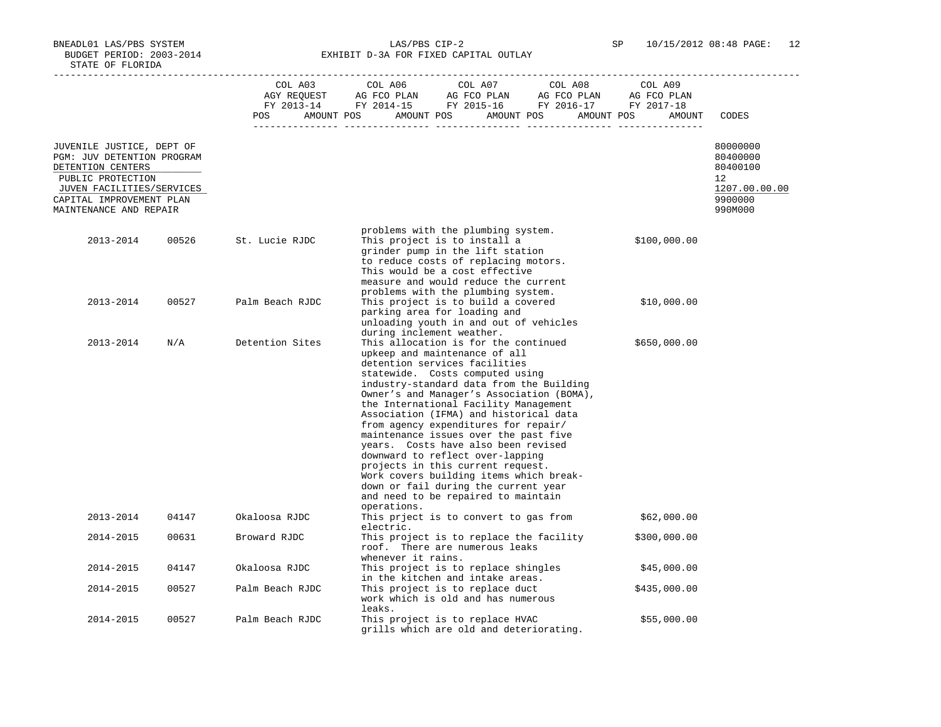BNEADL01 LAS/PBS SYSTEM LAS/PBS CIP-2 SP 10/15/2012 08:48 PAGE: 12 BUDGET PERIOD: 2003-2014 **EXHIBIT D-3A FOR FIXED CAPITAL OUTLAY** 

|                                                                                                                                |       | POS             | COL A03 COL A06 COL A07 COL A08<br>COL A09<br>$\begin{array}{ccccccccc}\n\text{GUT} & \text{GUT} & \text{GUT} & \text{GUT} & \text{GUT} & \text{GUT} & \text{GUT} & \text{GUT} & \text{GUT} & \text{GUT} & \text{GUT} & \text{GUT} & \text{GUT} & \text{GUT} & \text{GUT} & \text{GUT} & \text{GUT} & \text{GUT} & \text{GUT} & \text{GUT} & \text{GUT} & \text{GUT} & \text{GUT} & \text{GUT} & \text{GUT} & \text{GUT} & \text{GUT} & \text{GUT} & \text{GUT} & \text{GUT} &$<br>AMOUNT POS AMOUNT POS AMOUNT POS AMOUNT POS<br>AMOUNT                                                                                                                                                                     | CODES                                                   |
|--------------------------------------------------------------------------------------------------------------------------------|-------|-----------------|--------------------------------------------------------------------------------------------------------------------------------------------------------------------------------------------------------------------------------------------------------------------------------------------------------------------------------------------------------------------------------------------------------------------------------------------------------------------------------------------------------------------------------------------------------------------------------------------------------------------------------------------------------------------------------------------------------------|---------------------------------------------------------|
|                                                                                                                                |       |                 |                                                                                                                                                                                                                                                                                                                                                                                                                                                                                                                                                                                                                                                                                                              |                                                         |
| JUVENILE JUSTICE, DEPT OF<br>PGM: JUV DETENTION PROGRAM<br>DETENTION CENTERS<br>PUBLIC PROTECTION<br>JUVEN FACILITIES/SERVICES |       |                 |                                                                                                                                                                                                                                                                                                                                                                                                                                                                                                                                                                                                                                                                                                              | 80000000<br>80400000<br>80400100<br>12<br>1207.00.00.00 |
| CAPITAL IMPROVEMENT PLAN<br>MAINTENANCE AND REPAIR                                                                             |       |                 |                                                                                                                                                                                                                                                                                                                                                                                                                                                                                                                                                                                                                                                                                                              | 9900000<br>990M000                                      |
|                                                                                                                                |       |                 |                                                                                                                                                                                                                                                                                                                                                                                                                                                                                                                                                                                                                                                                                                              |                                                         |
| 2013-2014                                                                                                                      | 00526 | St. Lucie RJDC  | problems with the plumbing system.<br>This project is to install a<br>\$100,000.00<br>grinder pump in the lift station<br>to reduce costs of replacing motors.<br>This would be a cost effective<br>measure and would reduce the current                                                                                                                                                                                                                                                                                                                                                                                                                                                                     |                                                         |
| 2013-2014                                                                                                                      | 00527 | Palm Beach RJDC | problems with the plumbing system.<br>This project is to build a covered<br>\$10,000.00<br>parking area for loading and<br>unloading youth in and out of vehicles                                                                                                                                                                                                                                                                                                                                                                                                                                                                                                                                            |                                                         |
| 2013-2014                                                                                                                      | N/A   | Detention Sites | during inclement weather.<br>This allocation is for the continued<br>\$650,000.00<br>upkeep and maintenance of all<br>detention services facilities<br>statewide. Costs computed using<br>industry-standard data from the Building<br>Owner's and Manager's Association (BOMA),<br>the International Facility Management<br>Association (IFMA) and historical data<br>from agency expenditures for repair/<br>maintenance issues over the past five<br>years. Costs have also been revised<br>downward to reflect over-lapping<br>projects in this current request.<br>Work covers building items which break-<br>down or fail during the current year<br>and need to be repaired to maintain<br>operations. |                                                         |
| 2013-2014                                                                                                                      | 04147 | Okaloosa RJDC   | This prject is to convert to gas from<br>\$62,000.00<br>electric.                                                                                                                                                                                                                                                                                                                                                                                                                                                                                                                                                                                                                                            |                                                         |
| 2014-2015                                                                                                                      | 00631 | Broward RJDC    | This project is to replace the facility<br>\$300,000.00<br>roof. There are numerous leaks<br>whenever it rains.                                                                                                                                                                                                                                                                                                                                                                                                                                                                                                                                                                                              |                                                         |
| 2014-2015                                                                                                                      | 04147 | Okaloosa RJDC   | This project is to replace shingles<br>\$45,000.00<br>in the kitchen and intake areas.                                                                                                                                                                                                                                                                                                                                                                                                                                                                                                                                                                                                                       |                                                         |
| 2014-2015                                                                                                                      | 00527 | Palm Beach RJDC | This project is to replace duct<br>\$435,000.00<br>work which is old and has numerous<br>leaks.                                                                                                                                                                                                                                                                                                                                                                                                                                                                                                                                                                                                              |                                                         |
| 2014-2015                                                                                                                      | 00527 | Palm Beach RJDC | This project is to replace HVAC<br>\$55,000.00<br>grills which are old and deteriorating.                                                                                                                                                                                                                                                                                                                                                                                                                                                                                                                                                                                                                    |                                                         |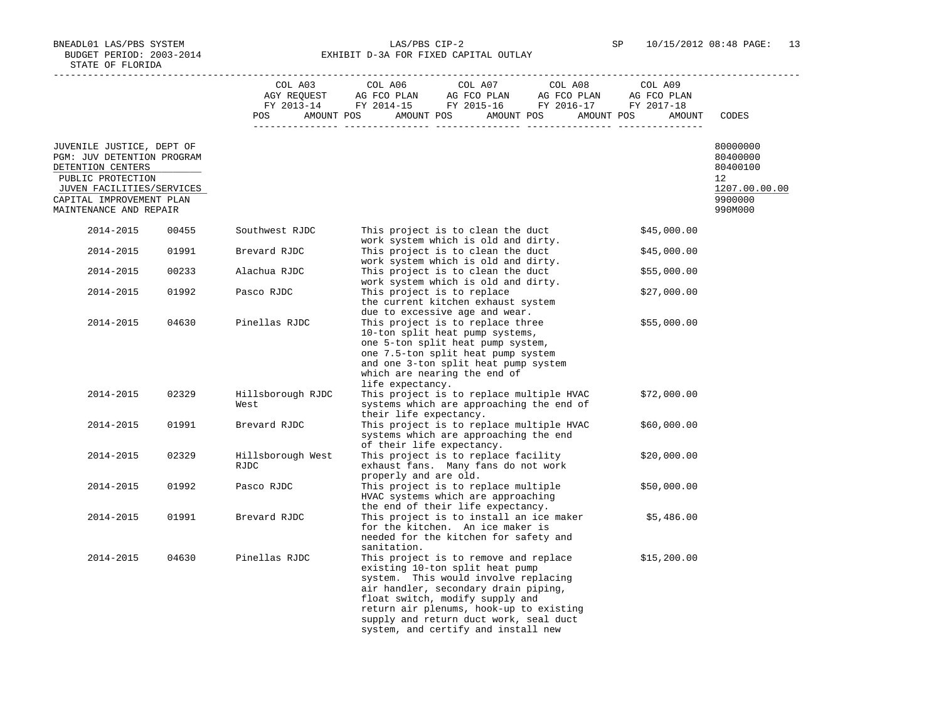BNEADL01 LAS/PBS SYSTEM LAS/PBS CIP-2 SP 10/15/2012 08:48 PAGE: 13 BUDGET PERIOD: 2003-2014 **EXHIBIT D-3A FOR FIXED CAPITAL OUTLAY** 

|                                                                              |       |                                  | $\begin{tabular}{lcccccc} CDL A03 & CDL A06 & CDL A07 & CDL A08 & CDL A09 \\ AGY REQUEST & AG FCO PLAN & AG FCO PLAN & AG FCO PLAN & AG FCO PLAN \\ FY & 2013-14 & FY & 2014-15 & FY & 2015-16 & FY & 2016-17 & FY & 2017-18 \\ \end{tabular}$<br>POS AMOUNT POS AMOUNT POS AMOUNT POS AMOUNT POS<br>AMOUNT                            | CODES                            |
|------------------------------------------------------------------------------|-------|----------------------------------|----------------------------------------------------------------------------------------------------------------------------------------------------------------------------------------------------------------------------------------------------------------------------------------------------------------------------------------|----------------------------------|
| JUVENILE JUSTICE, DEPT OF<br>PGM: JUV DETENTION PROGRAM<br>DETENTION CENTERS |       |                                  |                                                                                                                                                                                                                                                                                                                                        | 80000000<br>80400000<br>80400100 |
| PUBLIC PROTECTION                                                            |       |                                  |                                                                                                                                                                                                                                                                                                                                        | 12                               |
| JUVEN FACILITIES/SERVICES                                                    |       |                                  |                                                                                                                                                                                                                                                                                                                                        | 1207.00.00.00                    |
| CAPITAL IMPROVEMENT PLAN<br>MAINTENANCE AND REPAIR                           |       |                                  |                                                                                                                                                                                                                                                                                                                                        | 9900000<br>990M000               |
| 2014-2015                                                                    | 00455 | Southwest RJDC                   | This project is to clean the duct<br>\$45,000.00<br>work system which is old and dirty.                                                                                                                                                                                                                                                |                                  |
| 2014-2015                                                                    | 01991 | Brevard RJDC                     | This project is to clean the duct<br>\$45,000.00<br>work system which is old and dirty.                                                                                                                                                                                                                                                |                                  |
| 2014-2015                                                                    | 00233 | Alachua RJDC                     | This project is to clean the duct<br>\$55,000.00<br>work system which is old and dirty.                                                                                                                                                                                                                                                |                                  |
| 2014-2015                                                                    | 01992 | Pasco RJDC                       | This project is to replace<br>\$27,000.00<br>the current kitchen exhaust system<br>due to excessive age and wear.                                                                                                                                                                                                                      |                                  |
| 2014-2015                                                                    | 04630 | Pinellas RJDC                    | This project is to replace three<br>\$55,000.00<br>10-ton split heat pump systems,<br>one 5-ton split heat pump system,<br>one 7.5-ton split heat pump system<br>and one 3-ton split heat pump system<br>which are nearing the end of<br>life expectancy.                                                                              |                                  |
| 2014-2015                                                                    | 02329 | Hillsborough RJDC<br>West        | This project is to replace multiple HVAC<br>\$72,000.00<br>systems which are approaching the end of<br>their life expectancy.                                                                                                                                                                                                          |                                  |
| 2014-2015                                                                    | 01991 | Brevard RJDC                     | This project is to replace multiple HVAC<br>\$60,000.00<br>systems which are approaching the end<br>of their life expectancy.                                                                                                                                                                                                          |                                  |
| 2014-2015                                                                    | 02329 | Hillsborough West<br><b>RJDC</b> | This project is to replace facility<br>\$20,000.00<br>exhaust fans. Many fans do not work<br>properly and are old.                                                                                                                                                                                                                     |                                  |
| 2014-2015                                                                    | 01992 | Pasco RJDC                       | This project is to replace multiple<br>\$50,000.00<br>HVAC systems which are approaching<br>the end of their life expectancy.                                                                                                                                                                                                          |                                  |
| 2014-2015                                                                    | 01991 | Brevard RJDC                     | This project is to install an ice maker<br>\$5,486.00<br>for the kitchen. An ice maker is<br>needed for the kitchen for safety and<br>sanitation.                                                                                                                                                                                      |                                  |
| 2014-2015                                                                    | 04630 | Pinellas RJDC                    | This project is to remove and replace<br>\$15,200.00<br>existing 10-ton split heat pump<br>system. This would involve replacing<br>air handler, secondary drain piping,<br>float switch, modify supply and<br>return air plenums, hook-up to existing<br>supply and return duct work, seal duct<br>system, and certify and install new |                                  |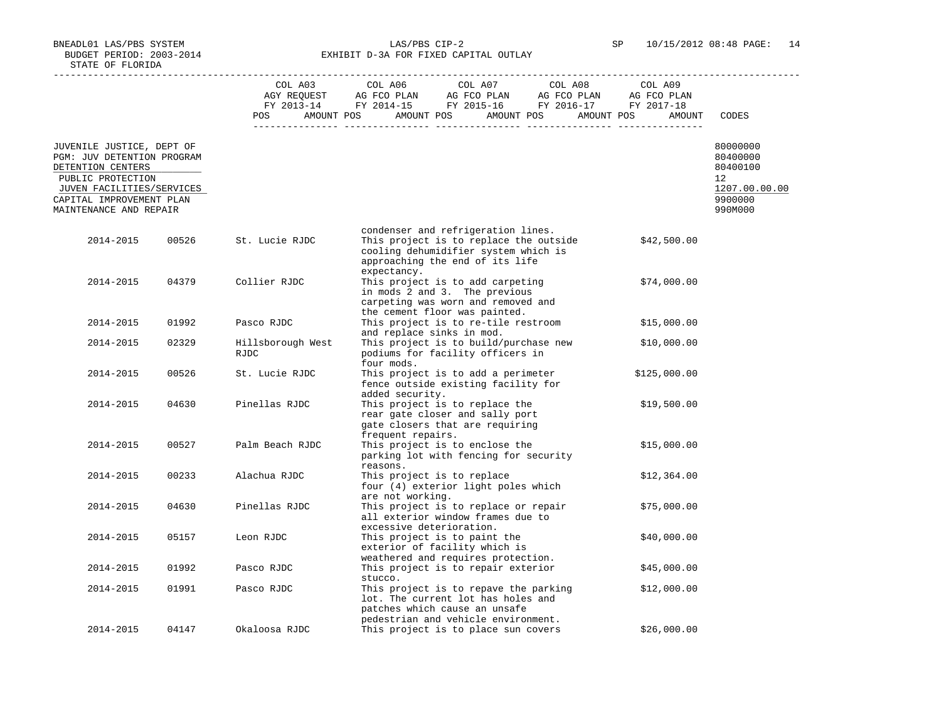BNEADL01 LAS/PBS SYSTEM LAS/PBS CIP-2 SP 10/15/2012 08:48 PAGE: 14 BUDGET PERIOD: 2003-2014 **EXHIBIT D-3A FOR FIXED CAPITAL OUTLAY** 

|                                                                              |       |                                  | $\begin{tabular}{lcccccc} CDL A03 & CDL A06 & CDL A07 & CDL A08 & CDL A09 \\ AGY REQUEST & AG FCO PLAN & AG FCO PLAN & AG FCO PLAN & AG FCO PLAN \\ FY & 2013-14 & FY & 2014-15 & FY & 2015-16 & FY & 2016-17 & FY & 2017-18 \\ \end{tabular}$<br>POS AMOUNT POS AMOUNT POS AMOUNT POS AMOUNT POS<br>AMOUNT | CODES                            |
|------------------------------------------------------------------------------|-------|----------------------------------|-------------------------------------------------------------------------------------------------------------------------------------------------------------------------------------------------------------------------------------------------------------------------------------------------------------|----------------------------------|
| JUVENILE JUSTICE, DEPT OF<br>PGM: JUV DETENTION PROGRAM<br>DETENTION CENTERS |       |                                  |                                                                                                                                                                                                                                                                                                             | 80000000<br>80400000<br>80400100 |
| PUBLIC PROTECTION                                                            |       |                                  |                                                                                                                                                                                                                                                                                                             | $12^{\circ}$                     |
| JUVEN FACILITIES/SERVICES                                                    |       |                                  |                                                                                                                                                                                                                                                                                                             | 1207.00.00.00                    |
| CAPITAL IMPROVEMENT PLAN<br>MAINTENANCE AND REPAIR                           |       |                                  |                                                                                                                                                                                                                                                                                                             | 9900000<br>990M000               |
| 2014-2015                                                                    | 00526 | St. Lucie RJDC                   | condenser and refrigeration lines.<br>This project is to replace the outside<br>\$42,500.00<br>cooling dehumidifier system which is<br>approaching the end of its life                                                                                                                                      |                                  |
| 2014-2015                                                                    | 04379 | Collier RJDC                     | expectancy.<br>This project is to add carpeting<br>\$74,000.00<br>in mods 2 and 3. The previous<br>carpeting was worn and removed and                                                                                                                                                                       |                                  |
| 2014-2015                                                                    | 01992 | Pasco RJDC                       | the cement floor was painted.<br>This project is to re-tile restroom<br>\$15,000.00<br>and replace sinks in mod.                                                                                                                                                                                            |                                  |
| 2014-2015                                                                    | 02329 | Hillsborough West<br><b>RJDC</b> | This project is to build/purchase new<br>\$10,000.00<br>podiums for facility officers in<br>four mods.                                                                                                                                                                                                      |                                  |
| 2014-2015                                                                    | 00526 | St. Lucie RJDC                   | This project is to add a perimeter<br>\$125,000.00<br>fence outside existing facility for<br>added security.                                                                                                                                                                                                |                                  |
| 2014-2015                                                                    | 04630 | Pinellas RJDC                    | This project is to replace the<br>\$19,500.00<br>rear gate closer and sally port<br>gate closers that are requiring<br>frequent repairs.                                                                                                                                                                    |                                  |
| 2014-2015                                                                    | 00527 | Palm Beach RJDC                  | This project is to enclose the<br>\$15,000.00<br>parking lot with fencing for security<br>reasons.                                                                                                                                                                                                          |                                  |
| 2014-2015                                                                    | 00233 | Alachua RJDC                     | This project is to replace<br>\$12,364.00<br>four (4) exterior light poles which<br>are not working.                                                                                                                                                                                                        |                                  |
| 2014-2015                                                                    | 04630 | Pinellas RJDC                    | This project is to replace or repair<br>\$75,000.00<br>all exterior window frames due to<br>excessive deterioration.                                                                                                                                                                                        |                                  |
| 2014-2015                                                                    | 05157 | Leon RJDC                        | This project is to paint the<br>\$40,000.00<br>exterior of facility which is<br>weathered and requires protection.                                                                                                                                                                                          |                                  |
| 2014-2015                                                                    | 01992 | Pasco RJDC                       | This project is to repair exterior<br>\$45,000.00<br>stucco.                                                                                                                                                                                                                                                |                                  |
| 2014-2015                                                                    | 01991 | Pasco RJDC                       | This project is to repave the parking<br>\$12,000.00<br>lot. The current lot has holes and<br>patches which cause an unsafe<br>pedestrian and vehicle environment.                                                                                                                                          |                                  |
| 2014-2015                                                                    | 04147 | Okaloosa RJDC                    | \$26,000.00<br>This project is to place sun covers                                                                                                                                                                                                                                                          |                                  |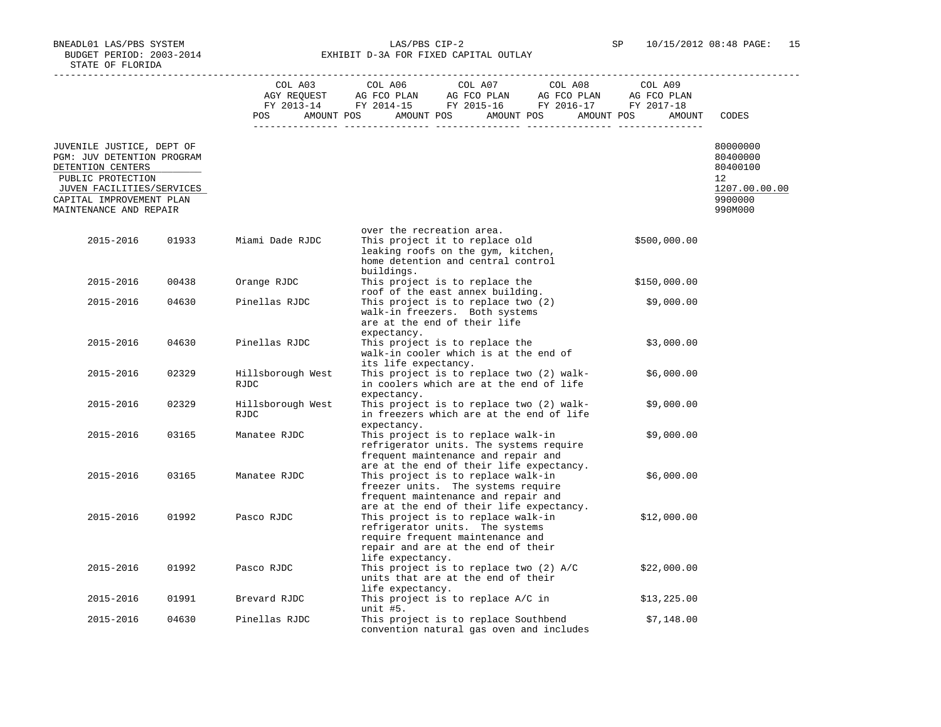BNEADL01 LAS/PBS SYSTEM LAS/PBS CIP-2 SP 10/15/2012 08:48 PAGE: 15 BUDGET PERIOD: 2003-2014 **EXHIBIT D-3A FOR FIXED CAPITAL OUTLAY** 

-----------------------------------------------------------------------------------------------------------------------------------

|                                                                                                                                                                                      |       |                                  | COL A03<br>AGY REQUEST<br>FY 2013-14 | COL A06<br>AG FCO PLAN<br>FY 2014-15 FY 2015-16                                                                                                                     | COL A07<br>AG FCO PLAN | COL A08<br>AG FCO PLAN<br>FY 2016-17 | COL A09<br>AG FCO PLAN<br>FY 2017-18 |                                                                               |
|--------------------------------------------------------------------------------------------------------------------------------------------------------------------------------------|-------|----------------------------------|--------------------------------------|---------------------------------------------------------------------------------------------------------------------------------------------------------------------|------------------------|--------------------------------------|--------------------------------------|-------------------------------------------------------------------------------|
|                                                                                                                                                                                      |       | POS                              | AMOUNT POS                           | AMOUNT POS                                                                                                                                                          | AMOUNT POS             | AMOUNT POS                           | AMOUNT                               | CODES                                                                         |
| JUVENILE JUSTICE, DEPT OF<br>PGM: JUV DETENTION PROGRAM<br>DETENTION CENTERS<br>PUBLIC PROTECTION<br>JUVEN FACILITIES/SERVICES<br>CAPITAL IMPROVEMENT PLAN<br>MAINTENANCE AND REPAIR |       |                                  |                                      |                                                                                                                                                                     |                        |                                      |                                      | 80000000<br>80400000<br>80400100<br>12<br>1207.00.00.00<br>9900000<br>990M000 |
| 2015-2016                                                                                                                                                                            | 01933 | Miami Dade RJDC                  |                                      | over the recreation area.<br>This project it to replace old<br>leaking roofs on the gym, kitchen,<br>home detention and central control<br>buildings.               |                        |                                      | \$500,000.00                         |                                                                               |
| 2015-2016                                                                                                                                                                            | 00438 | Orange RJDC                      |                                      | This project is to replace the<br>roof of the east annex building.                                                                                                  |                        |                                      | \$150,000.00                         |                                                                               |
| 2015-2016                                                                                                                                                                            | 04630 | Pinellas RJDC                    |                                      | This project is to replace two (2)<br>walk-in freezers. Both systems<br>are at the end of their life<br>expectancy.                                                 |                        |                                      | \$9,000.00                           |                                                                               |
| 2015-2016                                                                                                                                                                            | 04630 | Pinellas RJDC                    |                                      | This project is to replace the<br>walk-in cooler which is at the end of<br>its life expectancy.                                                                     |                        |                                      | \$3,000.00                           |                                                                               |
| 2015-2016                                                                                                                                                                            | 02329 | Hillsborough West<br><b>RJDC</b> |                                      | This project is to replace two (2) walk-<br>in coolers which are at the end of life<br>expectancy.                                                                  |                        |                                      | \$6,000.00                           |                                                                               |
| 2015-2016                                                                                                                                                                            | 02329 | Hillsborough West<br>RJDC        |                                      | This project is to replace two (2) walk-<br>in freezers which are at the end of life<br>expectancy.                                                                 |                        |                                      | \$9,000.00                           |                                                                               |
| 2015-2016                                                                                                                                                                            | 03165 | Manatee RJDC                     |                                      | This project is to replace walk-in<br>refrigerator units. The systems require<br>frequent maintenance and repair and<br>are at the end of their life expectancy.    |                        |                                      | \$9,000.00                           |                                                                               |
| 2015-2016                                                                                                                                                                            | 03165 | Manatee RJDC                     |                                      | This project is to replace walk-in<br>freezer units. The systems require<br>frequent maintenance and repair and<br>are at the end of their life expectancy.         |                        |                                      | \$6,000.00                           |                                                                               |
| 2015-2016                                                                                                                                                                            | 01992 | Pasco RJDC                       |                                      | This project is to replace walk-in<br>refrigerator units. The systems<br>require frequent maintenance and<br>repair and are at the end of their<br>life expectancy. |                        |                                      | \$12,000.00                          |                                                                               |
| 2015-2016                                                                                                                                                                            | 01992 | Pasco RJDC                       |                                      | This project is to replace two (2) A/C<br>units that are at the end of their<br>life expectancy.                                                                    |                        |                                      | \$22,000.00                          |                                                                               |
| 2015-2016                                                                                                                                                                            | 01991 | Brevard RJDC                     |                                      | This project is to replace A/C in<br>unit #5.                                                                                                                       |                        |                                      | \$13,225.00                          |                                                                               |
| 2015-2016                                                                                                                                                                            | 04630 | Pinellas RJDC                    |                                      | This project is to replace Southbend<br>convention natural gas oven and includes                                                                                    |                        |                                      | \$7,148.00                           |                                                                               |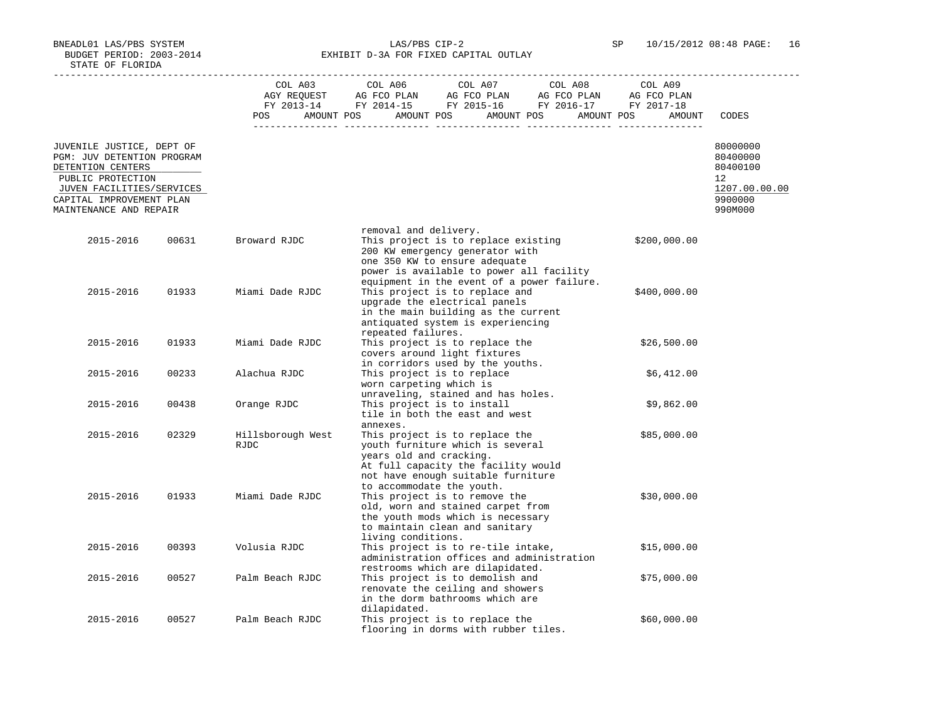BNEADL01 LAS/PBS SYSTEM LAS/PBS CIP-2 SP 10/15/2012 08:48 PAGE: 16 BUDGET PERIOD: 2003-2014 **EXHIBIT D-3A FOR FIXED CAPITAL OUTLAY** 

-----------------------------------------------------------------------------------------------------------------------------------

|                                                                                                                                                                                      |       | COL A03<br>AGY REQUEST<br>FY 2013-14<br>AMOUNT POS<br>POS | COL A06<br>AG FCO PLAN<br>FY 2014-15 | COL A07<br>AG FCO PLAN<br>FY 2015-16<br>AMOUNT POS<br>AMOUNT POS                                                                                                                          | COL A08<br>AG FCO PLAN<br>FY 2016-17<br>AMOUNT POS | COL A09<br>AG FCO PLAN<br>FY 2017-18<br>AMOUNT | CODES                                                                         |
|--------------------------------------------------------------------------------------------------------------------------------------------------------------------------------------|-------|-----------------------------------------------------------|--------------------------------------|-------------------------------------------------------------------------------------------------------------------------------------------------------------------------------------------|----------------------------------------------------|------------------------------------------------|-------------------------------------------------------------------------------|
| JUVENILE JUSTICE, DEPT OF<br>PGM: JUV DETENTION PROGRAM<br>DETENTION CENTERS<br>PUBLIC PROTECTION<br>JUVEN FACILITIES/SERVICES<br>CAPITAL IMPROVEMENT PLAN<br>MAINTENANCE AND REPAIR |       |                                                           |                                      |                                                                                                                                                                                           |                                                    |                                                | 80000000<br>80400000<br>80400100<br>12<br>1207.00.00.00<br>9900000<br>990M000 |
| 2015-2016                                                                                                                                                                            | 00631 | Broward RJDC                                              | removal and delivery.                | This project is to replace existing<br>200 KW emergency generator with<br>one 350 KW to ensure adequate<br>power is available to power all facility                                       |                                                    | \$200,000.00                                   |                                                                               |
| 2015-2016                                                                                                                                                                            | 01933 | Miami Dade RJDC                                           | repeated failures.                   | equipment in the event of a power failure.<br>This project is to replace and<br>upgrade the electrical panels<br>in the main building as the current<br>antiquated system is experiencing |                                                    | \$400,000.00                                   |                                                                               |
| 2015-2016                                                                                                                                                                            | 01933 | Miami Dade RJDC                                           |                                      | This project is to replace the<br>covers around light fixtures<br>in corridors used by the youths.                                                                                        |                                                    | \$26,500.00                                    |                                                                               |
| 2015-2016                                                                                                                                                                            | 00233 | Alachua RJDC                                              | worn carpeting which is              | This project is to replace                                                                                                                                                                |                                                    | \$6,412.00                                     |                                                                               |
| 2015-2016                                                                                                                                                                            | 00438 | Orange RJDC                                               |                                      | unraveling, stained and has holes.<br>This project is to install<br>tile in both the east and west                                                                                        |                                                    | \$9,862.00                                     |                                                                               |
| 2015-2016                                                                                                                                                                            | 02329 | Hillsborough West<br>RJDC                                 | annexes.<br>years old and cracking.  | This project is to replace the<br>youth furniture which is several<br>At full capacity the facility would<br>not have enough suitable furniture<br>to accommodate the youth.              |                                                    | \$85,000.00                                    |                                                                               |
| 2015-2016                                                                                                                                                                            | 01933 | Miami Dade RJDC                                           | living conditions.                   | This project is to remove the<br>old, worn and stained carpet from<br>the youth mods which is necessary<br>to maintain clean and sanitary                                                 |                                                    | \$30,000.00                                    |                                                                               |
| 2015-2016                                                                                                                                                                            | 00393 | Volusia RJDC                                              |                                      | This project is to re-tile intake,<br>administration offices and administration<br>restrooms which are dilapidated.                                                                       |                                                    | \$15,000.00                                    |                                                                               |
| 2015-2016                                                                                                                                                                            | 00527 | Palm Beach RJDC                                           | dilapidated.                         | This project is to demolish and<br>renovate the ceiling and showers<br>in the dorm bathrooms which are                                                                                    |                                                    | \$75,000.00                                    |                                                                               |
| 2015-2016                                                                                                                                                                            | 00527 | Palm Beach RJDC                                           |                                      | This project is to replace the<br>flooring in dorms with rubber tiles.                                                                                                                    |                                                    | \$60,000.00                                    |                                                                               |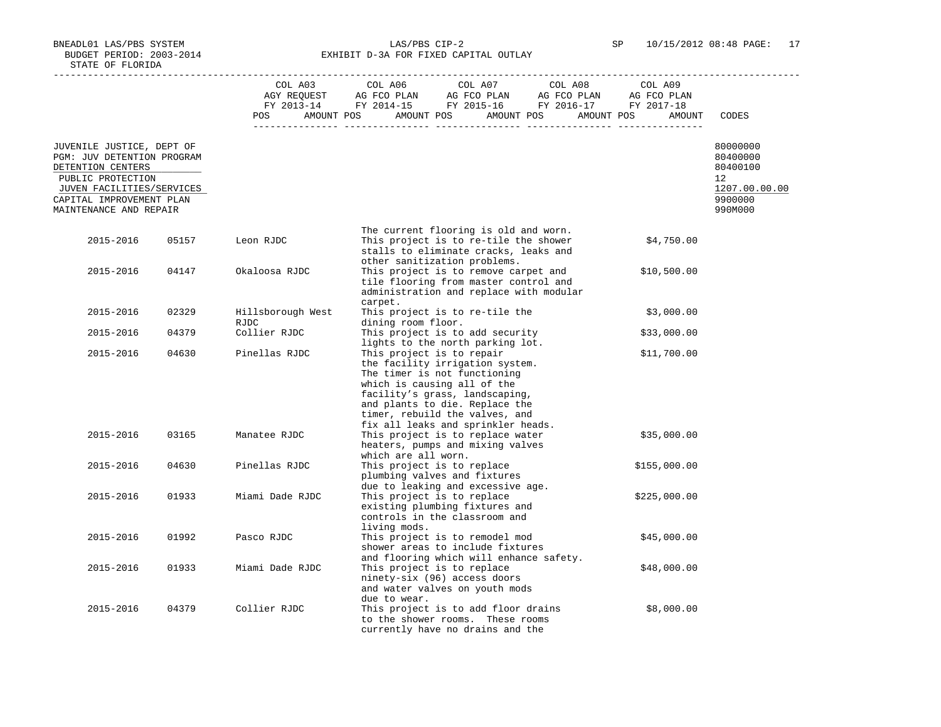BNEADL01 LAS/PBS SYSTEM LAS/PBS CIP-2 SP 10/15/2012 08:48 PAGE: 17 BUDGET PERIOD: 2003-2014 **EXHIBIT D-3A FOR FIXED CAPITAL OUTLAY** 

|                                                                                 |       | COL A03<br>POS FOR        | COL A06<br>COL A07<br>COL A08<br>COL A03 COL A06 COL A07 COL A08 COL A09<br>AGY REQUEST AG FCO PLAN AG FCO PLAN AG FCO PLAN AG FCO PLAN<br>FY 2013-14 FY 2014-15 FY 2015-16 FY 2016-17 FY 2017-18<br>AMOUNT POS AMOUNT POS AMOUNT POS AMOUNT POS                        | COL A09<br>AMOUNT | CODES                               |
|---------------------------------------------------------------------------------|-------|---------------------------|-------------------------------------------------------------------------------------------------------------------------------------------------------------------------------------------------------------------------------------------------------------------------|-------------------|-------------------------------------|
| JUVENILE JUSTICE, DEPT OF<br>PGM: JUV DETENTION PROGRAM<br>DETENTION CENTERS    |       |                           |                                                                                                                                                                                                                                                                         |                   | 80000000<br>80400000<br>80400100    |
| PUBLIC PROTECTION                                                               |       |                           |                                                                                                                                                                                                                                                                         |                   | 12                                  |
| JUVEN FACILITIES/SERVICES<br>CAPITAL IMPROVEMENT PLAN<br>MAINTENANCE AND REPAIR |       |                           |                                                                                                                                                                                                                                                                         |                   | 1207.00.00.00<br>9900000<br>990M000 |
|                                                                                 |       |                           |                                                                                                                                                                                                                                                                         |                   |                                     |
| 2015-2016                                                                       | 05157 | Leon RJDC                 | The current flooring is old and worn.<br>This project is to re-tile the shower<br>stalls to eliminate cracks, leaks and<br>other sanitization problems.                                                                                                                 | \$4,750.00        |                                     |
| 2015-2016                                                                       | 04147 | Okaloosa RJDC             | This project is to remove carpet and<br>tile flooring from master control and<br>administration and replace with modular<br>carpet.                                                                                                                                     | \$10,500.00       |                                     |
| 2015-2016                                                                       | 02329 | Hillsborough West<br>RJDC | This project is to re-tile the<br>dining room floor.                                                                                                                                                                                                                    | \$3,000.00        |                                     |
| 2015-2016                                                                       | 04379 | Collier RJDC              | This project is to add security<br>lights to the north parking lot.                                                                                                                                                                                                     | \$33,000.00       |                                     |
| 2015-2016                                                                       | 04630 | Pinellas RJDC             | This project is to repair<br>the facility irrigation system.<br>The timer is not functioning<br>which is causing all of the<br>facility's grass, landscaping,<br>and plants to die. Replace the<br>timer, rebuild the valves, and<br>fix all leaks and sprinkler heads. | \$11,700.00       |                                     |
| 2015-2016                                                                       | 03165 | Manatee RJDC              | This project is to replace water<br>heaters, pumps and mixing valves<br>which are all worn.                                                                                                                                                                             | \$35,000.00       |                                     |
| 2015-2016                                                                       | 04630 | Pinellas RJDC             | This project is to replace<br>plumbing valves and fixtures                                                                                                                                                                                                              | \$155,000.00      |                                     |
| 2015-2016                                                                       | 01933 | Miami Dade RJDC           | due to leaking and excessive age.<br>This project is to replace<br>existing plumbing fixtures and<br>controls in the classroom and<br>living mods.                                                                                                                      | \$225,000.00      |                                     |
| 2015-2016                                                                       | 01992 | Pasco RJDC                | This project is to remodel mod<br>shower areas to include fixtures<br>and flooring which will enhance safety.                                                                                                                                                           | \$45,000.00       |                                     |
| 2015-2016                                                                       | 01933 | Miami Dade RJDC           | This project is to replace<br>ninety-six (96) access doors<br>and water valves on youth mods<br>due to wear.                                                                                                                                                            | \$48,000.00       |                                     |
| 2015-2016                                                                       | 04379 | Collier RJDC              | This project is to add floor drains<br>to the shower rooms. These rooms<br>currently have no drains and the                                                                                                                                                             | \$8,000.00        |                                     |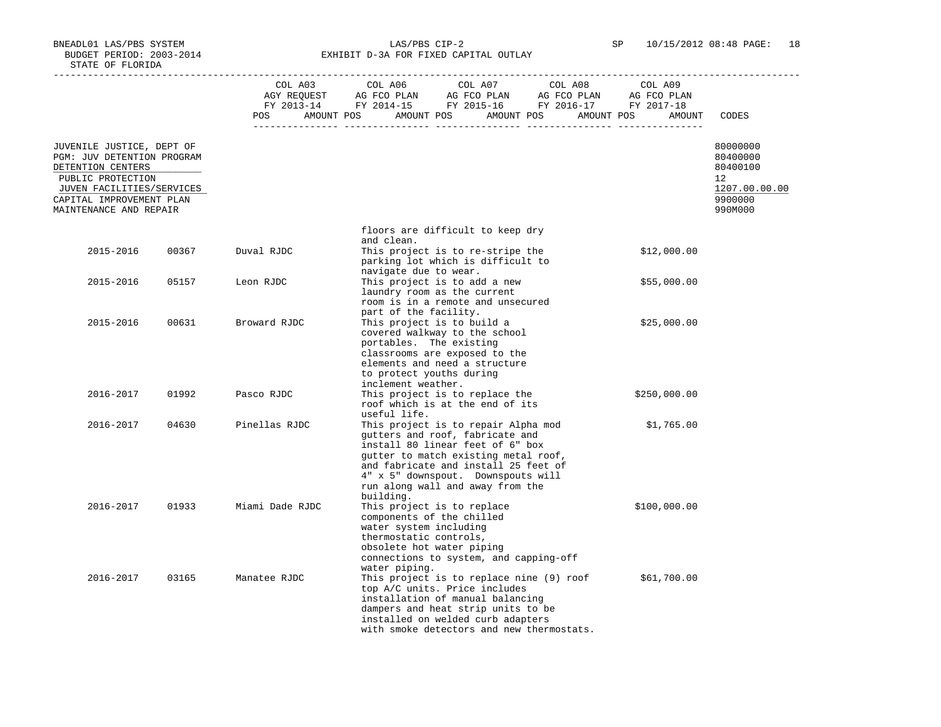BNEADL01 LAS/PBS SYSTEM LAS/PBS CIP-2 SP 10/15/2012 08:48 PAGE: 18 BUDGET PERIOD: 2003-2014 **EXHIBIT D-3A FOR FIXED CAPITAL OUTLAY** 

|                                                                                                                                                                                      |       |                 | COL A03 COL A06 COL A07 COL A08<br>POS AMOUNT POS AMOUNT POS AMOUNT POS AMOUNT POS                                                                                                                                                                                                                | COL A09<br>AMOUNT | CODES                                                                         |
|--------------------------------------------------------------------------------------------------------------------------------------------------------------------------------------|-------|-----------------|---------------------------------------------------------------------------------------------------------------------------------------------------------------------------------------------------------------------------------------------------------------------------------------------------|-------------------|-------------------------------------------------------------------------------|
| JUVENILE JUSTICE, DEPT OF<br>PGM: JUV DETENTION PROGRAM<br>DETENTION CENTERS<br>PUBLIC PROTECTION<br>JUVEN FACILITIES/SERVICES<br>CAPITAL IMPROVEMENT PLAN<br>MAINTENANCE AND REPAIR |       |                 |                                                                                                                                                                                                                                                                                                   |                   | 80000000<br>80400000<br>80400100<br>12<br>1207.00.00.00<br>9900000<br>990M000 |
|                                                                                                                                                                                      |       |                 |                                                                                                                                                                                                                                                                                                   |                   |                                                                               |
|                                                                                                                                                                                      |       |                 | floors are difficult to keep dry<br>and clean.                                                                                                                                                                                                                                                    |                   |                                                                               |
| 2015-2016                                                                                                                                                                            | 00367 | Duval RJDC      | This project is to re-stripe the<br>parking lot which is difficult to                                                                                                                                                                                                                             | \$12,000.00       |                                                                               |
| 2015-2016                                                                                                                                                                            | 05157 | Leon RJDC       | navigate due to wear.<br>This project is to add a new<br>laundry room as the current<br>room is in a remote and unsecured                                                                                                                                                                         | \$55,000.00       |                                                                               |
| 2015-2016                                                                                                                                                                            | 00631 | Broward RJDC    | part of the facility.<br>This project is to build a<br>covered walkway to the school<br>portables. The existing<br>classrooms are exposed to the<br>elements and need a structure<br>to protect youths during                                                                                     | \$25,000.00       |                                                                               |
| 2016-2017                                                                                                                                                                            | 01992 | Pasco RJDC      | inclement weather.<br>This project is to replace the<br>roof which is at the end of its                                                                                                                                                                                                           | \$250,000.00      |                                                                               |
| 2016-2017                                                                                                                                                                            | 04630 | Pinellas RJDC   | useful life.<br>This project is to repair Alpha mod<br>qutters and roof, fabricate and<br>install 80 linear feet of 6" box<br>gutter to match existing metal roof,<br>and fabricate and install 25 feet of<br>4" x 5" downspout. Downspouts will<br>run along wall and away from the<br>building. | \$1,765.00        |                                                                               |
| 2016-2017                                                                                                                                                                            | 01933 | Miami Dade RJDC | This project is to replace<br>components of the chilled<br>water system including<br>thermostatic controls,<br>obsolete hot water piping<br>connections to system, and capping-off                                                                                                                | \$100,000.00      |                                                                               |
| 2016-2017                                                                                                                                                                            | 03165 | Manatee RJDC    | water piping.<br>This project is to replace nine $(9)$ roof $$61,700.00$<br>top A/C units. Price includes<br>installation of manual balancing<br>dampers and heat strip units to be<br>installed on welded curb adapters<br>with smoke detectors and new thermostats.                             |                   |                                                                               |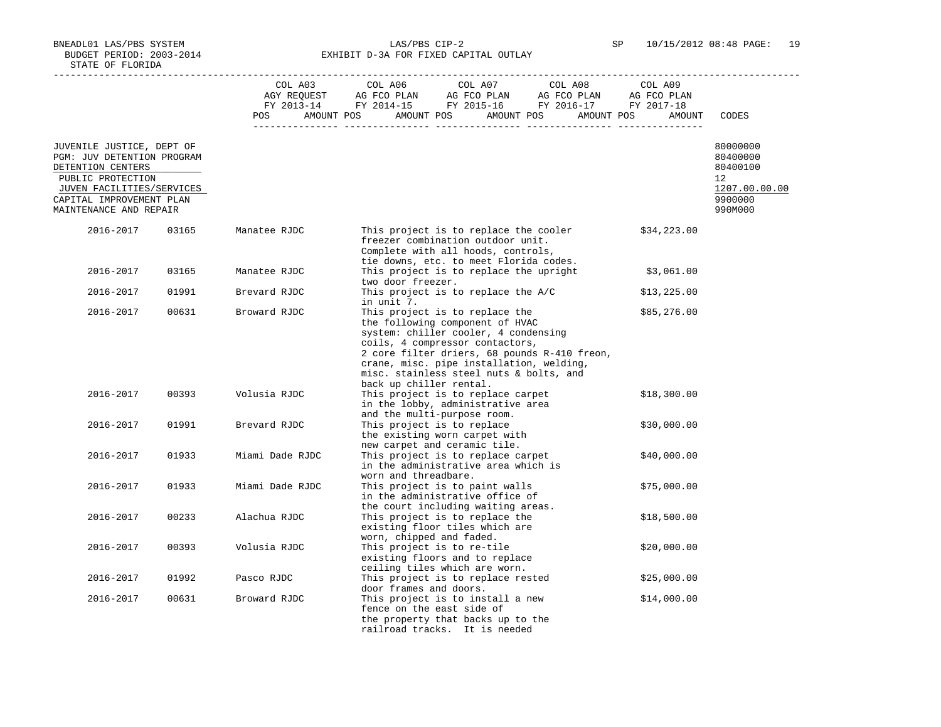BNEADL01 LAS/PBS SYSTEM LAS/PBS CIP-2 SP 10/15/2012 08:48 PAGE: 19 BUDGET PERIOD: 2003-2014 **EXHIBIT D-3A FOR FIXED CAPITAL OUTLAY** 

|                                                                              |       |                 | $\begin{tabular}{lcccc} CDL A03 & CDL A06 & CDL A07 & CDL A08 & CDL A09 \\ AGY REQUEST & AG FCO PLAN & AG FCO PLAN & AG FCO PLAN & AG FCO PLAN \\ FY & 2013-14 & FY & 2014-15 & FY & 2015-16 & FY & 2016-17 & FY & 2017-18 \\ \end{tabular}$<br>POS AMOUNT POS AMOUNT POS AMOUNT POS AMOUNT POS                | AMOUNT      | CODES                            |
|------------------------------------------------------------------------------|-------|-----------------|----------------------------------------------------------------------------------------------------------------------------------------------------------------------------------------------------------------------------------------------------------------------------------------------------------------|-------------|----------------------------------|
| JUVENILE JUSTICE, DEPT OF<br>PGM: JUV DETENTION PROGRAM<br>DETENTION CENTERS |       |                 |                                                                                                                                                                                                                                                                                                                |             | 80000000<br>80400000<br>80400100 |
| PUBLIC PROTECTION                                                            |       |                 |                                                                                                                                                                                                                                                                                                                |             | $12^{\circ}$                     |
| JUVEN FACILITIES/SERVICES                                                    |       |                 |                                                                                                                                                                                                                                                                                                                |             | 1207.00.00.00                    |
| CAPITAL IMPROVEMENT PLAN<br>MAINTENANCE AND REPAIR                           |       |                 |                                                                                                                                                                                                                                                                                                                |             | 9900000<br>990M000               |
| 2016-2017                                                                    | 03165 | Manatee RJDC    | This project is to replace the cooler<br>freezer combination outdoor unit.<br>Complete with all hoods, controls,<br>tie downs, etc. to meet Florida codes.                                                                                                                                                     | \$34,223.00 |                                  |
| 2016-2017                                                                    | 03165 | Manatee RJDC    | This project is to replace the upright<br>two door freezer.                                                                                                                                                                                                                                                    | \$3,061.00  |                                  |
| 2016-2017                                                                    | 01991 | Brevard RJDC    | This project is to replace the A/C<br>in unit 7.                                                                                                                                                                                                                                                               | \$13,225.00 |                                  |
| 2016-2017                                                                    | 00631 | Broward RJDC    | This project is to replace the<br>the following component of HVAC<br>system: chiller cooler, 4 condensing<br>coils, 4 compressor contactors,<br>2 core filter driers, 68 pounds R-410 freon,<br>crane, misc. pipe installation, welding,<br>misc. stainless steel nuts & bolts, and<br>back up chiller rental. | \$85,276.00 |                                  |
| 2016-2017                                                                    | 00393 | Volusia RJDC    | This project is to replace carpet<br>in the lobby, administrative area<br>and the multi-purpose room.                                                                                                                                                                                                          | \$18,300.00 |                                  |
| 2016-2017                                                                    | 01991 | Brevard RJDC    | This project is to replace<br>the existing worn carpet with<br>new carpet and ceramic tile.                                                                                                                                                                                                                    | \$30,000.00 |                                  |
| 2016-2017                                                                    | 01933 | Miami Dade RJDC | This project is to replace carpet<br>in the administrative area which is<br>worn and threadbare.                                                                                                                                                                                                               | \$40,000.00 |                                  |
| 2016-2017                                                                    | 01933 | Miami Dade RJDC | This project is to paint walls<br>in the administrative office of<br>the court including waiting areas.                                                                                                                                                                                                        | \$75,000.00 |                                  |
| 2016-2017                                                                    | 00233 | Alachua RJDC    | This project is to replace the<br>existing floor tiles which are<br>worn, chipped and faded.                                                                                                                                                                                                                   | \$18,500.00 |                                  |
| 2016-2017                                                                    | 00393 | Volusia RJDC    | This project is to re-tile<br>existing floors and to replace<br>ceiling tiles which are worn.                                                                                                                                                                                                                  | \$20,000.00 |                                  |
| 2016-2017                                                                    | 01992 | Pasco RJDC      | This project is to replace rested<br>door frames and doors.                                                                                                                                                                                                                                                    | \$25,000.00 |                                  |
| 2016-2017                                                                    | 00631 | Broward RJDC    | This project is to install a new<br>fence on the east side of<br>the property that backs up to the<br>railroad tracks. It is needed                                                                                                                                                                            | \$14,000.00 |                                  |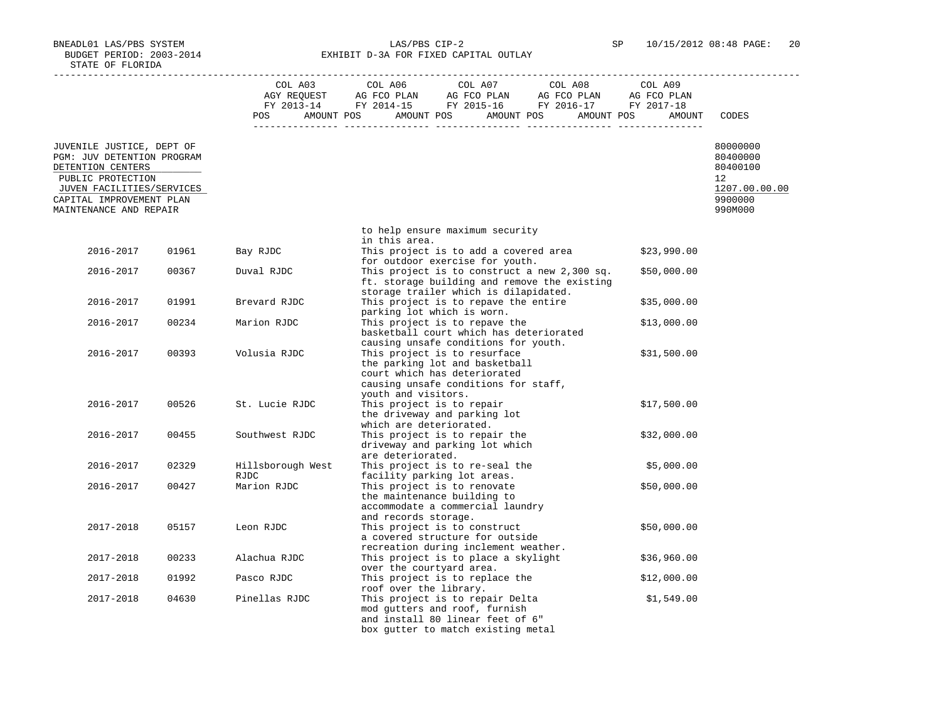BNEADL01 LAS/PBS SYSTEM LAS/PBS CIP-2 SP 10/15/2012 08:48 PAGE: 20 BUDGET PERIOD: 2003-2014 **EXHIBIT D-3A FOR FIXED CAPITAL OUTLAY** 

|                                                                              |       | POS                       | $\begin{tabular}{lcccc} CDL A03 & CDL A06 & CDL A07 & CDL A08 & CDL A09 \\ AGY REQUEST & AG FCO PLAN & AG FCO PLAN & AG FCO PLAN & AG FCO PLAN \\ FY & 2013-14 & FY & 2014-15 & FY & 2015-16 & FY & 2016-17 & FY & 2017-18 \\ \end{tabular}$<br>AMOUNT POS AMOUNT POS AMOUNT POS AMOUNT POS<br>AMOUNT | CODES                                       |
|------------------------------------------------------------------------------|-------|---------------------------|-------------------------------------------------------------------------------------------------------------------------------------------------------------------------------------------------------------------------------------------------------------------------------------------------------|---------------------------------------------|
| JUVENILE JUSTICE, DEPT OF<br>PGM: JUV DETENTION PROGRAM<br>DETENTION CENTERS |       |                           |                                                                                                                                                                                                                                                                                                       | 80000000<br>80400000<br>80400100            |
| PUBLIC PROTECTION<br>JUVEN FACILITIES/SERVICES<br>CAPITAL IMPROVEMENT PLAN   |       |                           |                                                                                                                                                                                                                                                                                                       | 12 <sup>1</sup><br>1207.00.00.00<br>9900000 |
| MAINTENANCE AND REPAIR                                                       |       |                           |                                                                                                                                                                                                                                                                                                       | 990M000                                     |
|                                                                              |       |                           | to help ensure maximum security<br>in this area.                                                                                                                                                                                                                                                      |                                             |
| 2016-2017                                                                    | 01961 | Bay RJDC                  | This project is to add a covered area<br>\$23,990.00<br>for outdoor exercise for youth.                                                                                                                                                                                                               |                                             |
| 2016-2017                                                                    | 00367 | Duval RJDC                | This project is to construct a new 2,300 sq.<br>\$50,000.00<br>ft. storage building and remove the existing<br>storage trailer which is dilapidated.                                                                                                                                                  |                                             |
| 2016-2017                                                                    | 01991 | Brevard RJDC              | This project is to repave the entire<br>\$35,000.00<br>parking lot which is worn.                                                                                                                                                                                                                     |                                             |
| 2016-2017                                                                    | 00234 | Marion RJDC               | This project is to repave the<br>\$13,000.00<br>basketball court which has deteriorated<br>causing unsafe conditions for youth.                                                                                                                                                                       |                                             |
| 2016-2017                                                                    | 00393 | Volusia RJDC              | This project is to resurface<br>\$31,500.00<br>the parking lot and basketball<br>court which has deteriorated<br>causing unsafe conditions for staff,<br>youth and visitors.                                                                                                                          |                                             |
| 2016-2017                                                                    | 00526 | St. Lucie RJDC            | This project is to repair<br>\$17,500.00<br>the driveway and parking lot<br>which are deteriorated.                                                                                                                                                                                                   |                                             |
| 2016-2017                                                                    | 00455 | Southwest RJDC            | This project is to repair the<br>\$32,000.00<br>driveway and parking lot which<br>are deteriorated.                                                                                                                                                                                                   |                                             |
| 2016-2017                                                                    | 02329 | Hillsborough West<br>RJDC | This project is to re-seal the<br>\$5,000.00<br>facility parking lot areas.                                                                                                                                                                                                                           |                                             |
| 2016-2017                                                                    | 00427 | Marion RJDC               | This project is to renovate<br>\$50,000.00<br>the maintenance building to<br>accommodate a commercial laundry<br>and records storage.                                                                                                                                                                 |                                             |
| 2017-2018                                                                    | 05157 | Leon RJDC                 | This project is to construct<br>\$50,000.00<br>a covered structure for outside<br>recreation during inclement weather.                                                                                                                                                                                |                                             |
| 2017-2018                                                                    | 00233 | Alachua RJDC              | This project is to place a skylight<br>\$36,960.00<br>over the courtyard area.                                                                                                                                                                                                                        |                                             |
| 2017-2018                                                                    | 01992 | Pasco RJDC                | This project is to replace the<br>\$12,000.00<br>roof over the library.                                                                                                                                                                                                                               |                                             |
| 2017-2018                                                                    | 04630 | Pinellas RJDC             | This project is to repair Delta<br>\$1,549.00<br>mod gutters and roof, furnish<br>and install 80 linear feet of 6"<br>box gutter to match existing metal                                                                                                                                              |                                             |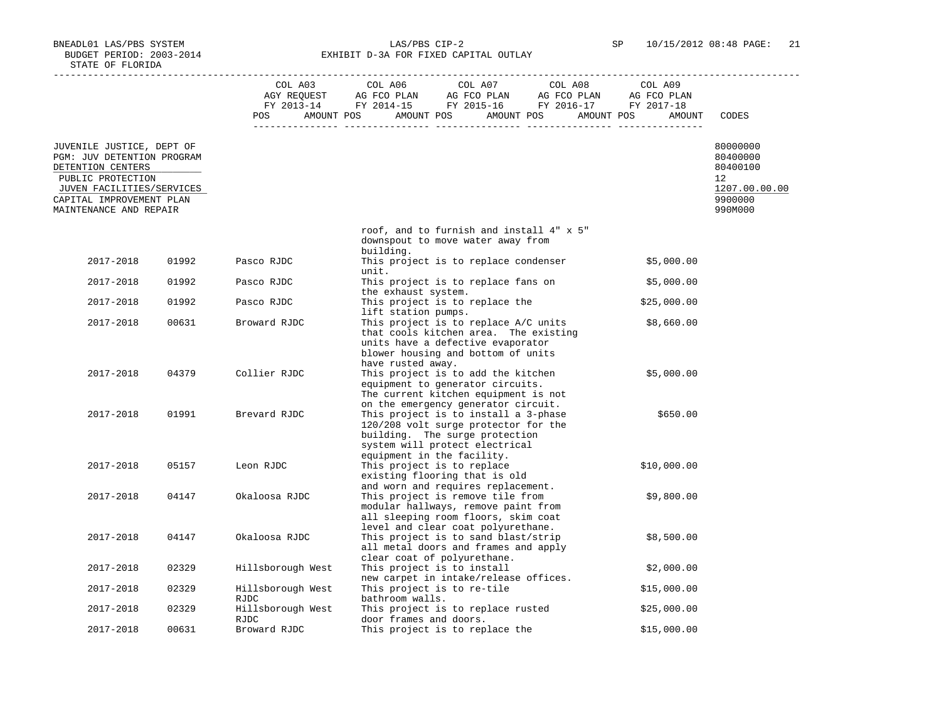BNEADL01 LAS/PBS SYSTEM LAS/PBS CIP-2 SP 10/15/2012 08:48 PAGE: 21 BUDGET PERIOD: 2003-2014 **EXHIBIT D-3A FOR FIXED CAPITAL OUTLAY** 

|                                                                              |       |                                                                                                                | $\begin{tabular}{lcccccc} CDL A03 & CDL A06 & CDL A07 & CDL A08 & CDL A09 \\ AGY REQUEST & AG FCO PLAN & AG FCO PLAN & AG FCO PLAN & AG FCO PLAN \\ FY & 2013-14 & FY & 2014-15 & FY & 2015-16 & FY & 2016-17 & FY & 2017-18 \\ \end{tabular}$ |             |                                  |
|------------------------------------------------------------------------------|-------|----------------------------------------------------------------------------------------------------------------|------------------------------------------------------------------------------------------------------------------------------------------------------------------------------------------------------------------------------------------------|-------------|----------------------------------|
|                                                                              |       |                                                                                                                |                                                                                                                                                                                                                                                |             |                                  |
|                                                                              |       | POS FOR THE POST OF THE STATE STATE STATE STATE STATE STATE STATE STATE STATE STATE STATE STATE STATE STATE ST | AMOUNT POS AMOUNT POS AMOUNT POS AMOUNT POS                                                                                                                                                                                                    | AMOUNT      | CODES                            |
|                                                                              |       |                                                                                                                |                                                                                                                                                                                                                                                |             |                                  |
| JUVENILE JUSTICE, DEPT OF<br>PGM: JUV DETENTION PROGRAM<br>DETENTION CENTERS |       |                                                                                                                |                                                                                                                                                                                                                                                |             | 80000000<br>80400000<br>80400100 |
| PUBLIC PROTECTION                                                            |       |                                                                                                                |                                                                                                                                                                                                                                                |             | 12 <sup>°</sup>                  |
| JUVEN FACILITIES/SERVICES                                                    |       |                                                                                                                |                                                                                                                                                                                                                                                |             | 1207.00.00.00                    |
| CAPITAL IMPROVEMENT PLAN<br>MAINTENANCE AND REPAIR                           |       |                                                                                                                |                                                                                                                                                                                                                                                |             | 9900000<br>990M000               |
|                                                                              |       |                                                                                                                | roof, and to furnish and install 4" x 5"<br>downspout to move water away from<br>building.                                                                                                                                                     |             |                                  |
| 2017-2018                                                                    | 01992 | Pasco RJDC                                                                                                     | This project is to replace condenser<br>unit.                                                                                                                                                                                                  | \$5,000.00  |                                  |
| 2017-2018                                                                    | 01992 | Pasco RJDC                                                                                                     | This project is to replace fans on<br>the exhaust system.                                                                                                                                                                                      | \$5,000.00  |                                  |
| 2017-2018                                                                    | 01992 | Pasco RJDC                                                                                                     | This project is to replace the<br>lift station pumps.                                                                                                                                                                                          | \$25,000.00 |                                  |
| 2017-2018                                                                    | 00631 | Broward RJDC                                                                                                   | This project is to replace A/C units<br>that cools kitchen area. The existing<br>units have a defective evaporator                                                                                                                             | \$8,660.00  |                                  |
| 2017-2018                                                                    | 04379 | Collier RJDC                                                                                                   | blower housing and bottom of units<br>have rusted away.<br>This project is to add the kitchen                                                                                                                                                  | \$5,000.00  |                                  |
|                                                                              |       |                                                                                                                | equipment to generator circuits.<br>The current kitchen equipment is not<br>on the emergency generator circuit.                                                                                                                                |             |                                  |
| 2017-2018                                                                    | 01991 | Brevard RJDC                                                                                                   | This project is to install a 3-phase<br>120/208 volt surge protector for the<br>building. The surge protection<br>system will protect electrical                                                                                               | \$650.00    |                                  |
| 2017-2018                                                                    | 05157 | Leon RJDC                                                                                                      | equipment in the facility.<br>This project is to replace<br>existing flooring that is old                                                                                                                                                      | \$10,000.00 |                                  |
| 2017-2018                                                                    | 04147 | Okaloosa RJDC                                                                                                  | and worn and requires replacement.<br>This project is remove tile from<br>modular hallways, remove paint from<br>all sleeping room floors, skim coat                                                                                           | \$9,800.00  |                                  |
| 2017-2018                                                                    | 04147 | Okaloosa RJDC                                                                                                  | level and clear coat polyurethane.<br>This project is to sand blast/strip<br>all metal doors and frames and apply                                                                                                                              | \$8,500.00  |                                  |
| 2017-2018                                                                    | 02329 | Hillsborough West                                                                                              | clear coat of polyurethane.<br>This project is to install                                                                                                                                                                                      | \$2,000.00  |                                  |
| 2017-2018                                                                    | 02329 | Hillsborough West<br>RJDC                                                                                      | new carpet in intake/release offices.<br>This project is to re-tile<br>bathroom walls.                                                                                                                                                         | \$15,000.00 |                                  |
| 2017-2018                                                                    | 02329 | Hillsborough West<br><b>RJDC</b>                                                                               | This project is to replace rusted<br>door frames and doors.                                                                                                                                                                                    | \$25,000.00 |                                  |
| 2017-2018                                                                    | 00631 | Broward RJDC                                                                                                   | This project is to replace the                                                                                                                                                                                                                 | \$15,000.00 |                                  |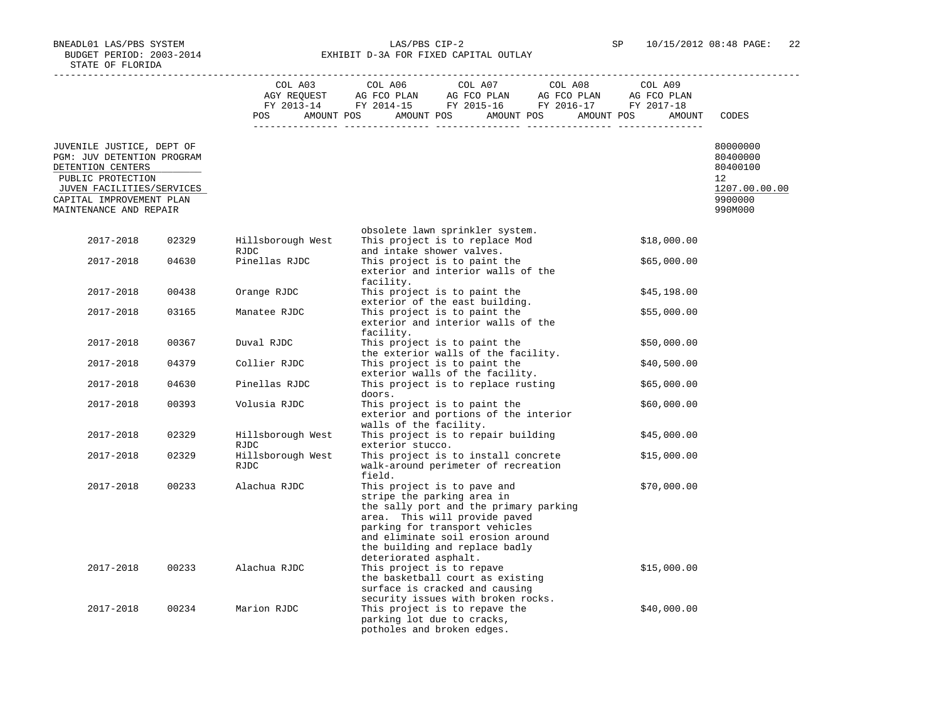BNEADL01 LAS/PBS SYSTEM LAS/PBS CIP-2 SP 10/15/2012 08:48 PAGE: 22 BUDGET PERIOD: 2003-2014 **EXHIBIT D-3A FOR FIXED CAPITAL OUTLAY** 

|                                                         |       | COL A03                          | COL A06<br>COL A07<br>COL A08<br>COL A09                                                                                                                                                                                                                                              |                             |
|---------------------------------------------------------|-------|----------------------------------|---------------------------------------------------------------------------------------------------------------------------------------------------------------------------------------------------------------------------------------------------------------------------------------|-----------------------------|
|                                                         |       | POS                              | AMOUNT POS AMOUNT POS AMOUNT POS AMOUNT POS<br>AMOUNT                                                                                                                                                                                                                                 | CODES                       |
| JUVENILE JUSTICE, DEPT OF<br>PGM: JUV DETENTION PROGRAM |       |                                  |                                                                                                                                                                                                                                                                                       | 80000000<br>80400000        |
| DETENTION CENTERS<br>PUBLIC PROTECTION                  |       |                                  |                                                                                                                                                                                                                                                                                       | 80400100<br>12 <sup>°</sup> |
| JUVEN FACILITIES/SERVICES                               |       |                                  |                                                                                                                                                                                                                                                                                       | 1207.00.00.00               |
| CAPITAL IMPROVEMENT PLAN<br>MAINTENANCE AND REPAIR      |       |                                  |                                                                                                                                                                                                                                                                                       | 9900000<br>990M000          |
|                                                         |       |                                  | obsolete lawn sprinkler system.                                                                                                                                                                                                                                                       |                             |
| 2017-2018                                               | 02329 | Hillsborough West<br>RJDC        | This project is to replace Mod<br>\$18,000.00<br>and intake shower valves.                                                                                                                                                                                                            |                             |
| 2017-2018                                               | 04630 | Pinellas RJDC                    | This project is to paint the<br>\$65,000.00<br>exterior and interior walls of the<br>facility.                                                                                                                                                                                        |                             |
| 2017-2018                                               | 00438 | Orange RJDC                      | This project is to paint the<br>\$45,198.00<br>exterior of the east building.                                                                                                                                                                                                         |                             |
| 2017-2018                                               | 03165 | Manatee RJDC                     | This project is to paint the<br>\$55,000.00<br>exterior and interior walls of the<br>facility.                                                                                                                                                                                        |                             |
| 2017-2018                                               | 00367 | Duval RJDC                       | This project is to paint the<br>\$50,000.00<br>the exterior walls of the facility.                                                                                                                                                                                                    |                             |
| 2017-2018                                               | 04379 | Collier RJDC                     | This project is to paint the<br>\$40,500.00<br>exterior walls of the facility.                                                                                                                                                                                                        |                             |
| 2017-2018                                               | 04630 | Pinellas RJDC                    | This project is to replace rusting<br>\$65,000.00<br>doors.                                                                                                                                                                                                                           |                             |
| 2017-2018                                               | 00393 | Volusia RJDC                     | This project is to paint the<br>\$60,000.00<br>exterior and portions of the interior<br>walls of the facility.                                                                                                                                                                        |                             |
| 2017-2018                                               | 02329 | Hillsborough West<br><b>RJDC</b> | This project is to repair building<br>\$45,000.00<br>exterior stucco.                                                                                                                                                                                                                 |                             |
| 2017-2018                                               | 02329 | Hillsborough West<br><b>RJDC</b> | This project is to install concrete<br>\$15,000.00<br>walk-around perimeter of recreation<br>field.                                                                                                                                                                                   |                             |
| 2017-2018                                               | 00233 | Alachua RJDC                     | This project is to pave and<br>\$70,000.00<br>stripe the parking area in<br>the sally port and the primary parking<br>area. This will provide paved<br>parking for transport vehicles<br>and eliminate soil erosion around<br>the building and replace badly<br>deteriorated asphalt. |                             |
| 2017-2018                                               | 00233 | Alachua RJDC                     | This project is to repave<br>\$15,000.00<br>the basketball court as existing<br>surface is cracked and causing<br>security issues with broken rocks.                                                                                                                                  |                             |
| 2017-2018                                               | 00234 | Marion RJDC                      | This project is to repave the<br>\$40,000.00<br>parking lot due to cracks,<br>potholes and broken edges.                                                                                                                                                                              |                             |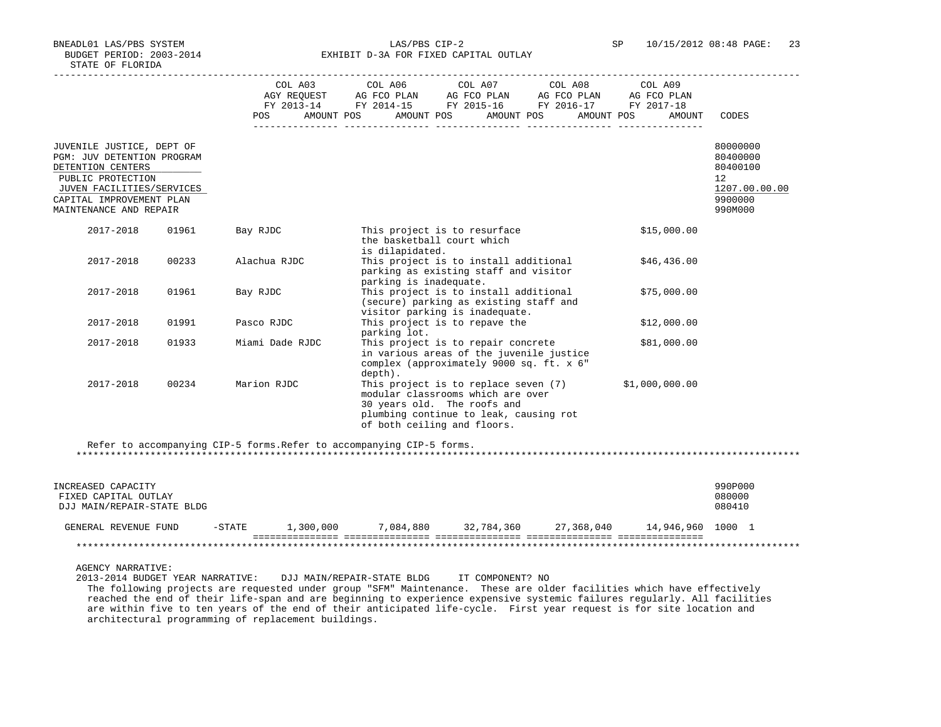BNEADL01 LAS/PBS SYSTEM LAS/PBS CIP-2 SP 10/15/2012 08:48 PAGE: 23 BUDGET PERIOD: 2003-2014 **EXHIBIT D-3A FOR FIXED CAPITAL OUTLAY** 

|                                                                                                                                                                                             |       | COL A03         | COL A06<br>AGY REQUEST AG FCO PLAN AG FCO PLAN AG FCO PLAN AG FCO PLAN<br>FY 2013-14 FY 2014-15 FY 2015-16 FY 2016-17 FY 2017-18                                                  | COL A07 COL A08 | COL A09        |                                                                               |
|---------------------------------------------------------------------------------------------------------------------------------------------------------------------------------------------|-------|-----------------|-----------------------------------------------------------------------------------------------------------------------------------------------------------------------------------|-----------------|----------------|-------------------------------------------------------------------------------|
|                                                                                                                                                                                             |       | <b>POS</b>      | AMOUNT POS AMOUNT POS AMOUNT POS AMOUNT POS                                                                                                                                       |                 | AMOUNT         | CODES                                                                         |
| JUVENILE JUSTICE, DEPT OF<br><b>PGM: JUV DETENTION PROGRAM</b><br>DETENTION CENTERS<br>PUBLIC PROTECTION<br>JUVEN FACILITIES/SERVICES<br>CAPITAL IMPROVEMENT PLAN<br>MAINTENANCE AND REPAIR |       |                 |                                                                                                                                                                                   |                 |                | 80000000<br>80400000<br>80400100<br>12<br>1207.00.00.00<br>9900000<br>990M000 |
| 2017-2018                                                                                                                                                                                   | 01961 | Bay RJDC        | This project is to resurface<br>the basketball court which<br>is dilapidated.                                                                                                     |                 | \$15,000.00    |                                                                               |
| 2017-2018                                                                                                                                                                                   | 00233 | Alachua RJDC    | This project is to install additional<br>parking as existing staff and visitor<br>parking is inadequate.                                                                          |                 | \$46,436.00    |                                                                               |
| 2017-2018                                                                                                                                                                                   | 01961 | Bay RJDC        | This project is to install additional<br>(secure) parking as existing staff and<br>visitor parking is inadequate.                                                                 |                 | \$75,000.00    |                                                                               |
| 2017-2018                                                                                                                                                                                   | 01991 | Pasco RJDC      | This project is to repave the<br>parking lot.                                                                                                                                     |                 | \$12,000.00    |                                                                               |
| 2017-2018                                                                                                                                                                                   | 01933 | Miami Dade RJDC | This project is to repair concrete<br>in various areas of the juvenile justice<br>complex (approximately 9000 sq. ft. x 6"<br>depth).                                             |                 | \$81,000.00    |                                                                               |
| 2017-2018                                                                                                                                                                                   | 00234 | Marion RJDC     | This project is to replace seven (7)<br>modular classrooms which are over<br>30 years old. The roofs and<br>plumbing continue to leak, causing rot<br>of both ceiling and floors. |                 | \$1,000,000.00 |                                                                               |

\*\*\*\*\*\*\*\*\*\*\*\*\*\*\*\*\*\*\*\*\*\*\*\*\*\*\*\*\*\*\*\*\*\*\*\*\*\*\*\*\*\*\*\*\*\*\*\*\*\*\*\*\*\*\*\*\*\*\*\*\*\*\*\*\*\*\*\*\*\*\*\*\*\*\*\*\*\*\*\*\*\*\*\*\*\*\*\*\*\*\*\*\*\*\*\*\*\*\*\*\*\*\*\*\*\*\*\*\*\*\*\*\*\*\*\*\*\*\*\*\*\*\*\*\*\*\*

| INCREASED CAPACITY<br>FIXED CAPITAL OUTLAY<br>DJJ MAIN/REPAIR-STATE BLDG |          |           |           |            |            |                   | 990P000<br>080000<br>080410 |
|--------------------------------------------------------------------------|----------|-----------|-----------|------------|------------|-------------------|-----------------------------|
| GENERAL REVENUE FUND                                                     | $-STATE$ | 1,300,000 | 7,084,880 | 32,784,360 | 27,368,040 | 14,946,960 1000 1 |                             |
|                                                                          |          |           |           |            |            |                   |                             |

AGENCY NARRATIVE:

 2013-2014 BUDGET YEAR NARRATIVE: DJJ MAIN/REPAIR-STATE BLDG IT COMPONENT? NO The following projects are requested under group "SFM" Maintenance. These are older facilities which have effectively reached the end of their life-span and are beginning to experience expensive systemic failures regularly. All facilities are within five to ten years of the end of their anticipated life-cycle. First year request is for site location and architectural programming of replacement buildings.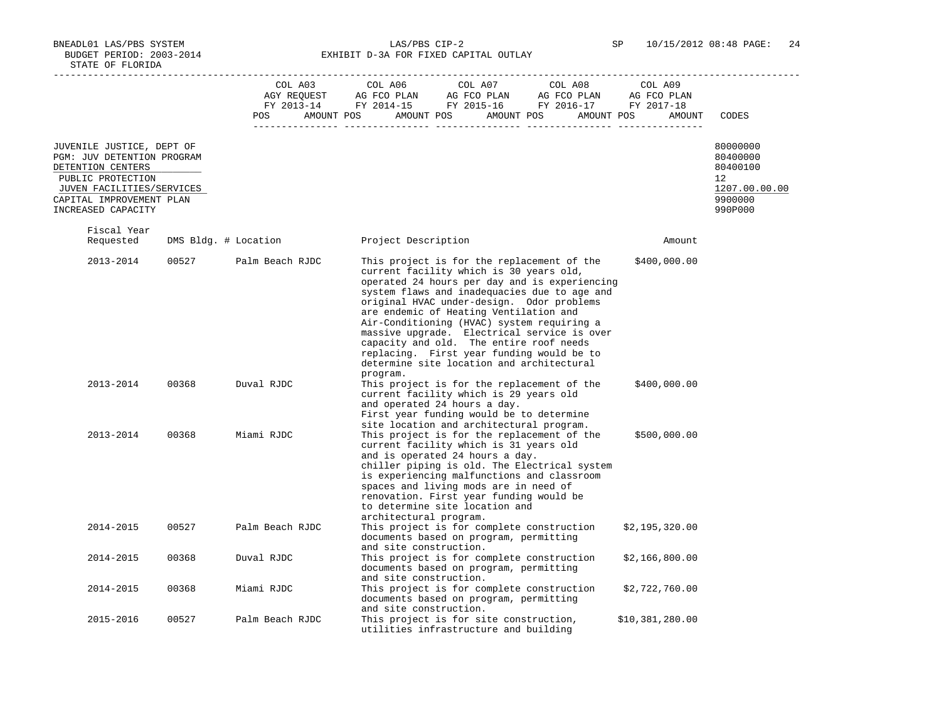BNEADL01 LAS/PBS SYSTEM LAS/PBS CIP-2 SP 10/15/2012 08:48 PAGE: 24 BUDGET PERIOD: 2003-2014 **EXHIBIT D-3A FOR FIXED CAPITAL OUTLAY** 

|                                                                                                 |       | COL A03              | COL A06<br>COL A07<br>COL A08<br>COL A09                                                                                                                                                                                                                                                                                                                                                                                                                                                                                                    |                                            |
|-------------------------------------------------------------------------------------------------|-------|----------------------|---------------------------------------------------------------------------------------------------------------------------------------------------------------------------------------------------------------------------------------------------------------------------------------------------------------------------------------------------------------------------------------------------------------------------------------------------------------------------------------------------------------------------------------------|--------------------------------------------|
|                                                                                                 |       | <b>POS</b>           | AMOUNT POS<br>AMOUNT POS<br>AMOUNT POS<br>AMOUNT POS<br>AMOUNT                                                                                                                                                                                                                                                                                                                                                                                                                                                                              | CODES                                      |
| JUVENILE JUSTICE, DEPT OF<br>PGM: JUV DETENTION PROGRAM                                         |       |                      |                                                                                                                                                                                                                                                                                                                                                                                                                                                                                                                                             | 80000000<br>80400000                       |
| DETENTION CENTERS<br>PUBLIC PROTECTION<br>JUVEN FACILITIES/SERVICES<br>CAPITAL IMPROVEMENT PLAN |       |                      |                                                                                                                                                                                                                                                                                                                                                                                                                                                                                                                                             | 80400100<br>12<br>1207.00.00.00<br>9900000 |
| INCREASED CAPACITY                                                                              |       |                      |                                                                                                                                                                                                                                                                                                                                                                                                                                                                                                                                             | 990P000                                    |
| Fiscal Year<br>Requested                                                                        |       | DMS Bldg. # Location | Project Description<br>Amount                                                                                                                                                                                                                                                                                                                                                                                                                                                                                                               |                                            |
| 2013-2014                                                                                       | 00527 | Palm Beach RJDC      | This project is for the replacement of the<br>\$400,000.00<br>current facility which is 30 years old,<br>operated 24 hours per day and is experiencing<br>system flaws and inadequacies due to age and<br>original HVAC under-design. Odor problems<br>are endemic of Heating Ventilation and<br>Air-Conditioning (HVAC) system requiring a<br>massive upgrade. Electrical service is over<br>capacity and old. The entire roof needs<br>replacing. First year funding would be to<br>determine site location and architectural<br>program. |                                            |
| 2013-2014                                                                                       | 00368 | Duval RJDC           | This project is for the replacement of the<br>\$400,000.00<br>current facility which is 29 years old<br>and operated 24 hours a day.<br>First year funding would be to determine<br>site location and architectural program.                                                                                                                                                                                                                                                                                                                |                                            |
| 2013-2014                                                                                       | 00368 | Miami RJDC           | This project is for the replacement of the<br>\$500,000.00<br>current facility which is 31 years old<br>and is operated 24 hours a day.<br>chiller piping is old. The Electrical system<br>is experiencing malfunctions and classroom<br>spaces and living mods are in need of<br>renovation. First year funding would be<br>to determine site location and<br>architectural program.                                                                                                                                                       |                                            |
| 2014-2015                                                                                       | 00527 | Palm Beach RJDC      | This project is for complete construction<br>\$2,195,320.00<br>documents based on program, permitting<br>and site construction.                                                                                                                                                                                                                                                                                                                                                                                                             |                                            |
| 2014-2015                                                                                       | 00368 | Duval RJDC           | This project is for complete construction<br>\$2,166,800.00<br>documents based on program, permitting<br>and site construction.                                                                                                                                                                                                                                                                                                                                                                                                             |                                            |
| 2014-2015                                                                                       | 00368 | Miami RJDC           | This project is for complete construction<br>\$2,722,760.00<br>documents based on program, permitting<br>and site construction.                                                                                                                                                                                                                                                                                                                                                                                                             |                                            |
| 2015-2016                                                                                       | 00527 | Palm Beach RJDC      | This project is for site construction,<br>\$10,381,280.00<br>utilities infrastructure and building                                                                                                                                                                                                                                                                                                                                                                                                                                          |                                            |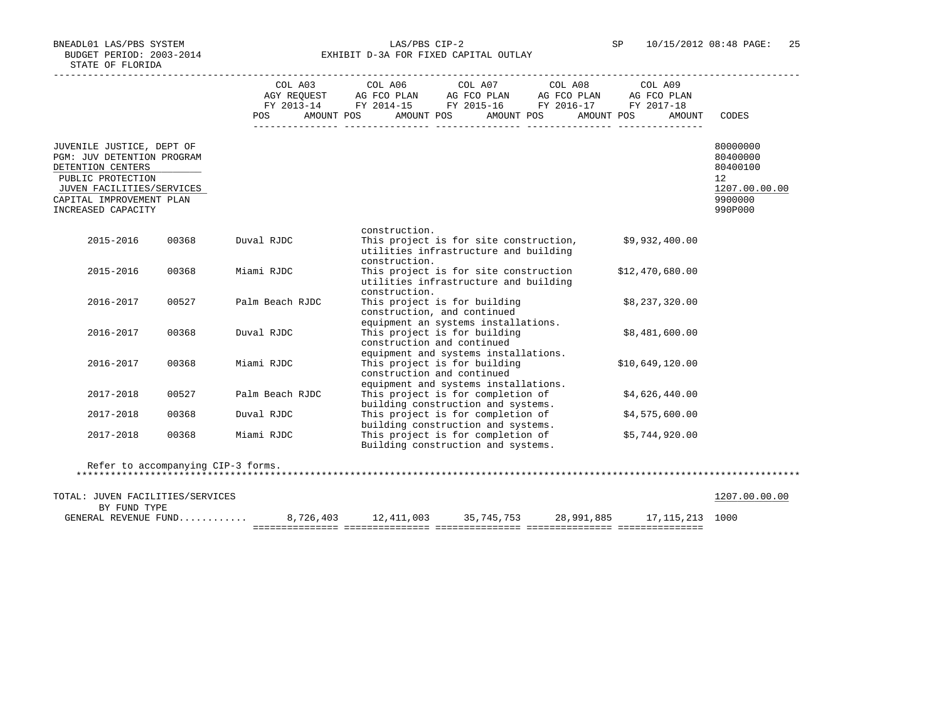BNEADL01 LAS/PBS SYSTEM LAS/PBS CIP-2 SP 10/15/2012 08:48 PAGE: 25 BUDGET PERIOD: 2003-2014 **EXHIBIT D-3A FOR FIXED CAPITAL OUTLAY** 

|                                  |       |                                    |               | COL A03 COL A06 COL A07 COL A08 COL A09 |            |                      |               |
|----------------------------------|-------|------------------------------------|---------------|-----------------------------------------|------------|----------------------|---------------|
|                                  |       |                                    |               |                                         |            |                      |               |
|                                  |       |                                    |               |                                         |            |                      |               |
|                                  |       | AMOUNT POS<br><b>POS</b>           |               | AMOUNT POS                              | AMOUNT POS | AMOUNT POS<br>AMOUNT | CODES         |
|                                  |       |                                    |               |                                         |            |                      |               |
|                                  |       |                                    |               |                                         |            |                      |               |
| JUVENILE JUSTICE, DEPT OF        |       |                                    |               |                                         |            |                      | 80000000      |
| PGM: JUV DETENTION PROGRAM       |       |                                    |               |                                         |            |                      | 80400000      |
| DETENTION CENTERS                |       |                                    |               |                                         |            |                      | 80400100      |
| PUBLIC PROTECTION                |       |                                    |               |                                         |            |                      | 12            |
| JUVEN FACILITIES/SERVICES        |       |                                    |               |                                         |            |                      | 1207.00.00.00 |
| CAPITAL IMPROVEMENT PLAN         |       |                                    |               |                                         |            |                      | 9900000       |
| INCREASED CAPACITY               |       |                                    |               |                                         |            |                      | 990P000       |
|                                  |       |                                    |               |                                         |            |                      |               |
|                                  |       |                                    | construction. |                                         |            |                      |               |
| 2015-2016                        | 00368 | Duval RJDC                         |               | This project is for site construction,  |            | \$9,932,400.00       |               |
|                                  |       |                                    |               | utilities infrastructure and building   |            |                      |               |
|                                  |       |                                    | construction. |                                         |            |                      |               |
| 2015-2016                        | 00368 | Miami RJDC                         |               | This project is for site construction   |            | \$12,470,680.00      |               |
|                                  |       |                                    |               | utilities infrastructure and building   |            |                      |               |
|                                  |       |                                    | construction. |                                         |            |                      |               |
| 2016-2017                        | 00527 | Palm Beach RJDC                    |               | This project is for building            |            | \$8,237,320.00       |               |
|                                  |       |                                    |               | construction, and continued             |            |                      |               |
|                                  |       |                                    |               | equipment an systems installations.     |            |                      |               |
| 2016-2017                        | 00368 | Duval RJDC                         |               | This project is for building            |            | \$8,481,600.00       |               |
|                                  |       |                                    |               | construction and continued              |            |                      |               |
|                                  |       |                                    |               | equipment and systems installations.    |            |                      |               |
| 2016-2017                        | 00368 | Miami RJDC                         |               | This project is for building            |            | \$10,649,120.00      |               |
|                                  |       |                                    |               | construction and continued              |            |                      |               |
|                                  |       |                                    |               | equipment and systems installations.    |            |                      |               |
| 2017-2018                        | 00527 | Palm Beach RJDC                    |               | This project is for completion of       |            | \$4,626,440.00       |               |
|                                  |       |                                    |               | building construction and systems.      |            |                      |               |
| 2017-2018                        | 00368 | Duval RJDC                         |               | This project is for completion of       |            | \$4,575,600.00       |               |
|                                  |       |                                    |               | building construction and systems.      |            |                      |               |
| 2017-2018                        | 00368 | Miami RJDC                         |               | This project is for completion of       |            | \$5,744,920.00       |               |
|                                  |       |                                    |               | Building construction and systems.      |            |                      |               |
|                                  |       |                                    |               |                                         |            |                      |               |
|                                  |       | Refer to accompanying CIP-3 forms. |               |                                         |            |                      |               |
|                                  |       |                                    |               |                                         |            |                      |               |
|                                  |       |                                    |               |                                         |            |                      |               |
| TOTAL: JUVEN FACILITIES/SERVICES |       |                                    |               |                                         |            |                      | 1207.00.00.00 |
| BY FUND TYPE                     |       |                                    |               |                                         |            |                      |               |
| GENERAL REVENUE FUND             |       |                                    |               |                                         |            | 17, 115, 213 1000    |               |

=============== =============== =============== =============== ===============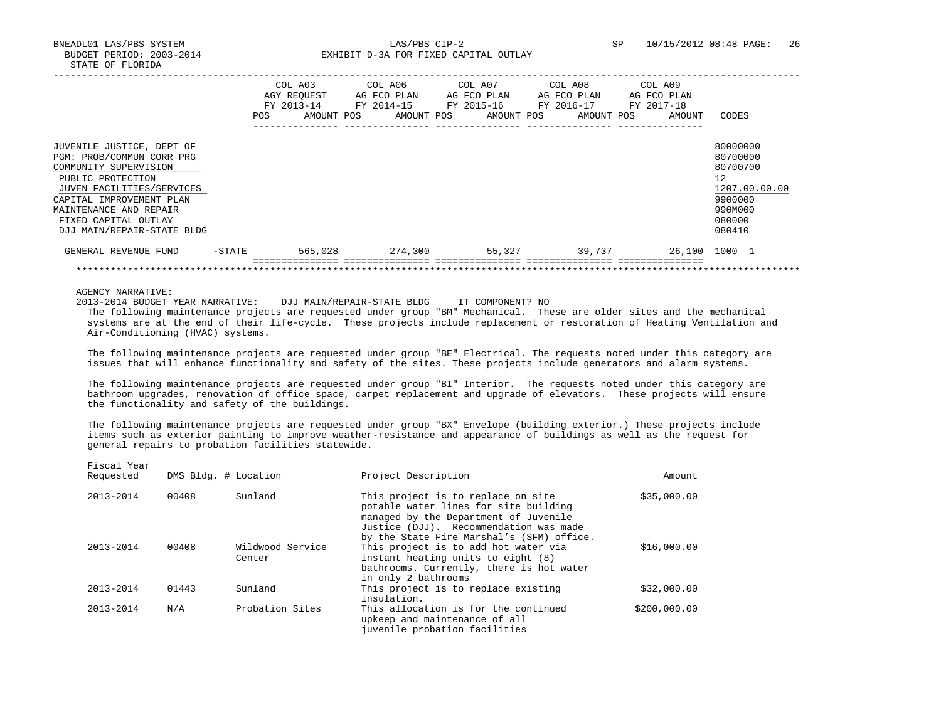BNEADL01 LAS/PBS SYSTEM LAS/PBS CIP-2 SP 10/15/2012 08:48 PAGE: 26 BUDGET PERIOD: 2003-2014 **EXHIBIT D-3A FOR FIXED CAPITAL OUTLAY** 

|                                                                                                                                                                                                                                               | <b>POS</b> | COL A03<br>AGY REOUEST<br>FY 2013-14<br>AMOUNT POS | AG FCO PLAN<br>FY 2014-15 | COL A06 COL A07<br>AG FCO PLAN<br>FY 2015-16<br>AMOUNT POS<br>AMOUNT POS | COL A08<br>AG FCO PLAN<br>FY 2016-17<br>AMOUNT POS | COL A09<br>AG FCO PLAN<br>FY 2017-18<br>AMOUNT | CODES                                                                                             |
|-----------------------------------------------------------------------------------------------------------------------------------------------------------------------------------------------------------------------------------------------|------------|----------------------------------------------------|---------------------------|--------------------------------------------------------------------------|----------------------------------------------------|------------------------------------------------|---------------------------------------------------------------------------------------------------|
| JUVENILE JUSTICE, DEPT OF<br>PGM: PROB/COMMUN CORR PRG<br>COMMUNITY SUPERVISION<br>PUBLIC PROTECTION<br>JUVEN FACILITIES/SERVICES<br>CAPITAL IMPROVEMENT PLAN<br>MAINTENANCE AND REPAIR<br>FIXED CAPITAL OUTLAY<br>DJJ MAIN/REPAIR-STATE BLDG |            |                                                    |                           |                                                                          |                                                    |                                                | 80000000<br>80700000<br>80700700<br>12<br>1207.00.00.00<br>9900000<br>990M000<br>080000<br>080410 |
| GENERAL REVENUE FUND                                                                                                                                                                                                                          | -STATE     | 565,028                                            |                           | 274,300                                                                  | 55,327 39,737                                      |                                                | 26,100 1000 1                                                                                     |
|                                                                                                                                                                                                                                               |            |                                                    |                           |                                                                          |                                                    |                                                |                                                                                                   |

AGENCY NARRATIVE:

Fiscal Year

2013-2014 BUDGET YEAR NARRATIVE: DJJ MAIN/REPAIR-STATE BLDG IT COMPONENT? NO

 The following maintenance projects are requested under group "BM" Mechanical. These are older sites and the mechanical systems are at the end of their life-cycle. These projects include replacement or restoration of Heating Ventilation and Air-Conditioning (HVAC) systems.

 The following maintenance projects are requested under group "BE" Electrical. The requests noted under this category are issues that will enhance functionality and safety of the sites. These projects include generators and alarm systems.

 The following maintenance projects are requested under group "BI" Interior. The requests noted under this category are bathroom upgrades, renovation of office space, carpet replacement and upgrade of elevators. These projects will ensure the functionality and safety of the buildings.

 The following maintenance projects are requested under group "BX" Envelope (building exterior.) These projects include items such as exterior painting to improve weather-resistance and appearance of buildings as well as the request for general repairs to probation facilities statewide.

| TTACAT TCAT<br>Requested |       | DMS Bldg. # Location       | Project Description                                                                                                                                                                                         | Amount       |
|--------------------------|-------|----------------------------|-------------------------------------------------------------------------------------------------------------------------------------------------------------------------------------------------------------|--------------|
| 2013-2014                | 00408 | Sunland                    | This project is to replace on site<br>potable water lines for site building<br>managed by the Department of Juvenile<br>Justice (DJJ). Recommendation was made<br>by the State Fire Marshal's (SFM) office. | \$35,000.00  |
| $2013 - 2014$            | 00408 | Wildwood Service<br>Center | This project is to add hot water via<br>instant heating units to eight (8)<br>bathrooms. Currently, there is hot water<br>in only 2 bathrooms                                                               | \$16,000.00  |
| $2013 - 2014$            | 01443 | Sunland                    | This project is to replace existing<br>insulation.                                                                                                                                                          | \$32,000.00  |
| $2013 - 2014$            | N/A   | Probation Sites            | This allocation is for the continued<br>upkeep and maintenance of all<br>juvenile probation facilities                                                                                                      | \$200,000.00 |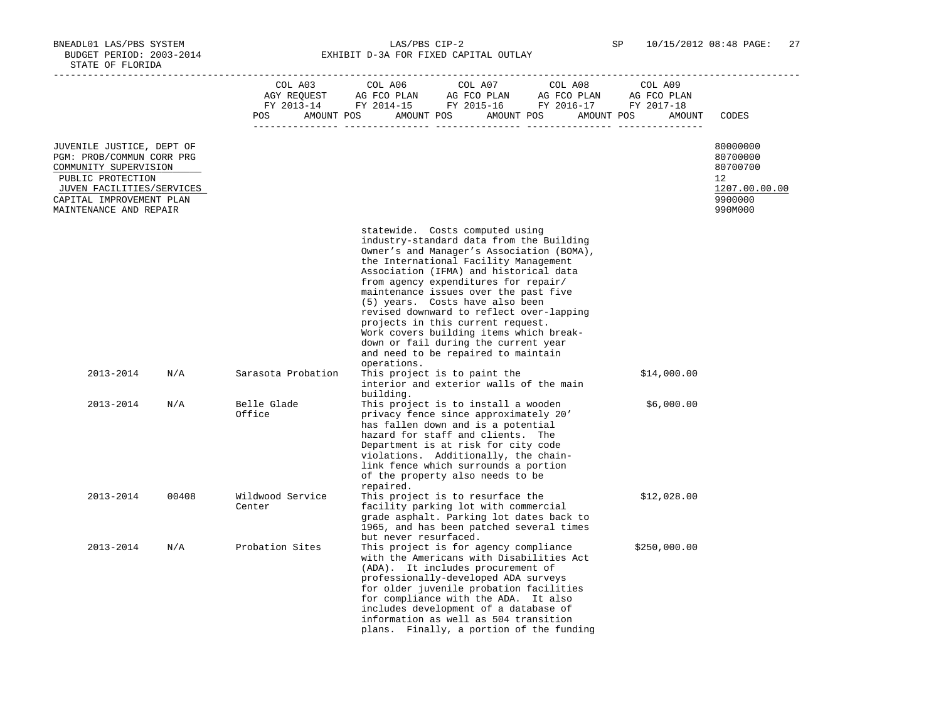BNEADL01 LAS/PBS SYSTEM LAS/PBS CIP-2 SP 10/15/2012 08:48 PAGE: 27 BUDGET PERIOD: 2003-2014 **EXHIBIT D-3A FOR FIXED CAPITAL OUTLAY** 

|                                                                                                                                                                                         |       | COL A03<br>POS             | COL A06<br>COL A07<br>COL A08<br>COL A03 COL A06 COL A07 COL A08 COL A09<br>AGY REQUEST AG FCO PLAN AG FCO PLAN AG FCO PLAN AG FCO PLAN FY 2013-14 FY 2014-15 FY 2015-16 FY 2016-17 FY 2017-18<br>AMOUNT POS AMOUNT POS AMOUNT POS AMOUNT POS                                                                                                                                                                                                                                                                                                             | COL A09<br>AMOUNT | CODES                                                                         |
|-----------------------------------------------------------------------------------------------------------------------------------------------------------------------------------------|-------|----------------------------|-----------------------------------------------------------------------------------------------------------------------------------------------------------------------------------------------------------------------------------------------------------------------------------------------------------------------------------------------------------------------------------------------------------------------------------------------------------------------------------------------------------------------------------------------------------|-------------------|-------------------------------------------------------------------------------|
| JUVENILE JUSTICE, DEPT OF<br>PGM: PROB/COMMUN CORR PRG<br>COMMUNITY SUPERVISION<br>PUBLIC PROTECTION<br>JUVEN FACILITIES/SERVICES<br>CAPITAL IMPROVEMENT PLAN<br>MAINTENANCE AND REPAIR |       |                            |                                                                                                                                                                                                                                                                                                                                                                                                                                                                                                                                                           |                   | 80000000<br>80700000<br>80700700<br>12<br>1207.00.00.00<br>9900000<br>990M000 |
|                                                                                                                                                                                         |       |                            | statewide. Costs computed using<br>industry-standard data from the Building<br>Owner's and Manager's Association (BOMA),<br>the International Facility Management<br>Association (IFMA) and historical data<br>from agency expenditures for repair/<br>maintenance issues over the past five<br>(5) years. Costs have also been<br>revised downward to reflect over-lapping<br>projects in this current request.<br>Work covers building items which break-<br>down or fail during the current year<br>and need to be repaired to maintain<br>operations. |                   |                                                                               |
| 2013-2014                                                                                                                                                                               | N/A   | Sarasota Probation         | This project is to paint the<br>interior and exterior walls of the main<br>building.                                                                                                                                                                                                                                                                                                                                                                                                                                                                      | \$14,000.00       |                                                                               |
| 2013-2014                                                                                                                                                                               | N/A   | Belle Glade<br>Office      | This project is to install a wooden<br>privacy fence since approximately 20'<br>has fallen down and is a potential<br>hazard for staff and clients. The<br>Department is at risk for city code<br>violations. Additionally, the chain-<br>link fence which surrounds a portion<br>of the property also needs to be<br>repaired.                                                                                                                                                                                                                           | \$6,000.00        |                                                                               |
| 2013-2014                                                                                                                                                                               | 00408 | Wildwood Service<br>Center | This project is to resurface the<br>facility parking lot with commercial<br>grade asphalt. Parking lot dates back to<br>1965, and has been patched several times<br>but never resurfaced.                                                                                                                                                                                                                                                                                                                                                                 | \$12,028.00       |                                                                               |
| 2013-2014                                                                                                                                                                               | N/A   | Probation Sites            | This project is for agency compliance<br>with the Americans with Disabilities Act<br>(ADA). It includes procurement of<br>professionally-developed ADA surveys<br>for older juvenile probation facilities<br>for compliance with the ADA. It also<br>includes development of a database of<br>information as well as 504 transition<br>plans. Finally, a portion of the funding                                                                                                                                                                           | \$250,000.00      |                                                                               |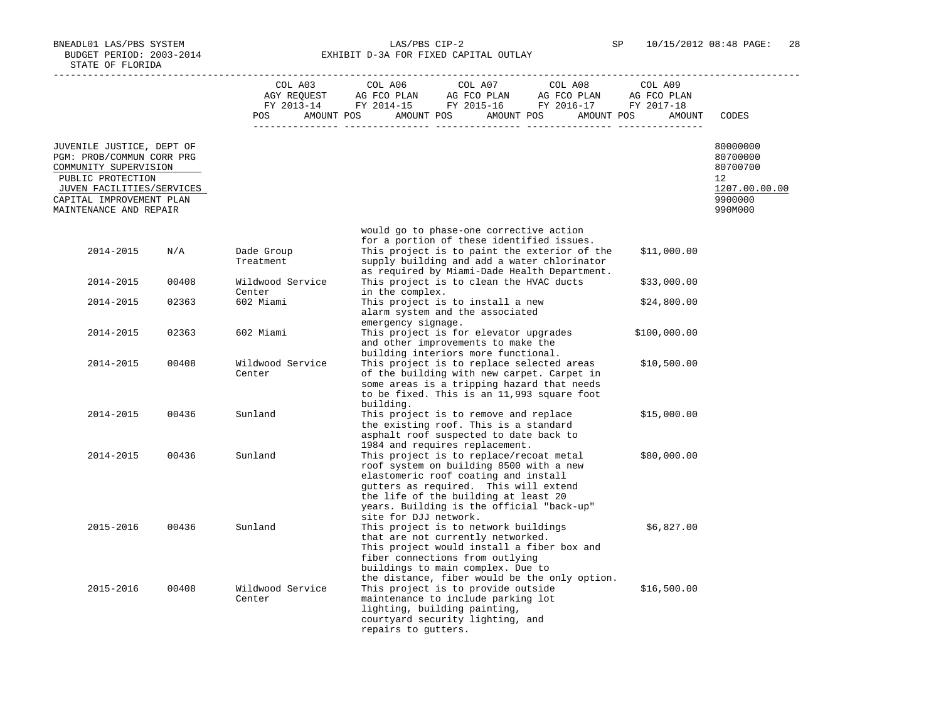BNEADL01 LAS/PBS SYSTEM LAS/PBS CIP-2 SP 10/15/2012 08:48 PAGE: 28 BUDGET PERIOD: 2003-2014 **EXHIBIT D-3A FOR FIXED CAPITAL OUTLAY** 

|                                                                                                                                   |       | COL A03<br>POS             | COL A06<br>COL A07<br>COL A08<br>COL A09<br>COL A03 COL A06 COL A07 COL A08 COL A09<br>AGY REQUEST AG FCO PLAN AG FCO PLAN AG FCO PLAN AG FCO PLAN FY 2013-14 FY 2014-15 FY 2015-16 FY 2016-17 FY 2017-18<br>AMOUNT POS AMOUNT POS AMOUNT POS AMOUNT POS<br>AMOUNT                               | CODES                                                   |
|-----------------------------------------------------------------------------------------------------------------------------------|-------|----------------------------|--------------------------------------------------------------------------------------------------------------------------------------------------------------------------------------------------------------------------------------------------------------------------------------------------|---------------------------------------------------------|
| JUVENILE JUSTICE, DEPT OF<br>PGM: PROB/COMMUN CORR PRG<br>COMMUNITY SUPERVISION<br>PUBLIC PROTECTION<br>JUVEN FACILITIES/SERVICES |       |                            |                                                                                                                                                                                                                                                                                                  | 80000000<br>80700000<br>80700700<br>12<br>1207.00.00.00 |
| CAPITAL IMPROVEMENT PLAN<br>MAINTENANCE AND REPAIR                                                                                |       |                            |                                                                                                                                                                                                                                                                                                  | 9900000<br>990M000                                      |
| 2014-2015                                                                                                                         | N/A   | Dade Group<br>Treatment    | would go to phase-one corrective action<br>for a portion of these identified issues.<br>This project is to paint the exterior of the<br>\$11,000.00<br>supply building and add a water chlorinator                                                                                               |                                                         |
| 2014-2015                                                                                                                         | 00408 | Wildwood Service           | as required by Miami-Dade Health Department.<br>This project is to clean the HVAC ducts<br>\$33,000.00                                                                                                                                                                                           |                                                         |
| 2014-2015                                                                                                                         | 02363 | Center<br>602 Miami        | in the complex.<br>This project is to install a new<br>\$24,800.00<br>alarm system and the associated                                                                                                                                                                                            |                                                         |
| 2014-2015                                                                                                                         | 02363 | 602 Miami                  | emergency signage.<br>This project is for elevator upgrades<br>\$100,000.00<br>and other improvements to make the                                                                                                                                                                                |                                                         |
| 2014-2015                                                                                                                         | 00408 | Wildwood Service<br>Center | building interiors more functional.<br>This project is to replace selected areas<br>\$10,500.00<br>of the building with new carpet. Carpet in<br>some areas is a tripping hazard that needs<br>to be fixed. This is an 11,993 square foot<br>building.                                           |                                                         |
| 2014-2015                                                                                                                         | 00436 | Sunland                    | This project is to remove and replace<br>\$15,000.00<br>the existing roof. This is a standard<br>asphalt roof suspected to date back to<br>1984 and requires replacement.                                                                                                                        |                                                         |
| 2014-2015                                                                                                                         | 00436 | Sunland                    | This project is to replace/recoat metal<br>\$80,000.00<br>roof system on building 8500 with a new<br>elastomeric roof coating and install<br>gutters as required. This will extend<br>the life of the building at least 20<br>years. Building is the official "back-up"<br>site for DJJ network. |                                                         |
| 2015-2016                                                                                                                         | 00436 | Sunland                    | \$6,827.00<br>This project is to network buildings<br>that are not currently networked.<br>This project would install a fiber box and<br>fiber connections from outlying<br>buildings to main complex. Due to<br>the distance, fiber would be the only option.                                   |                                                         |
| 2015-2016                                                                                                                         | 00408 | Wildwood Service<br>Center | This project is to provide outside<br>\$16,500.00<br>maintenance to include parking lot<br>lighting, building painting,<br>courtyard security lighting, and<br>repairs to gutters.                                                                                                               |                                                         |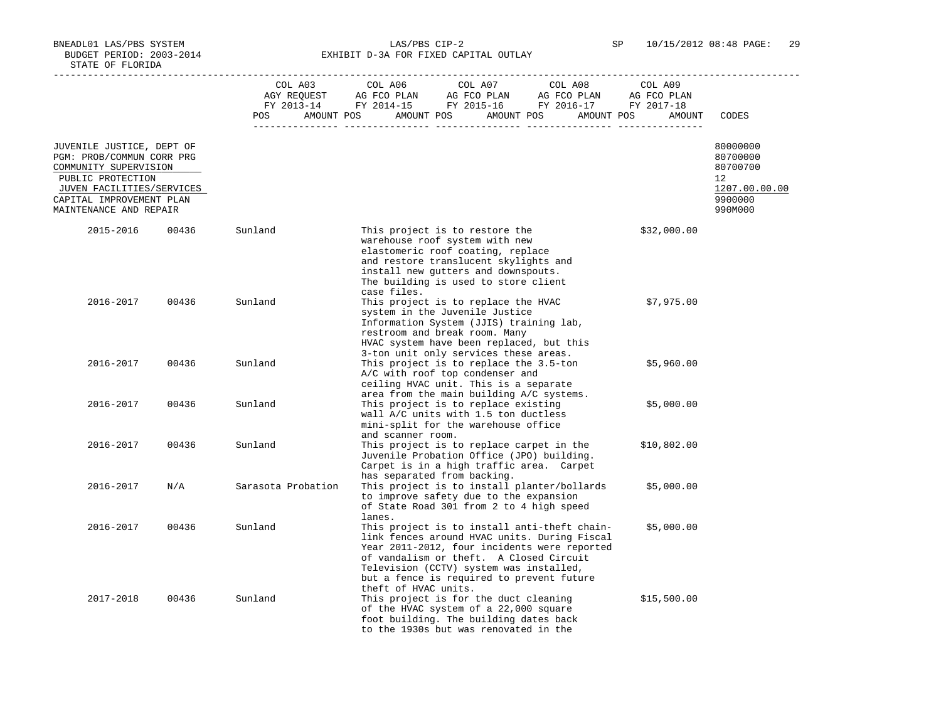BNEADL01 LAS/PBS SYSTEM LAS/PBS CIP-2 SP 10/15/2012 08:48 PAGE: 29 BUDGET PERIOD: 2003-2014 **EXHIBIT D-3A FOR FIXED CAPITAL OUTLAY** 

|                                                                                 |       | COL A03            | COL A06<br>COL A07<br>COL A08<br>COL A09                                                                                                                                                                                                                                                                              |                                  |
|---------------------------------------------------------------------------------|-------|--------------------|-----------------------------------------------------------------------------------------------------------------------------------------------------------------------------------------------------------------------------------------------------------------------------------------------------------------------|----------------------------------|
|                                                                                 |       |                    |                                                                                                                                                                                                                                                                                                                       |                                  |
|                                                                                 |       | POS                | AMOUNT POS AMOUNT POS<br>AMOUNT POS<br>AMOUNT POS<br>AMOUNT                                                                                                                                                                                                                                                           | CODES                            |
| JUVENILE JUSTICE, DEPT OF<br>PGM: PROB/COMMUN CORR PRG<br>COMMUNITY SUPERVISION |       |                    |                                                                                                                                                                                                                                                                                                                       | 80000000<br>80700000<br>80700700 |
| PUBLIC PROTECTION                                                               |       |                    |                                                                                                                                                                                                                                                                                                                       | 12                               |
| JUVEN FACILITIES/SERVICES                                                       |       |                    |                                                                                                                                                                                                                                                                                                                       | 1207.00.00.00<br>9900000         |
| CAPITAL IMPROVEMENT PLAN<br>MAINTENANCE AND REPAIR                              |       |                    |                                                                                                                                                                                                                                                                                                                       | 990M000                          |
| 2015-2016                                                                       | 00436 | Sunland            | This project is to restore the<br>\$32,000.00<br>warehouse roof system with new<br>elastomeric roof coating, replace<br>and restore translucent skylights and<br>install new gutters and downspouts.<br>The building is used to store client<br>case files.                                                           |                                  |
| 2016-2017                                                                       | 00436 | Sunland            | This project is to replace the HVAC<br>\$7,975.00<br>system in the Juvenile Justice<br>Information System (JJIS) training lab,<br>restroom and break room. Many<br>HVAC system have been replaced, but this<br>3-ton unit only services these areas.                                                                  |                                  |
| 2016-2017                                                                       | 00436 | Sunland            | This project is to replace the 3.5-ton<br>\$5,960.00<br>A/C with roof top condenser and<br>ceiling HVAC unit. This is a separate<br>area from the main building A/C systems.                                                                                                                                          |                                  |
| 2016-2017                                                                       | 00436 | Sunland            | This project is to replace existing<br>\$5,000.00<br>wall A/C units with 1.5 ton ductless<br>mini-split for the warehouse office<br>and scanner room.                                                                                                                                                                 |                                  |
| 2016-2017                                                                       | 00436 | Sunland            | This project is to replace carpet in the<br>\$10,802.00<br>Juvenile Probation Office (JPO) building.<br>Carpet is in a high traffic area. Carpet<br>has separated from backing.                                                                                                                                       |                                  |
| 2016-2017                                                                       | N/A   | Sarasota Probation | This project is to install planter/bollards<br>\$5,000.00<br>to improve safety due to the expansion<br>of State Road 301 from 2 to 4 high speed<br>lanes.                                                                                                                                                             |                                  |
| 2016-2017                                                                       | 00436 | Sunland            | This project is to install anti-theft chain-<br>\$5,000.00<br>link fences around HVAC units. During Fiscal<br>Year 2011-2012, four incidents were reported<br>of vandalism or theft. A Closed Circuit<br>Television (CCTV) system was installed,<br>but a fence is required to prevent future<br>theft of HVAC units. |                                  |
| 2017-2018                                                                       | 00436 | Sunland            | This project is for the duct cleaning<br>\$15,500.00<br>of the HVAC system of a 22,000 square<br>foot building. The building dates back<br>to the 1930s but was renovated in the                                                                                                                                      |                                  |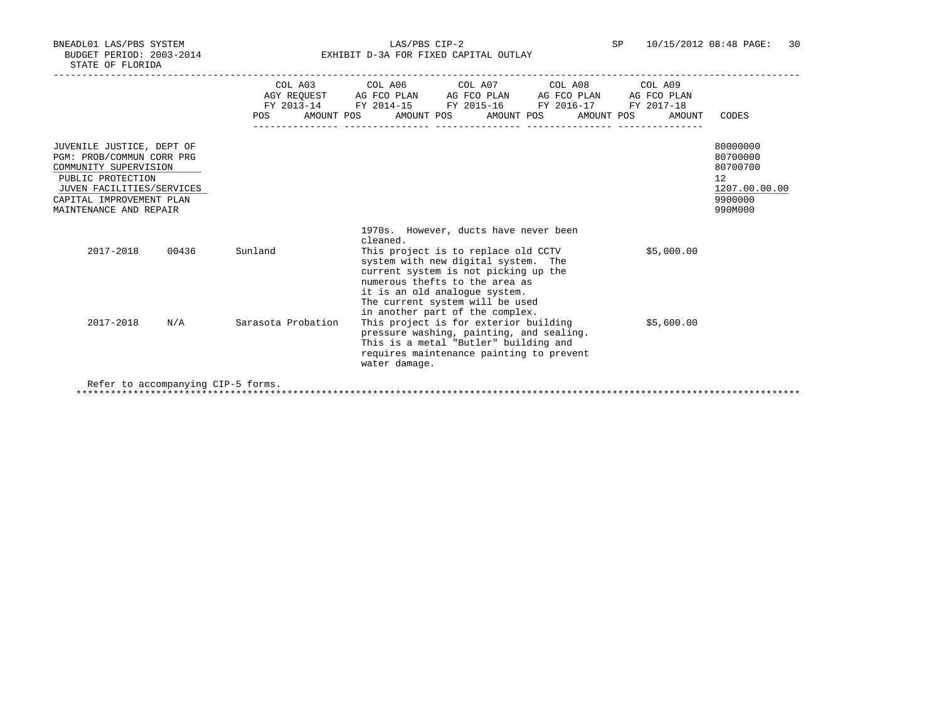BNEADL01 LAS/PBS SYSTEM LAS/PBS CIP-2 SP 10/15/2012 08:48 PAGE: 30 BUDGET PERIOD: 2003-2014 **EXHIBIT D-3A FOR FIXED CAPITAL OUTLAY** 

|                                                                                                                                                                                         | POS                | COL A03 COL A06 COL A07 COL A08 COL A09<br>AGY REOUEST AG FCO PLAN AG FCO PLAN AG FCO PLAN AG FCO PLAN<br>FY 2013-14 FY 2014-15 FY 2015-16 FY 2016-17 FY 2017-18<br>AMOUNT POS AMOUNT POS AMOUNT POS AMOUNT POS<br>AMOUNT                                                                   | CODES                                                                         |
|-----------------------------------------------------------------------------------------------------------------------------------------------------------------------------------------|--------------------|---------------------------------------------------------------------------------------------------------------------------------------------------------------------------------------------------------------------------------------------------------------------------------------------|-------------------------------------------------------------------------------|
| JUVENILE JUSTICE, DEPT OF<br>PGM: PROB/COMMUN CORR PRG<br>COMMUNITY SUPERVISION<br>PUBLIC PROTECTION<br>JUVEN FACILITIES/SERVICES<br>CAPITAL IMPROVEMENT PLAN<br>MAINTENANCE AND REPAIR |                    |                                                                                                                                                                                                                                                                                             | 80000000<br>80700000<br>80700700<br>12<br>1207.00.00.00<br>9900000<br>990M000 |
| 2017-2018<br>00436                                                                                                                                                                      | Sunland            | 1970s. However, ducts have never been<br>cleaned.<br>\$5,000.00<br>This project is to replace old CCTV<br>system with new digital system. The<br>current system is not picking up the<br>numerous thefts to the area as<br>it is an old analogue system.<br>The current system will be used |                                                                               |
| 2017-2018<br>N/A                                                                                                                                                                        | Sarasota Probation | in another part of the complex.<br>This project is for exterior building<br>\$5,600.00<br>pressure washing, painting, and sealing.<br>This is a metal "Butler" building and<br>requires maintenance painting to prevent<br>water damage.                                                    |                                                                               |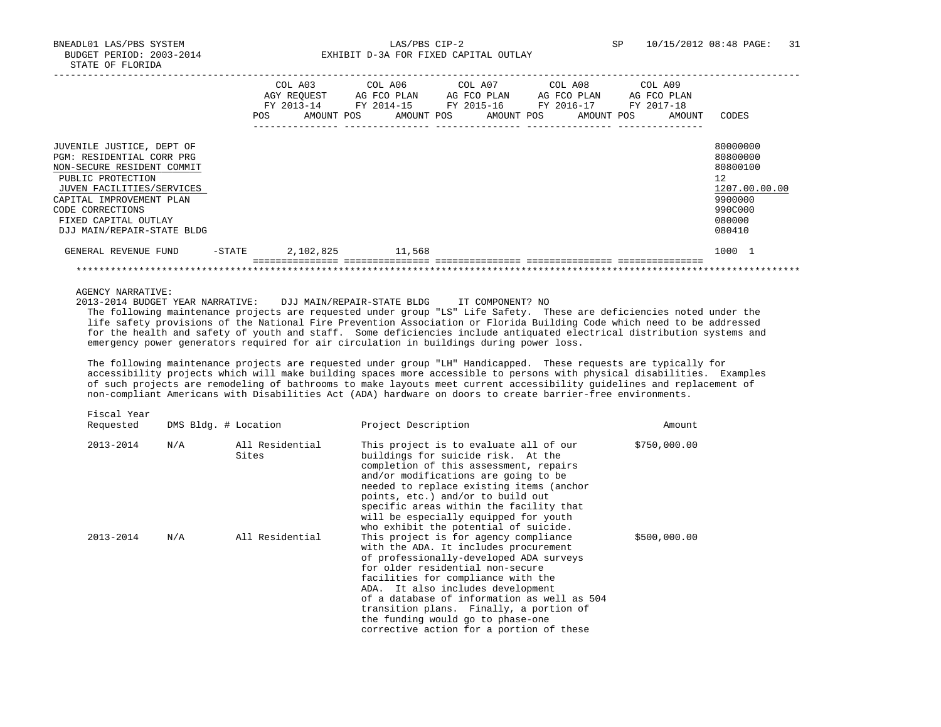BNEADL01 LAS/PBS SYSTEM LAS/PBS CIP-2 SP 10/15/2012 08:48 PAGE: 31 BUDGET PERIOD: 2003-2014 **EXHIBIT D-3A FOR FIXED CAPITAL OUTLAY** 

|                                                                                                                                                                                                                                              | POS.   | COL A03<br>AGY REOUEST<br>FY 2013-14<br>AMOUNT POS | AG FCO PLAN<br>FY 2014-15<br>AMOUNT POS | COL A06 COL A07<br>AG FCO PLAN<br>FY 2015-16<br>AMOUNT POS | COL A08<br>AG FCO PLAN<br>FY 2016-17<br>AMOUNT POS | COL A09<br>AG FCO PLAN<br>FY 2017-18<br>AMOUNT | CODES                                                                                             |
|----------------------------------------------------------------------------------------------------------------------------------------------------------------------------------------------------------------------------------------------|--------|----------------------------------------------------|-----------------------------------------|------------------------------------------------------------|----------------------------------------------------|------------------------------------------------|---------------------------------------------------------------------------------------------------|
| JUVENILE JUSTICE, DEPT OF<br>PGM: RESIDENTIAL CORR PRG<br>NON-SECURE RESIDENT COMMIT<br>PUBLIC PROTECTION<br>JUVEN FACILITIES/SERVICES<br>CAPITAL IMPROVEMENT PLAN<br>CODE CORRECTIONS<br>FIXED CAPITAL OUTLAY<br>DJJ MAIN/REPAIR-STATE BLDG |        |                                                    |                                         |                                                            |                                                    |                                                | 80000000<br>80800000<br>80800100<br>12<br>1207.00.00.00<br>9900000<br>990C000<br>080000<br>080410 |
| GENERAL REVENUE FUND                                                                                                                                                                                                                         | -STATE | 2,102,825                                          | 11,568                                  |                                                            |                                                    |                                                | 1000 1                                                                                            |
|                                                                                                                                                                                                                                              |        |                                                    |                                         |                                                            |                                                    |                                                |                                                                                                   |

AGENCY NARRATIVE:

2013-2014 BUDGET YEAR NARRATIVE: DJJ MAIN/REPAIR-STATE BLDG IT COMPONENT? NO

 The following maintenance projects are requested under group "LS" Life Safety. These are deficiencies noted under the life safety provisions of the National Fire Prevention Association or Florida Building Code which need to be addressed for the health and safety of youth and staff. Some deficiencies include antiquated electrical distribution systems and emergency power generators required for air circulation in buildings during power loss.

 The following maintenance projects are requested under group "LH" Handicapped. These requests are typically for accessibility projects which will make building spaces more accessible to persons with physical disabilities. Examples of such projects are remodeling of bathrooms to make layouts meet current accessibility guidelines and replacement of non-compliant Americans with Disabilities Act (ADA) hardware on doors to create barrier-free environments.

Fiscal Year

| Requested |     | DMS Bldg. # Location     | Project Description                                                                                                                                                                                                                                                                                                                                                                                                 | Amount       |
|-----------|-----|--------------------------|---------------------------------------------------------------------------------------------------------------------------------------------------------------------------------------------------------------------------------------------------------------------------------------------------------------------------------------------------------------------------------------------------------------------|--------------|
| 2013-2014 | N/A | All Residential<br>Sites | This project is to evaluate all of our<br>buildings for suicide risk. At the<br>completion of this assessment, repairs<br>and/or modifications are going to be<br>needed to replace existing items (anchor<br>points, etc.) and/or to build out<br>specific areas within the facility that<br>will be especially equipped for youth<br>who exhibit the potential of suicide.                                        | \$750,000.00 |
| 2013-2014 | N/A | All Residential          | This project is for agency compliance<br>with the ADA. It includes procurement<br>of professionally-developed ADA surveys<br>for older residential non-secure<br>facilities for compliance with the<br>ADA. It also includes development<br>of a database of information as well as 504<br>transition plans. Finally, a portion of<br>the funding would go to phase-one<br>corrective action for a portion of these | \$500,000.00 |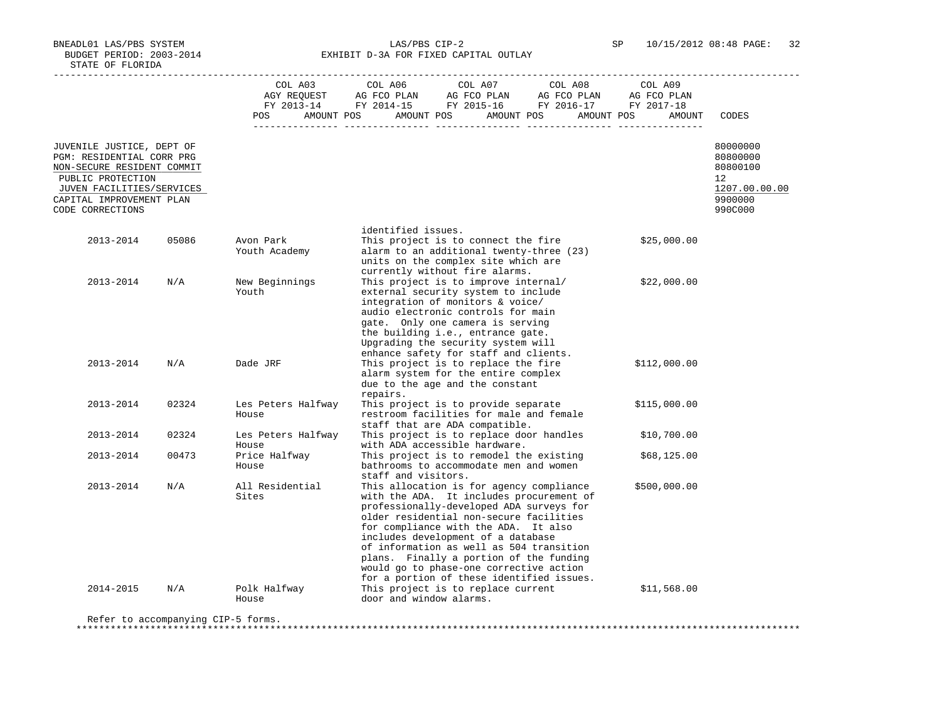BNEADL01 LAS/PBS SYSTEM LAS/PBS CIP-2 SP 10/15/2012 08:48 PAGE: 32 BUDGET PERIOD: 2003-2014 **EXHIBIT D-3A FOR FIXED CAPITAL OUTLAY** 

|                                                                                                                                                                                        |       | COL A03                     | COL A06                 | COL A07<br>AGY REQUEST AG FCO PLAN AG FCO PLAN AG FCO PLAN<br>FY 2013-14 FY 2014-15 FY 2015-16 FY 2016-17 FY 2017-18                                                                                                                                                                                                                                                                                                                     | COL A08    | COL A09<br>AG FCO PLAN |                                                                                         |
|----------------------------------------------------------------------------------------------------------------------------------------------------------------------------------------|-------|-----------------------------|-------------------------|------------------------------------------------------------------------------------------------------------------------------------------------------------------------------------------------------------------------------------------------------------------------------------------------------------------------------------------------------------------------------------------------------------------------------------------|------------|------------------------|-----------------------------------------------------------------------------------------|
|                                                                                                                                                                                        |       | AMOUNT POS<br>POS           |                         | AMOUNT POS<br>AMOUNT POS                                                                                                                                                                                                                                                                                                                                                                                                                 | AMOUNT POS | AMOUNT                 | CODES                                                                                   |
| JUVENILE JUSTICE, DEPT OF<br>PGM: RESIDENTIAL CORR PRG<br>NON-SECURE RESIDENT COMMIT<br>PUBLIC PROTECTION<br>JUVEN FACILITIES/SERVICES<br>CAPITAL IMPROVEMENT PLAN<br>CODE CORRECTIONS |       |                             |                         |                                                                                                                                                                                                                                                                                                                                                                                                                                          |            |                        | 80000000<br>80800000<br>80800100<br>$12^{\circ}$<br>1207.00.00.00<br>9900000<br>990C000 |
| 2013-2014                                                                                                                                                                              | 05086 | Avon Park<br>Youth Academy  | identified issues.      | This project is to connect the fire<br>alarm to an additional twenty-three (23)<br>units on the complex site which are<br>currently without fire alarms.                                                                                                                                                                                                                                                                                 |            | \$25,000.00            |                                                                                         |
| 2013-2014                                                                                                                                                                              | N/A   | New Beginnings<br>Youth     |                         | This project is to improve internal/<br>external security system to include<br>integration of monitors & voice/<br>audio electronic controls for main<br>gate. Only one camera is serving<br>the building i.e., entrance gate.<br>Upgrading the security system will<br>enhance safety for staff and clients.                                                                                                                            |            | \$22,000.00            |                                                                                         |
| 2013-2014                                                                                                                                                                              | N/A   | Dade JRF                    | repairs.                | This project is to replace the fire<br>alarm system for the entire complex<br>due to the age and the constant                                                                                                                                                                                                                                                                                                                            |            | \$112,000.00           |                                                                                         |
| 2013-2014                                                                                                                                                                              | 02324 | Les Peters Halfway<br>House |                         | This project is to provide separate<br>restroom facilities for male and female<br>staff that are ADA compatible.                                                                                                                                                                                                                                                                                                                         |            | \$115,000.00           |                                                                                         |
| 2013-2014                                                                                                                                                                              | 02324 | Les Peters Halfway<br>House |                         | This project is to replace door handles<br>with ADA accessible hardware.                                                                                                                                                                                                                                                                                                                                                                 |            | \$10,700.00            |                                                                                         |
| 2013-2014                                                                                                                                                                              | 00473 | Price Halfway<br>House      | staff and visitors.     | This project is to remodel the existing<br>bathrooms to accommodate men and women                                                                                                                                                                                                                                                                                                                                                        |            | \$68,125.00            |                                                                                         |
| 2013-2014                                                                                                                                                                              | N/A   | All Residential<br>Sites    |                         | This allocation is for agency compliance<br>with the ADA. It includes procurement of<br>professionally-developed ADA surveys for<br>older residential non-secure facilities<br>for compliance with the ADA. It also<br>includes development of a database<br>of information as well as 504 transition<br>plans. Finally a portion of the funding<br>would go to phase-one corrective action<br>for a portion of these identified issues. |            | \$500,000.00           |                                                                                         |
| 2014-2015                                                                                                                                                                              | N/A   | Polk Halfway<br>House       | door and window alarms. | This project is to replace current                                                                                                                                                                                                                                                                                                                                                                                                       |            | \$11,568.00            |                                                                                         |

Refer to accompanying CIP-5 forms.

\*\*\*\*\*\*\*\*\*\*\*\*\*\*\*\*\*\*\*\*\*\*\*\*\*\*\*\*\*\*\*\*\*\*\*\*\*\*\*\*\*\*\*\*\*\*\*\*\*\*\*\*\*\*\*\*\*\*\*\*\*\*\*\*\*\*\*\*\*\*\*\*\*\*\*\*\*\*\*\*\*\*\*\*\*\*\*\*\*\*\*\*\*\*\*\*\*\*\*\*\*\*\*\*\*\*\*\*\*\*\*\*\*\*\*\*\*\*\*\*\*\*\*\*\*\*\*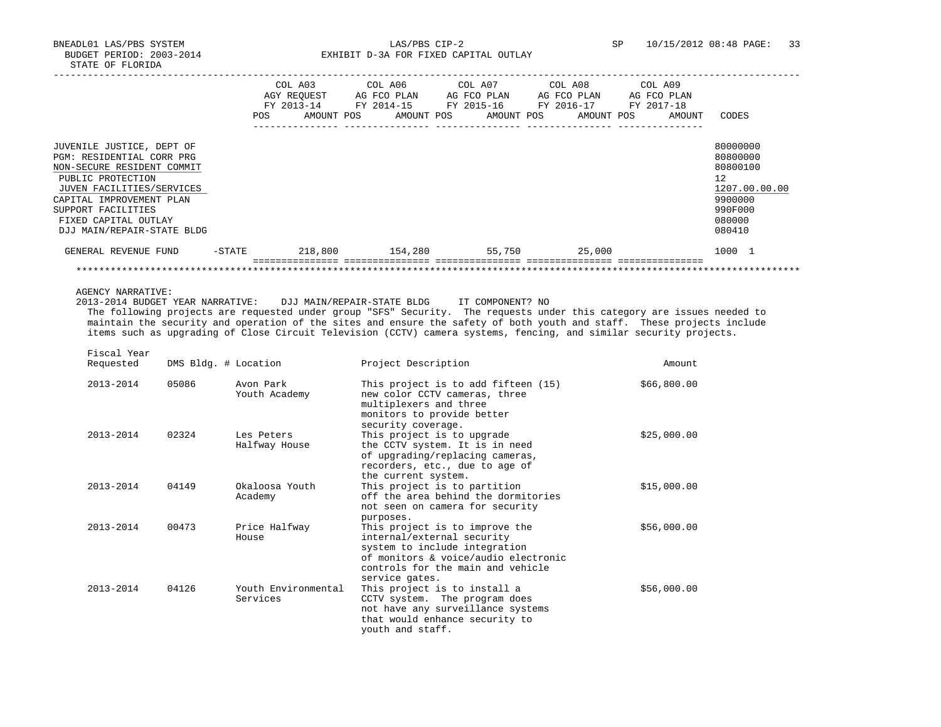BNEADL01 LAS/PBS SYSTEM LAS/PBS CIP-2 SP 10/15/2012 08:48 PAGE: 33 BUDGET PERIOD: 2003-2014 **EXHIBIT D-3A FOR FIXED CAPITAL OUTLAY** 

|                                                                                                                                                                                                                                                |           | COL A03<br>AGY REOUEST<br>FY 2013-14 | FY 2014-15 | COL A06<br>AG FCO PLAN | COL A07<br>AG FCO PLAN<br>FY 2015-16 | COL A08<br>AG FCO PLAN<br>FY 2016-17 | COL A09<br>AG FCO PLAN<br>FY 2017-18 |                                                                                                   |
|------------------------------------------------------------------------------------------------------------------------------------------------------------------------------------------------------------------------------------------------|-----------|--------------------------------------|------------|------------------------|--------------------------------------|--------------------------------------|--------------------------------------|---------------------------------------------------------------------------------------------------|
|                                                                                                                                                                                                                                                | POS       | AMOUNT POS                           |            | AMOUNT POS             | AMOUNT POS                           | AMOUNT POS                           | AMOUNT                               | CODES                                                                                             |
| JUVENILE JUSTICE, DEPT OF<br>PGM: RESIDENTIAL CORR PRG<br>NON-SECURE RESIDENT COMMIT<br>PUBLIC PROTECTION<br>JUVEN FACILITIES/SERVICES<br>CAPITAL IMPROVEMENT PLAN<br>SUPPORT FACILITIES<br>FIXED CAPITAL OUTLAY<br>DJJ MAIN/REPAIR-STATE BLDG |           |                                      |            |                        |                                      |                                      |                                      | 80000000<br>80800000<br>80800100<br>12<br>1207.00.00.00<br>9900000<br>990F000<br>080000<br>080410 |
| GENERAL REVENUE FUND                                                                                                                                                                                                                           | $-$ STATE | 218,800                              |            | 154,280                | 55,750                               | 25,000                               |                                      | 1000 1                                                                                            |
|                                                                                                                                                                                                                                                |           |                                      |            |                        |                                      |                                      |                                      |                                                                                                   |

AGENCY NARRATIVE:

Fiscal Year

 2013-2014 BUDGET YEAR NARRATIVE: DJJ MAIN/REPAIR-STATE BLDG IT COMPONENT? NO The following projects are requested under group "SFS" Security. The requests under this category are issues needed to maintain the security and operation of the sites and ensure the safety of both youth and staff. These projects include items such as upgrading of Close Circuit Television (CCTV) camera systems, fencing, and similar security projects.

| Requested     | DMS Bldg. # Location |                                 | Project Description                                                                                                                                                                          | Amount      |
|---------------|----------------------|---------------------------------|----------------------------------------------------------------------------------------------------------------------------------------------------------------------------------------------|-------------|
| $2013 - 2014$ | 05086                | Avon Park<br>Youth Academy      | This project is to add fifteen (15)<br>new color CCTV cameras, three<br>multiplexers and three<br>monitors to provide better<br>security coverage.                                           | \$66,800.00 |
| 2013-2014     | 02324                | Les Peters<br>Halfway House     | This project is to upgrade<br>the CCTV system. It is in need<br>of upgrading/replacing cameras,<br>recorders, etc., due to age of<br>the current system.                                     | \$25,000.00 |
| $2013 - 2014$ | 04149                | Okaloosa Youth<br>Academy       | This project is to partition<br>off the area behind the dormitories<br>not seen on camera for security<br>purposes.                                                                          | \$15,000.00 |
| 2013-2014     | 00473                | Price Halfway<br>House          | This project is to improve the<br>internal/external security<br>system to include integration<br>of monitors & voice/audio electronic<br>controls for the main and vehicle<br>service gates. | \$56,000.00 |
| $2013 - 2014$ | 04126                | Youth Environmental<br>Services | This project is to install a<br>CCTV system. The program does<br>not have any surveillance systems<br>that would enhance security to<br>youth and staff.                                     | \$56,000.00 |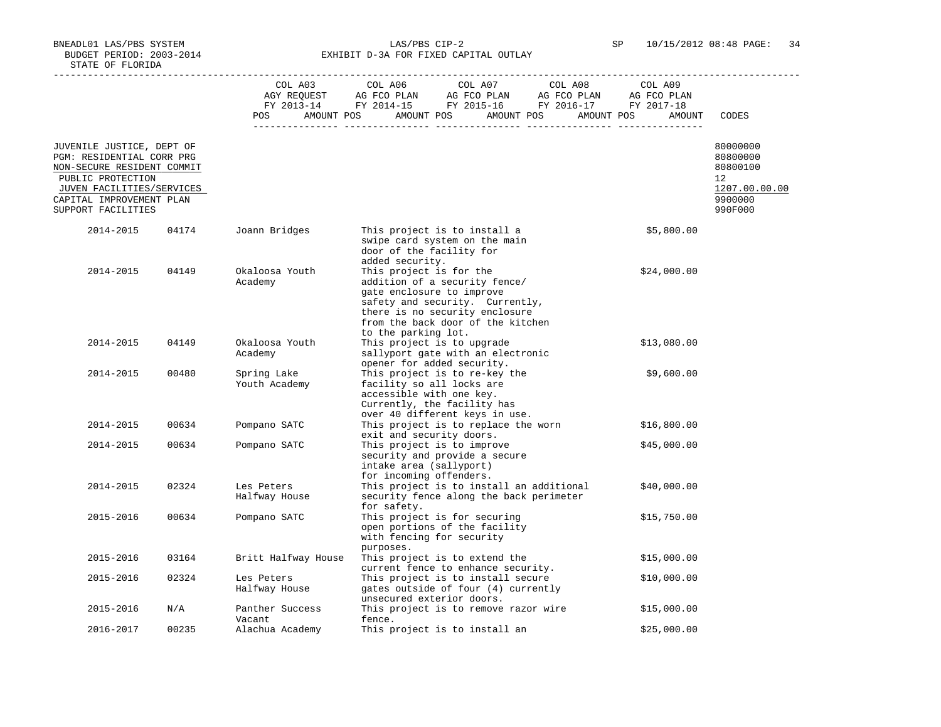BNEADL01 LAS/PBS SYSTEM LAS/PBS CIP-2 SP 10/15/2012 08:48 PAGE: 34 BUDGET PERIOD: 2003-2014 **EXHIBIT D-3A FOR FIXED CAPITAL OUTLAY** 

|                                                                                                                                                                                          |       |                              | $\begin{tabular}{lcccc} COL A03 & COL A06 & COL A07 & COL A08 & COL A09 \\ AGY REQUEST & AG FCO PLAN & AG FCO PLAN & AG FCO PLAN & AG FCO PLAN \\ FY & 2013-14 & FY & 2014-15 & FY & 2015-16 & FY & 2016-17 & FY & 2017-18 \\ \end{tabular}$<br>POS AMOUNT POS AMOUNT POS AMOUNT POS AMOUNT POS | AMOUNT      | CODES                                                                         |
|------------------------------------------------------------------------------------------------------------------------------------------------------------------------------------------|-------|------------------------------|-------------------------------------------------------------------------------------------------------------------------------------------------------------------------------------------------------------------------------------------------------------------------------------------------|-------------|-------------------------------------------------------------------------------|
| JUVENILE JUSTICE, DEPT OF<br>PGM: RESIDENTIAL CORR PRG<br>NON-SECURE RESIDENT COMMIT<br>PUBLIC PROTECTION<br>JUVEN FACILITIES/SERVICES<br>CAPITAL IMPROVEMENT PLAN<br>SUPPORT FACILITIES |       |                              |                                                                                                                                                                                                                                                                                                 |             | 80000000<br>80800000<br>80800100<br>12<br>1207.00.00.00<br>9900000<br>990F000 |
| 2014-2015                                                                                                                                                                                | 04174 | Joann Bridges                | This project is to install a<br>swipe card system on the main<br>door of the facility for                                                                                                                                                                                                       | \$5,800.00  |                                                                               |
| 2014-2015                                                                                                                                                                                | 04149 | Okaloosa Youth<br>Academy    | added security.<br>This project is for the<br>addition of a security fence/<br>gate enclosure to improve<br>safety and security. Currently,<br>there is no security enclosure<br>from the back door of the kitchen<br>to the parking lot.                                                       | \$24,000.00 |                                                                               |
| 2014-2015                                                                                                                                                                                | 04149 | Okaloosa Youth<br>Academy    | This project is to upgrade<br>sallyport gate with an electronic<br>opener for added security.                                                                                                                                                                                                   | \$13,080.00 |                                                                               |
| 2014-2015                                                                                                                                                                                | 00480 | Spring Lake<br>Youth Academy | This project is to re-key the<br>facility so all locks are<br>accessible with one key.<br>Currently, the facility has<br>over 40 different keys in use.                                                                                                                                         | \$9,600.00  |                                                                               |
| 2014-2015                                                                                                                                                                                | 00634 | Pompano SATC                 | This project is to replace the worn<br>exit and security doors.                                                                                                                                                                                                                                 | \$16,800.00 |                                                                               |
| 2014-2015                                                                                                                                                                                | 00634 | Pompano SATC                 | This project is to improve<br>security and provide a secure<br>intake area (sallyport)<br>for incoming offenders.                                                                                                                                                                               | \$45,000.00 |                                                                               |
| 2014-2015                                                                                                                                                                                | 02324 | Les Peters<br>Halfway House  | This project is to install an additional<br>security fence along the back perimeter<br>for safety.                                                                                                                                                                                              | \$40,000.00 |                                                                               |
| 2015-2016                                                                                                                                                                                | 00634 | Pompano SATC                 | This project is for securing<br>open portions of the facility<br>with fencing for security<br>purposes.                                                                                                                                                                                         | \$15,750.00 |                                                                               |
| 2015-2016                                                                                                                                                                                | 03164 | Britt Halfway House          | This project is to extend the<br>current fence to enhance security.                                                                                                                                                                                                                             | \$15,000.00 |                                                                               |
| 2015-2016                                                                                                                                                                                | 02324 | Les Peters<br>Halfway House  | This project is to install secure<br>gates outside of four (4) currently<br>unsecured exterior doors.                                                                                                                                                                                           | \$10,000.00 |                                                                               |
| 2015-2016                                                                                                                                                                                | N/A   | Panther Success<br>Vacant    | This project is to remove razor wire<br>fence.                                                                                                                                                                                                                                                  | \$15,000.00 |                                                                               |
| 2016-2017                                                                                                                                                                                | 00235 | Alachua Academy              | This project is to install an                                                                                                                                                                                                                                                                   | \$25,000.00 |                                                                               |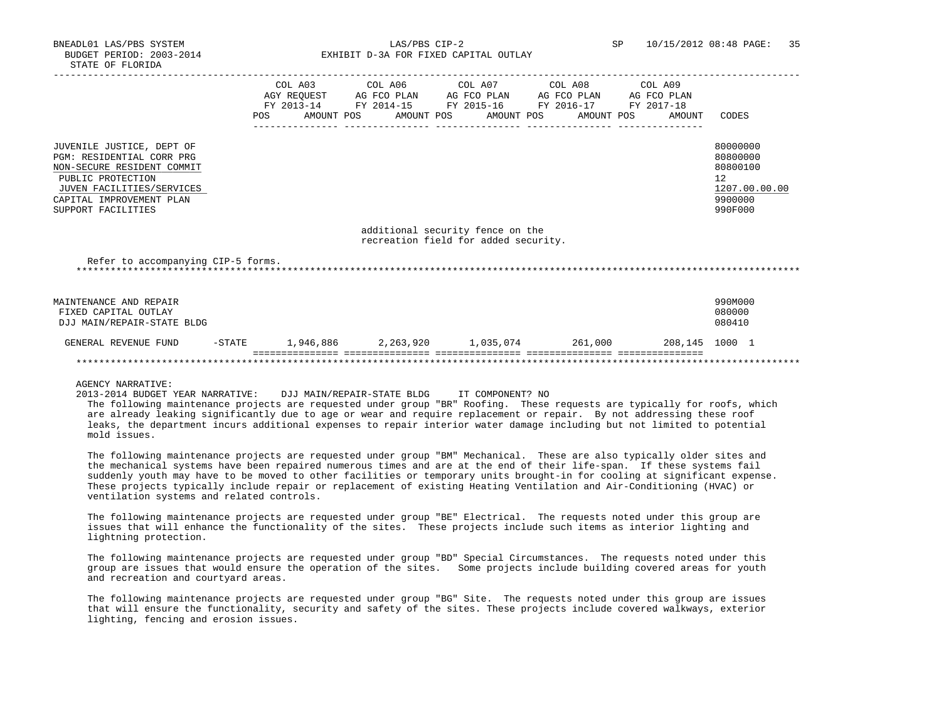BNEADL01 LAS/PBS SYSTEM LAS/PBS CIP-2 SP 10/15/2012 08:48 PAGE: 35 BUDGET PERIOD: 2003-2014 **EXHIBIT D-3A FOR FIXED CAPITAL OUTLAY** 

|                                                                                  |  | COL A03 COL A06 COL A07 COL A08 COL A09                     |  |               |
|----------------------------------------------------------------------------------|--|-------------------------------------------------------------|--|---------------|
|                                                                                  |  | AGY REQUEST AG FCO PLAN AG FCO PLAN AG FCO PLAN AG FCO PLAN |  |               |
|                                                                                  |  | FY 2013-14 FY 2014-15 FY 2015-16 FY 2016-17 FY 2017-18      |  |               |
|                                                                                  |  | POS AMOUNT POS AMOUNT POS AMOUNT POS AMOUNT POS AMOUNT      |  | CODES         |
|                                                                                  |  |                                                             |  |               |
|                                                                                  |  |                                                             |  |               |
| JUVENILE JUSTICE, DEPT OF                                                        |  |                                                             |  | 80000000      |
| PGM: RESIDENTIAL CORR PRG                                                        |  |                                                             |  | 80800000      |
| NON-SECURE RESIDENT COMMIT                                                       |  |                                                             |  | 80800100      |
|                                                                                  |  |                                                             |  |               |
| PUBLIC PROTECTION                                                                |  |                                                             |  | 12            |
| JUVEN FACILITIES/SERVICES                                                        |  |                                                             |  | 1207.00.00.00 |
| CAPITAL IMPROVEMENT PLAN                                                         |  |                                                             |  | 9900000       |
| SUPPORT FACILITIES                                                               |  |                                                             |  | 990F000       |
|                                                                                  |  |                                                             |  |               |
|                                                                                  |  | additional security fence on the                            |  |               |
|                                                                                  |  | recreation field for added security.                        |  |               |
|                                                                                  |  |                                                             |  |               |
| Refer to accompanying CIP-5 forms.                                               |  |                                                             |  |               |
|                                                                                  |  |                                                             |  |               |
|                                                                                  |  |                                                             |  |               |
|                                                                                  |  |                                                             |  |               |
| MAINTENANCE AND REPAIR                                                           |  |                                                             |  | 990M000       |
| FIXED CAPITAL OUTLAY                                                             |  |                                                             |  | 080000        |
| DJJ MAIN/REPAIR-STATE BLDG                                                       |  |                                                             |  | 080410        |
|                                                                                  |  |                                                             |  |               |
| GENERAL REVENUE FUND -STATE 1,946,886 2,263,920 1,035,074 261,000 208,145 1000 1 |  |                                                             |  |               |
|                                                                                  |  |                                                             |  |               |
|                                                                                  |  |                                                             |  |               |
|                                                                                  |  |                                                             |  |               |

AGENCY NARRATIVE:

2013-2014 BUDGET YEAR NARRATIVE: DJJ MAIN/REPAIR-STATE BLDG IT COMPONENT? NO

 The following maintenance projects are requested under group "BR" Roofing. These requests are typically for roofs, which are already leaking significantly due to age or wear and require replacement or repair. By not addressing these roof leaks, the department incurs additional expenses to repair interior water damage including but not limited to potential mold issues.

 The following maintenance projects are requested under group "BM" Mechanical. These are also typically older sites and the mechanical systems have been repaired numerous times and are at the end of their life-span. If these systems fail suddenly youth may have to be moved to other facilities or temporary units brought-in for cooling at significant expense. These projects typically include repair or replacement of existing Heating Ventilation and Air-Conditioning (HVAC) or ventilation systems and related controls.

 The following maintenance projects are requested under group "BE" Electrical. The requests noted under this group are issues that will enhance the functionality of the sites. These projects include such items as interior lighting and lightning protection.

 The following maintenance projects are requested under group "BD" Special Circumstances. The requests noted under this group are issues that would ensure the operation of the sites. Some projects include building covered areas for youth and recreation and courtyard areas.

 The following maintenance projects are requested under group "BG" Site. The requests noted under this group are issues that will ensure the functionality, security and safety of the sites. These projects include covered walkways, exterior lighting, fencing and erosion issues.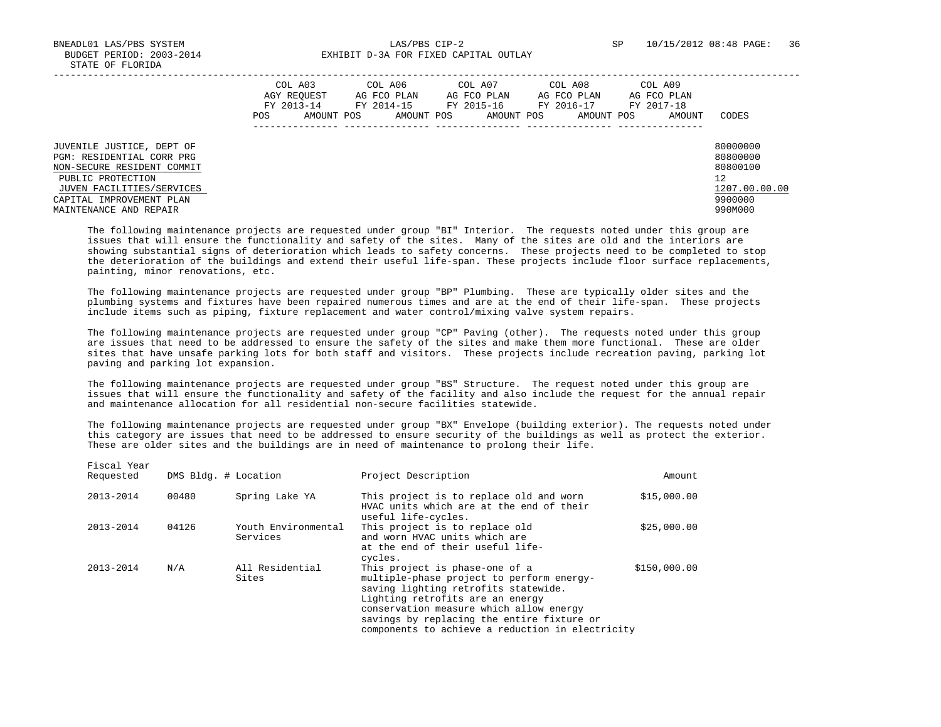Fiscal Year

 BNEADL01 LAS/PBS SYSTEM LAS/PBS CIP-2 SP 10/15/2012 08:48 PAGE: 36 BUDGET PERIOD: 2003-2014 **EXHIBIT D-3A FOR FIXED CAPITAL OUTLAY** 

|                                                                                                                                                                                              | COL A03<br>AGY REOUEST<br>FY 2013-14<br>POS. | COL A06<br>AG FCO PLAN<br>FY 2014-15<br>AMOUNT POS<br>AMOUNT POS | COL A07<br>AG FCO PLAN<br>FY 2015-16<br>AMOUNT POS | COL A08<br>AG FCO PLAN<br>FY 2016-17<br>AMOUNT POS | COL A09<br>AG FCO PLAN<br>FY 2017-18<br>AMOUNT | CODES                                                                         |
|----------------------------------------------------------------------------------------------------------------------------------------------------------------------------------------------|----------------------------------------------|------------------------------------------------------------------|----------------------------------------------------|----------------------------------------------------|------------------------------------------------|-------------------------------------------------------------------------------|
| JUVENILE JUSTICE, DEPT OF<br>PGM: RESIDENTIAL CORR PRG<br>NON-SECURE RESIDENT COMMIT<br>PUBLIC PROTECTION<br>JUVEN FACILITIES/SERVICES<br>CAPITAL IMPROVEMENT PLAN<br>MAINTENANCE AND REPAIR |                                              |                                                                  |                                                    |                                                    |                                                | 80000000<br>80800000<br>80800100<br>12<br>1207.00.00.00<br>9900000<br>990M000 |

 The following maintenance projects are requested under group "BI" Interior. The requests noted under this group are issues that will ensure the functionality and safety of the sites. Many of the sites are old and the interiors are showing substantial signs of deterioration which leads to safety concerns. These projects need to be completed to stop the deterioration of the buildings and extend their useful life-span. These projects include floor surface replacements, painting, minor renovations, etc.

 The following maintenance projects are requested under group "BP" Plumbing. These are typically older sites and the plumbing systems and fixtures have been repaired numerous times and are at the end of their life-span. These projects include items such as piping, fixture replacement and water control/mixing valve system repairs.

 The following maintenance projects are requested under group "CP" Paving (other). The requests noted under this group are issues that need to be addressed to ensure the safety of the sites and make them more functional. These are older sites that have unsafe parking lots for both staff and visitors. These projects include recreation paving, parking lot paving and parking lot expansion.

 The following maintenance projects are requested under group "BS" Structure. The request noted under this group are issues that will ensure the functionality and safety of the facility and also include the request for the annual repair and maintenance allocation for all residential non-secure facilities statewide.

 The following maintenance projects are requested under group "BX" Envelope (building exterior). The requests noted under this category are issues that need to be addressed to ensure security of the buildings as well as protect the exterior. These are older sites and the buildings are in need of maintenance to prolong their life.

| Requested     | DMS Bldg. # Location |                                 | Project Description                                                                                                                                                                                                                                                                                  | Amount       |
|---------------|----------------------|---------------------------------|------------------------------------------------------------------------------------------------------------------------------------------------------------------------------------------------------------------------------------------------------------------------------------------------------|--------------|
| 2013-2014     | 00480                | Spring Lake YA                  | This project is to replace old and worn<br>HVAC units which are at the end of their<br>useful life-cycles.                                                                                                                                                                                           | \$15,000.00  |
| $2013 - 2014$ | 04126                | Youth Environmental<br>Services | This project is to replace old<br>and worn HVAC units which are<br>at the end of their useful life-<br>cycles.                                                                                                                                                                                       | \$25,000.00  |
| $2013 - 2014$ | N/A                  | All Residential<br>Sites        | This project is phase-one of a<br>multiple-phase project to perform energy-<br>saving lighting retrofits statewide.<br>Lighting retrofits are an energy<br>conservation measure which allow energy<br>savings by replacing the entire fixture or<br>components to achieve a reduction in electricity | \$150,000.00 |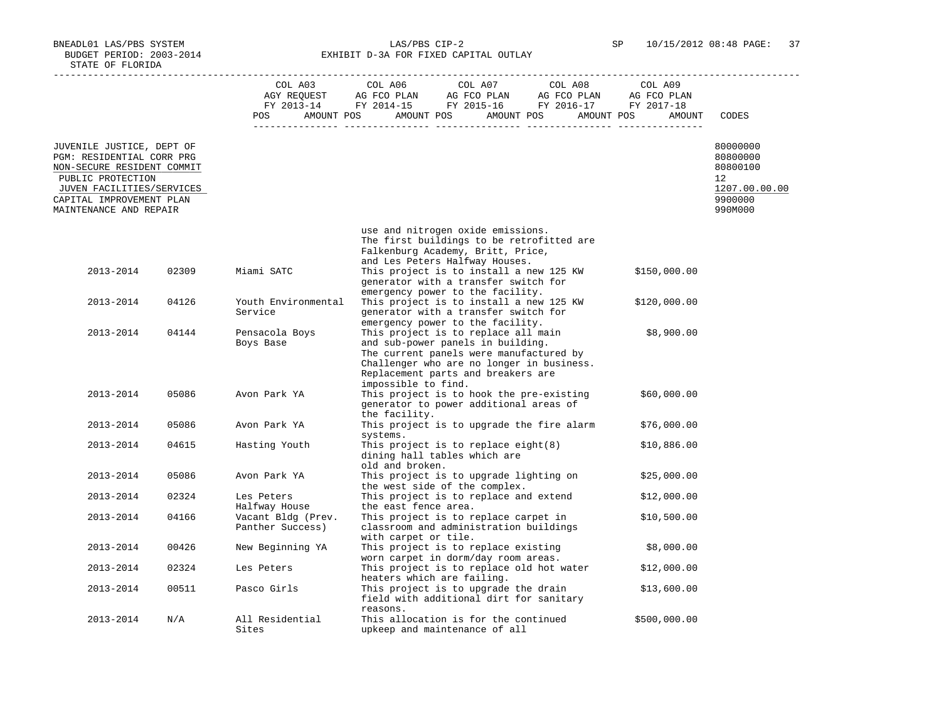BNEADL01 LAS/PBS SYSTEM LAS/PBS CIP-2 SP 10/15/2012 08:48 PAGE: 37 BUDGET PERIOD: 2003-2014 **EXHIBIT D-3A FOR FIXED CAPITAL OUTLAY** 

|                                                                                                                                                                                              |       | POS<br>$- - - - - -$                   | $\begin{tabular}{lcccccc} CDL A03 & CDL A06 & CDL A07 & CDL A08 & CDL A09 \\ AGY REQUEST & AG FCO PLAN & AG FCO PLAN & AG FCO PLAN & AG FCO PLAN \\ FY & 2013-14 & FY & 2014-15 & FY & 2015-16 & FY & 2016-17 & FY & 2017-18 \\ \end{tabular}$<br>AMOUNT POS AMOUNT POS AMOUNT POS AMOUNT POS | AMOUNT       | CODES                                                                         |
|----------------------------------------------------------------------------------------------------------------------------------------------------------------------------------------------|-------|----------------------------------------|-----------------------------------------------------------------------------------------------------------------------------------------------------------------------------------------------------------------------------------------------------------------------------------------------|--------------|-------------------------------------------------------------------------------|
| JUVENILE JUSTICE, DEPT OF<br>PGM: RESIDENTIAL CORR PRG<br>NON-SECURE RESIDENT COMMIT<br>PUBLIC PROTECTION<br>JUVEN FACILITIES/SERVICES<br>CAPITAL IMPROVEMENT PLAN<br>MAINTENANCE AND REPAIR |       |                                        |                                                                                                                                                                                                                                                                                               |              | 80000000<br>80800000<br>80800100<br>12<br>1207.00.00.00<br>9900000<br>990M000 |
|                                                                                                                                                                                              |       |                                        | use and nitrogen oxide emissions.<br>The first buildings to be retrofitted are<br>Falkenburg Academy, Britt, Price,                                                                                                                                                                           |              |                                                                               |
| 2013-2014                                                                                                                                                                                    | 02309 | Miami SATC                             | and Les Peters Halfway Houses.<br>This project is to install a new 125 KW<br>generator with a transfer switch for                                                                                                                                                                             | \$150,000.00 |                                                                               |
| 2013-2014                                                                                                                                                                                    | 04126 | Youth Environmental<br>Service         | emergency power to the facility.<br>This project is to install a new 125 KW<br>generator with a transfer switch for<br>emergency power to the facility.                                                                                                                                       | \$120,000.00 |                                                                               |
| 2013-2014                                                                                                                                                                                    | 04144 | Pensacola Boys<br>Boys Base            | This project is to replace all main<br>and sub-power panels in building.<br>The current panels were manufactured by<br>Challenger who are no longer in business.<br>Replacement parts and breakers are<br>impossible to find.                                                                 | \$8,900.00   |                                                                               |
| 2013-2014                                                                                                                                                                                    | 05086 | Avon Park YA                           | This project is to hook the pre-existing<br>generator to power additional areas of<br>the facility.                                                                                                                                                                                           | \$60,000.00  |                                                                               |
| 2013-2014                                                                                                                                                                                    | 05086 | Avon Park YA                           | This project is to upgrade the fire alarm                                                                                                                                                                                                                                                     | \$76,000.00  |                                                                               |
| 2013-2014                                                                                                                                                                                    | 04615 | Hasting Youth                          | systems.<br>This project is to replace eight(8)<br>dining hall tables which are<br>old and broken.                                                                                                                                                                                            | \$10,886.00  |                                                                               |
| 2013-2014                                                                                                                                                                                    | 05086 | Avon Park YA                           | This project is to upgrade lighting on<br>the west side of the complex.                                                                                                                                                                                                                       | \$25,000.00  |                                                                               |
| 2013-2014                                                                                                                                                                                    | 02324 | Les Peters<br>Halfway House            | This project is to replace and extend<br>the east fence area.                                                                                                                                                                                                                                 | \$12,000.00  |                                                                               |
| 2013-2014                                                                                                                                                                                    | 04166 | Vacant Bldg (Prev.<br>Panther Success) | This project is to replace carpet in<br>classroom and administration buildings<br>with carpet or tile.                                                                                                                                                                                        | \$10,500.00  |                                                                               |
| 2013-2014                                                                                                                                                                                    | 00426 | New Beginning YA                       | This project is to replace existing<br>worn carpet in dorm/day room areas.                                                                                                                                                                                                                    | \$8,000.00   |                                                                               |
| 2013-2014                                                                                                                                                                                    | 02324 | Les Peters                             | This project is to replace old hot water<br>heaters which are failing.                                                                                                                                                                                                                        | \$12,000.00  |                                                                               |
| 2013-2014                                                                                                                                                                                    | 00511 | Pasco Girls                            | This project is to upgrade the drain<br>field with additional dirt for sanitary<br>reasons.                                                                                                                                                                                                   | \$13,600.00  |                                                                               |
| 2013-2014                                                                                                                                                                                    | N/A   | All Residential<br>Sites               | This allocation is for the continued<br>upkeep and maintenance of all                                                                                                                                                                                                                         | \$500,000.00 |                                                                               |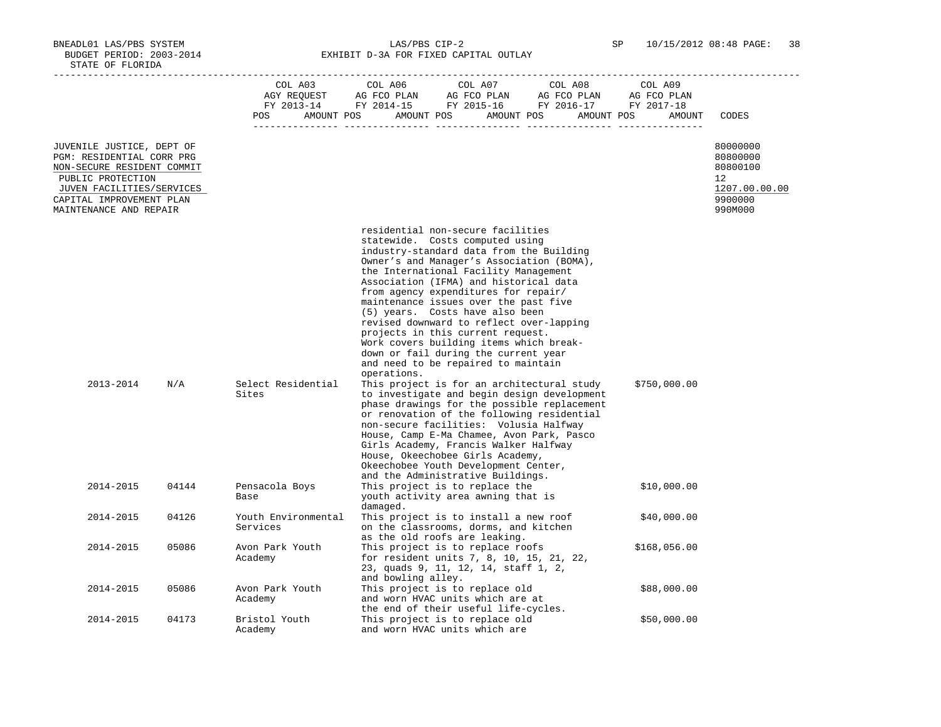BNEADL01 LAS/PBS SYSTEM LAS/PBS CIP-2 SP 10/15/2012 08:48 PAGE: 38 BUDGET PERIOD: 2003-2014 **EXHIBIT D-3A FOR FIXED CAPITAL OUTLAY** 

|                                                                                                                                                                                              |       | COL A03<br>POS                  | COL A06<br>COL A07<br>COL A08<br>COL AU3 COL AU6 COL AU7 COL AU8 COL AU9<br>AGY REQUEST AG FCO PLAN AG FCO PLAN AG FCO PLAN AG FCO PLAN FY 2013-14 FY 2014-15 FY 2015-16 FY 2016-17 FY 2017-18<br>AMOUNT POS AMOUNT POS AMOUNT POS AMOUNT POS                                                                                                                                                                                                                                                                                                                                                                                                                                                                                                                                                                                                                                                                                                                                                                                             | COL A09<br>AMOUNT | CODES                                                                         |
|----------------------------------------------------------------------------------------------------------------------------------------------------------------------------------------------|-------|---------------------------------|-------------------------------------------------------------------------------------------------------------------------------------------------------------------------------------------------------------------------------------------------------------------------------------------------------------------------------------------------------------------------------------------------------------------------------------------------------------------------------------------------------------------------------------------------------------------------------------------------------------------------------------------------------------------------------------------------------------------------------------------------------------------------------------------------------------------------------------------------------------------------------------------------------------------------------------------------------------------------------------------------------------------------------------------|-------------------|-------------------------------------------------------------------------------|
| JUVENILE JUSTICE, DEPT OF<br>PGM: RESIDENTIAL CORR PRG<br>NON-SECURE RESIDENT COMMIT<br>PUBLIC PROTECTION<br>JUVEN FACILITIES/SERVICES<br>CAPITAL IMPROVEMENT PLAN<br>MAINTENANCE AND REPAIR |       |                                 |                                                                                                                                                                                                                                                                                                                                                                                                                                                                                                                                                                                                                                                                                                                                                                                                                                                                                                                                                                                                                                           |                   | 80000000<br>80800000<br>80800100<br>12<br>1207.00.00.00<br>9900000<br>990M000 |
| 2013-2014                                                                                                                                                                                    | N/A   | Select Residential<br>Sites     | residential non-secure facilities<br>statewide. Costs computed using<br>industry-standard data from the Building<br>Owner's and Manager's Association (BOMA),<br>the International Facility Management<br>Association (IFMA) and historical data<br>from agency expenditures for repair/<br>maintenance issues over the past five<br>(5) years. Costs have also been<br>revised downward to reflect over-lapping<br>projects in this current request.<br>Work covers building items which break-<br>down or fail during the current year<br>and need to be repaired to maintain<br>operations.<br>This project is for an architectural study<br>to investigate and begin design development<br>phase drawings for the possible replacement<br>or renovation of the following residential<br>non-secure facilities: Volusia Halfway<br>House, Camp E-Ma Chamee, Avon Park, Pasco<br>Girls Academy, Francis Walker Halfway<br>House, Okeechobee Girls Academy,<br>Okeechobee Youth Development Center,<br>and the Administrative Buildings. | \$750,000.00      |                                                                               |
| 2014-2015                                                                                                                                                                                    | 04144 | Pensacola Boys<br>Base          | This project is to replace the<br>youth activity area awning that is<br>damaged.                                                                                                                                                                                                                                                                                                                                                                                                                                                                                                                                                                                                                                                                                                                                                                                                                                                                                                                                                          | \$10,000.00       |                                                                               |
| 2014-2015                                                                                                                                                                                    | 04126 | Youth Environmental<br>Services | This project is to install a new roof<br>on the classrooms, dorms, and kitchen<br>as the old roofs are leaking.                                                                                                                                                                                                                                                                                                                                                                                                                                                                                                                                                                                                                                                                                                                                                                                                                                                                                                                           | \$40,000.00       |                                                                               |
| 2014-2015                                                                                                                                                                                    | 05086 | Avon Park Youth<br>Academy      | This project is to replace roofs<br>for resident units 7, 8, 10, 15, 21, 22,<br>23, quads 9, 11, 12, 14, staff 1, 2,<br>and bowling alley.                                                                                                                                                                                                                                                                                                                                                                                                                                                                                                                                                                                                                                                                                                                                                                                                                                                                                                | \$168,056.00      |                                                                               |
| 2014-2015                                                                                                                                                                                    | 05086 | Avon Park Youth<br>Academy      | This project is to replace old<br>and worn HVAC units which are at<br>the end of their useful life-cycles.                                                                                                                                                                                                                                                                                                                                                                                                                                                                                                                                                                                                                                                                                                                                                                                                                                                                                                                                | \$88,000.00       |                                                                               |
| 2014-2015                                                                                                                                                                                    | 04173 | Bristol Youth<br>Academy        | This project is to replace old<br>and worn HVAC units which are                                                                                                                                                                                                                                                                                                                                                                                                                                                                                                                                                                                                                                                                                                                                                                                                                                                                                                                                                                           | \$50,000.00       |                                                                               |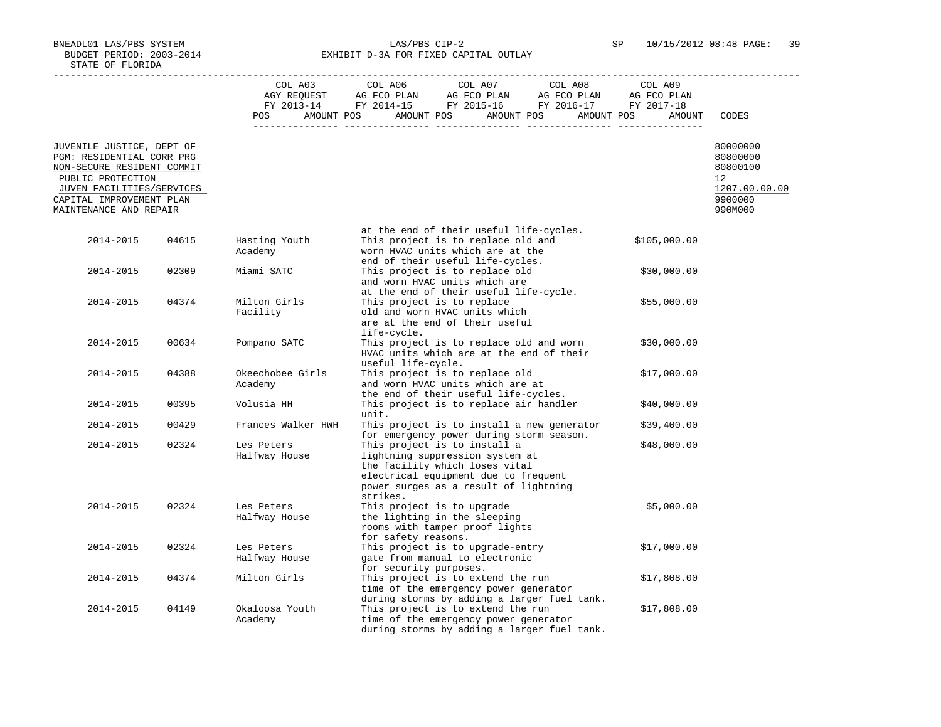BNEADL01 LAS/PBS SYSTEM LAS/PBS CIP-2 SP 10/15/2012 08:48 PAGE: 39 BUDGET PERIOD: 2003-2014 **EXHIBIT D-3A FOR FIXED CAPITAL OUTLAY** 

|                                                                                                                                                                                              |       |                             | $\begin{tabular}{lcccc} COL A03 & COL A06 & COL A07 & COL A08 & COL A09 \\ AGY REQUEST & AG FCO PLAN & AG FCO PLAN & AG FCO PLAN & AG FCO PLAN \\ FY & 2013-14 & FY & 2014-15 & FY & 2015-16 & FY & 2016-17 & FY & 2017-18 \\ \end{tabular}$ |              |                                                                               |
|----------------------------------------------------------------------------------------------------------------------------------------------------------------------------------------------|-------|-----------------------------|----------------------------------------------------------------------------------------------------------------------------------------------------------------------------------------------------------------------------------------------|--------------|-------------------------------------------------------------------------------|
|                                                                                                                                                                                              |       |                             | POS AMOUNT POS AMOUNT POS AMOUNT POS AMOUNT POS                                                                                                                                                                                              | AMOUNT       | CODES                                                                         |
| JUVENILE JUSTICE, DEPT OF<br>PGM: RESIDENTIAL CORR PRG<br>NON-SECURE RESIDENT COMMIT<br>PUBLIC PROTECTION<br>JUVEN FACILITIES/SERVICES<br>CAPITAL IMPROVEMENT PLAN<br>MAINTENANCE AND REPAIR |       |                             |                                                                                                                                                                                                                                              |              | 80000000<br>80800000<br>80800100<br>12<br>1207.00.00.00<br>9900000<br>990M000 |
| 2014-2015                                                                                                                                                                                    | 04615 | Hasting Youth<br>Academy    | at the end of their useful life-cycles.<br>This project is to replace old and<br>worn HVAC units which are at the                                                                                                                            | \$105,000.00 |                                                                               |
| 2014-2015                                                                                                                                                                                    | 02309 | Miami SATC                  | end of their useful life-cycles.<br>This project is to replace old<br>and worn HVAC units which are                                                                                                                                          | \$30,000.00  |                                                                               |
| 2014-2015                                                                                                                                                                                    | 04374 | Milton Girls<br>Facility    | at the end of their useful life-cycle.<br>This project is to replace<br>old and worn HVAC units which<br>are at the end of their useful                                                                                                      | \$55,000.00  |                                                                               |
| 2014-2015                                                                                                                                                                                    | 00634 | Pompano SATC                | life-cycle.<br>This project is to replace old and worn<br>HVAC units which are at the end of their<br>useful life-cycle.                                                                                                                     | \$30,000.00  |                                                                               |
| 2014-2015                                                                                                                                                                                    | 04388 | Okeechobee Girls<br>Academy | This project is to replace old<br>and worn HVAC units which are at                                                                                                                                                                           | \$17,000.00  |                                                                               |
| 2014-2015                                                                                                                                                                                    | 00395 | Volusia HH                  | the end of their useful life-cycles.<br>This project is to replace air handler<br>unit.                                                                                                                                                      | \$40,000.00  |                                                                               |
| 2014-2015                                                                                                                                                                                    | 00429 | Frances Walker HWH          | This project is to install a new generator                                                                                                                                                                                                   | \$39,400.00  |                                                                               |
| 2014-2015                                                                                                                                                                                    | 02324 | Les Peters<br>Halfway House | for emergency power during storm season.<br>This project is to install a<br>lightning suppression system at<br>the facility which loses vital<br>electrical equipment due to frequent<br>power surges as a result of lightning<br>strikes.   | \$48,000.00  |                                                                               |
| 2014-2015                                                                                                                                                                                    | 02324 | Les Peters<br>Halfway House | This project is to upgrade<br>the lighting in the sleeping<br>rooms with tamper proof lights<br>for safety reasons.                                                                                                                          | \$5,000.00   |                                                                               |
| 2014-2015                                                                                                                                                                                    | 02324 | Les Peters<br>Halfway House | This project is to upgrade-entry<br>gate from manual to electronic<br>for security purposes.                                                                                                                                                 | \$17,000.00  |                                                                               |
| 2014-2015                                                                                                                                                                                    | 04374 | Milton Girls                | This project is to extend the run<br>time of the emergency power generator<br>during storms by adding a larger fuel tank.                                                                                                                    | \$17,808.00  |                                                                               |
| 2014-2015                                                                                                                                                                                    | 04149 | Okaloosa Youth<br>Academy   | This project is to extend the run<br>time of the emergency power generator<br>during storms by adding a larger fuel tank.                                                                                                                    | \$17,808.00  |                                                                               |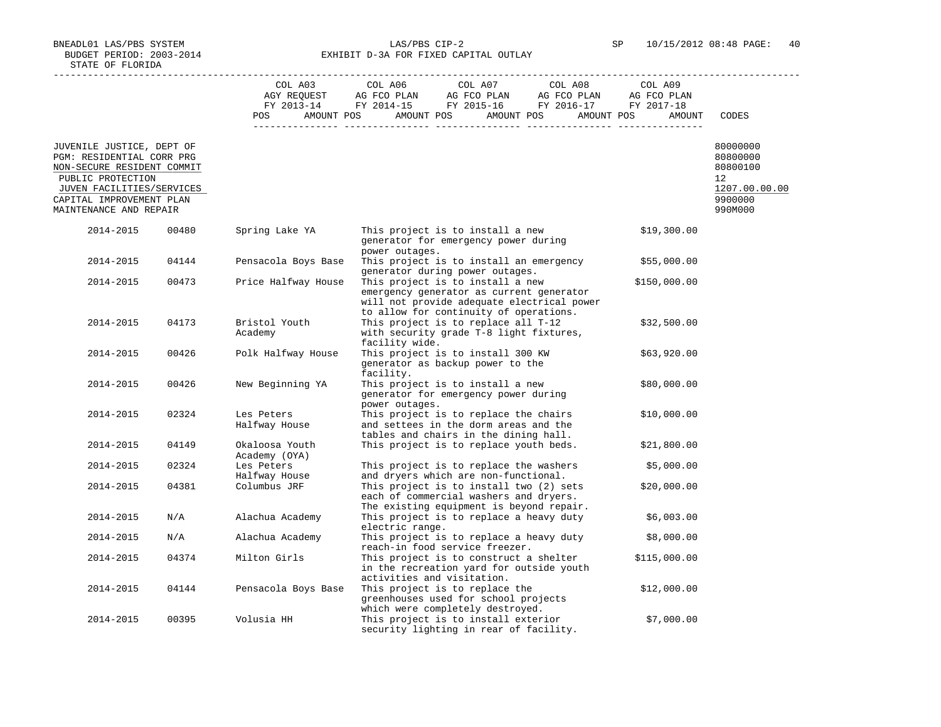BNEADL01 LAS/PBS SYSTEM LAS/PBS CIP-2 SP 10/15/2012 08:48 PAGE: 40 BUDGET PERIOD: 2003-2014 **EXHIBIT D-3A FOR FIXED CAPITAL OUTLAY** 

|                                                                                                                                                                                              |                         | COL A03                         | COL A06<br>COL A07<br>COL A08                                                                                                                                        | COL A09      |                                                                                              |
|----------------------------------------------------------------------------------------------------------------------------------------------------------------------------------------------|-------------------------|---------------------------------|----------------------------------------------------------------------------------------------------------------------------------------------------------------------|--------------|----------------------------------------------------------------------------------------------|
|                                                                                                                                                                                              |                         | POS                             | AMOUNT POS AMOUNT POS AMOUNT POS AMOUNT POS                                                                                                                          | AMOUNT       | CODES                                                                                        |
| JUVENILE JUSTICE, DEPT OF<br>PGM: RESIDENTIAL CORR PRG<br>NON-SECURE RESIDENT COMMIT<br>PUBLIC PROTECTION<br>JUVEN FACILITIES/SERVICES<br>CAPITAL IMPROVEMENT PLAN<br>MAINTENANCE AND REPAIR |                         |                                 |                                                                                                                                                                      |              | 80000000<br>80800000<br>80800100<br>$12 \overline{ }$<br>1207.00.00.00<br>9900000<br>990M000 |
| 2014-2015                                                                                                                                                                                    | 00480                   | Spring Lake YA                  | This project is to install a new<br>generator for emergency power during<br>power outages.                                                                           | \$19,300.00  |                                                                                              |
| 2014-2015                                                                                                                                                                                    | 04144                   | Pensacola Boys Base             | This project is to install an emergency<br>generator during power outages.                                                                                           | \$55,000.00  |                                                                                              |
| 2014-2015                                                                                                                                                                                    | 00473                   | Price Halfway House             | This project is to install a new<br>emergency generator as current generator<br>will not provide adequate electrical power<br>to allow for continuity of operations. | \$150,000.00 |                                                                                              |
| 2014-2015                                                                                                                                                                                    | 04173                   | Bristol Youth<br>Academy        | This project is to replace all T-12<br>with security grade T-8 light fixtures,<br>facility wide.                                                                     | \$32,500.00  |                                                                                              |
| 2014-2015                                                                                                                                                                                    | 00426                   | Polk Halfway House              | This project is to install 300 KW<br>generator as backup power to the<br>facility.                                                                                   | \$63,920.00  |                                                                                              |
| 2014-2015                                                                                                                                                                                    | 00426                   | New Beginning YA                | This project is to install a new<br>generator for emergency power during<br>power outages.                                                                           | \$80,000.00  |                                                                                              |
| 2014-2015                                                                                                                                                                                    | 02324                   | Les Peters<br>Halfway House     | This project is to replace the chairs<br>and settees in the dorm areas and the<br>tables and chairs in the dining hall.                                              | \$10,000.00  |                                                                                              |
| 2014-2015                                                                                                                                                                                    | 04149                   | Okaloosa Youth<br>Academy (OYA) | This project is to replace youth beds.                                                                                                                               | \$21,800.00  |                                                                                              |
| 2014-2015                                                                                                                                                                                    | 02324                   | Les Peters<br>Halfway House     | This project is to replace the washers<br>and dryers which are non-functional.                                                                                       | \$5,000.00   |                                                                                              |
| 2014-2015                                                                                                                                                                                    | 04381                   | Columbus JRF                    | This project is to install two (2) sets<br>each of commercial washers and dryers.<br>The existing equipment is beyond repair.                                        | \$20,000.00  |                                                                                              |
| 2014-2015                                                                                                                                                                                    | N/A                     | Alachua Academy                 | This project is to replace a heavy duty<br>electric range.                                                                                                           | \$6,003.00   |                                                                                              |
| 2014-2015                                                                                                                                                                                    | $\mathrm{N}/\mathrm{A}$ | Alachua Academy                 | This project is to replace a heavy duty<br>reach-in food service freezer.                                                                                            | \$8,000.00   |                                                                                              |
| 2014-2015                                                                                                                                                                                    | 04374                   | Milton Girls                    | This project is to construct a shelter<br>in the recreation yard for outside youth<br>activities and visitation.                                                     | \$115,000.00 |                                                                                              |
| 2014-2015                                                                                                                                                                                    | 04144                   | Pensacola Boys Base             | This project is to replace the<br>greenhouses used for school projects<br>which were completely destroyed.                                                           | \$12,000.00  |                                                                                              |
| 2014-2015                                                                                                                                                                                    | 00395                   | Volusia HH                      | This project is to install exterior<br>security lighting in rear of facility.                                                                                        | \$7,000.00   |                                                                                              |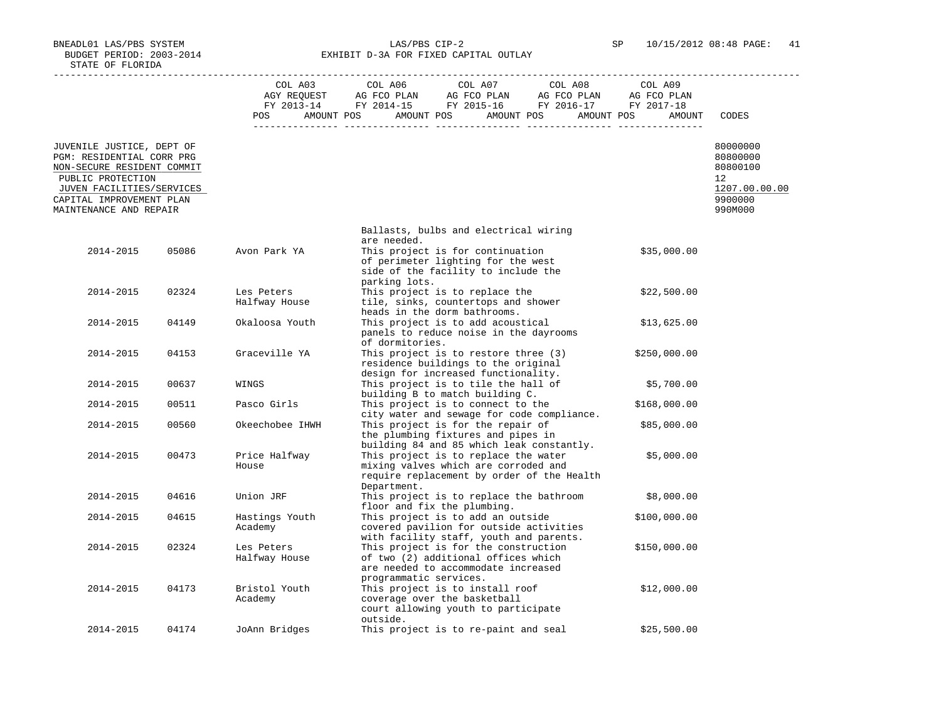BNEADL01 LAS/PBS SYSTEM LAS/PBS CIP-2 SP 10/15/2012 08:48 PAGE: 41 BUDGET PERIOD: 2003-2014 **EXHIBIT D-3A FOR FIXED CAPITAL OUTLAY** 

|                                                                                                                                                                                              |       |                             | COL A03 COL A06 COL A07 COL A08                                                                                                              | COL A09      |                                                                               |
|----------------------------------------------------------------------------------------------------------------------------------------------------------------------------------------------|-------|-----------------------------|----------------------------------------------------------------------------------------------------------------------------------------------|--------------|-------------------------------------------------------------------------------|
|                                                                                                                                                                                              |       |                             | POS AMOUNT POS AMOUNT POS AMOUNT POS AMOUNT POS                                                                                              | AMOUNT       | CODES                                                                         |
| JUVENILE JUSTICE, DEPT OF<br>PGM: RESIDENTIAL CORR PRG<br>NON-SECURE RESIDENT COMMIT<br>PUBLIC PROTECTION<br>JUVEN FACILITIES/SERVICES<br>CAPITAL IMPROVEMENT PLAN<br>MAINTENANCE AND REPAIR |       |                             |                                                                                                                                              |              | 80000000<br>80800000<br>80800100<br>12<br>1207.00.00.00<br>9900000<br>990M000 |
|                                                                                                                                                                                              |       |                             | Ballasts, bulbs and electrical wiring<br>are needed.                                                                                         |              |                                                                               |
| 2014-2015                                                                                                                                                                                    | 05086 | Avon Park YA                | This project is for continuation<br>of perimeter lighting for the west<br>side of the facility to include the                                | \$35,000.00  |                                                                               |
| 2014-2015                                                                                                                                                                                    | 02324 | Les Peters<br>Halfway House | parking lots.<br>This project is to replace the<br>tile, sinks, countertops and shower<br>heads in the dorm bathrooms.                       | \$22,500.00  |                                                                               |
| 2014-2015                                                                                                                                                                                    | 04149 | Okaloosa Youth              | This project is to add acoustical<br>panels to reduce noise in the dayrooms<br>of dormitories.                                               | \$13,625.00  |                                                                               |
| 2014-2015                                                                                                                                                                                    | 04153 | Graceville YA               | This project is to restore three (3)<br>residence buildings to the original<br>design for increased functionality.                           | \$250,000.00 |                                                                               |
| 2014-2015                                                                                                                                                                                    | 00637 | WINGS                       | This project is to tile the hall of<br>building B to match building C.                                                                       | \$5,700.00   |                                                                               |
| 2014-2015                                                                                                                                                                                    | 00511 | Pasco Girls                 | This project is to connect to the<br>city water and sewage for code compliance.                                                              | \$168,000.00 |                                                                               |
| 2014-2015                                                                                                                                                                                    | 00560 | Okeechobee IHWH             | This project is for the repair of<br>the plumbing fixtures and pipes in<br>building 84 and 85 which leak constantly.                         | \$85,000.00  |                                                                               |
| 2014-2015                                                                                                                                                                                    | 00473 | Price Halfway<br>House      | This project is to replace the water<br>mixing valves which are corroded and<br>require replacement by order of the Health<br>Department.    | \$5,000.00   |                                                                               |
| 2014-2015                                                                                                                                                                                    | 04616 | Union JRF                   | This project is to replace the bathroom<br>floor and fix the plumbing.                                                                       | \$8,000.00   |                                                                               |
| 2014-2015                                                                                                                                                                                    | 04615 | Hastings Youth<br>Academy   | This project is to add an outside<br>covered pavilion for outside activities<br>with facility staff, youth and parents.                      | \$100,000.00 |                                                                               |
| 2014-2015                                                                                                                                                                                    | 02324 | Les Peters<br>Halfway House | This project is for the construction<br>of two (2) additional offices which<br>are needed to accommodate increased<br>programmatic services. | \$150,000.00 |                                                                               |
| 2014-2015                                                                                                                                                                                    | 04173 | Bristol Youth<br>Academy    | This project is to install roof<br>coverage over the basketball<br>court allowing youth to participate<br>outside.                           | \$12,000.00  |                                                                               |
| 2014-2015                                                                                                                                                                                    | 04174 | JoAnn Bridges               | This project is to re-paint and seal                                                                                                         | \$25,500.00  |                                                                               |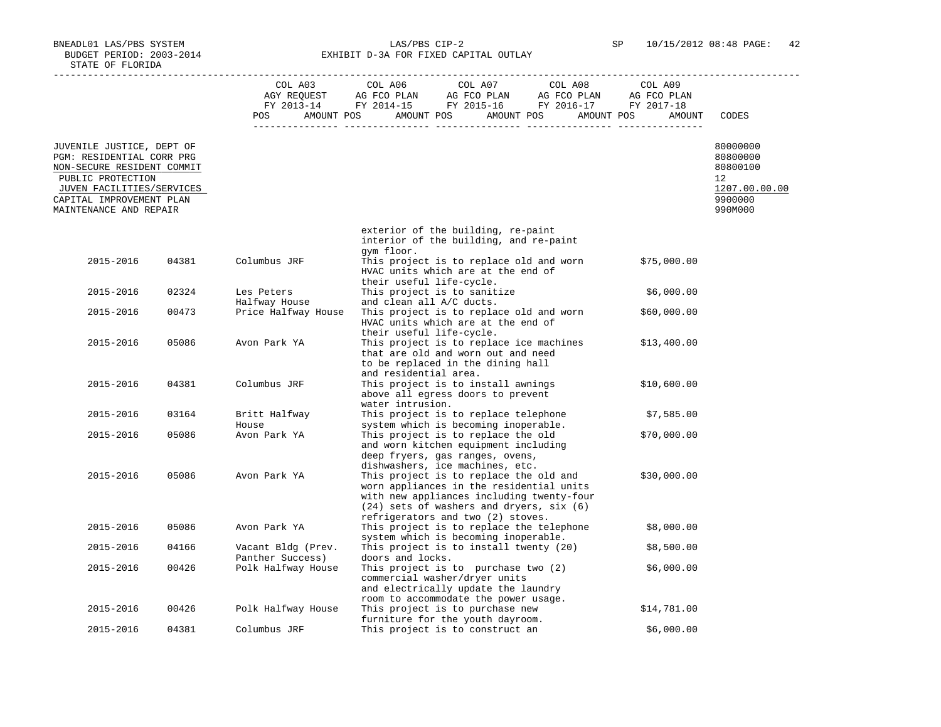BNEADL01 LAS/PBS SYSTEM LAS/PBS CIP-2 SP 10/15/2012 08:48 PAGE: 42 BUDGET PERIOD: 2003-2014 **EXHIBIT D-3A FOR FIXED CAPITAL OUTLAY** 

|                                                                                                                                                                                              |       |                                        | $\begin{tabular}{lcccc} COL A03 & COL A06 & COL A07 & COL A08 & COL A09 \\ AGY REQUEST & AG FCO PLAN & AG FCO PLAN & AG FCO PLAN & AG FCO PLAN \\ FY & 2013-14 & FY & 2014-15 & FY & 2015-16 & FY & 2016-17 & FY & 2017-18 \\ \end{tabular}$ |             |                                                                               |
|----------------------------------------------------------------------------------------------------------------------------------------------------------------------------------------------|-------|----------------------------------------|----------------------------------------------------------------------------------------------------------------------------------------------------------------------------------------------------------------------------------------------|-------------|-------------------------------------------------------------------------------|
|                                                                                                                                                                                              |       | <b>POS</b>                             | AMOUNT POS AMOUNT POS AMOUNT POS AMOUNT POS                                                                                                                                                                                                  | AMOUNT      | CODES                                                                         |
| JUVENILE JUSTICE, DEPT OF<br>PGM: RESIDENTIAL CORR PRG<br>NON-SECURE RESIDENT COMMIT<br>PUBLIC PROTECTION<br>JUVEN FACILITIES/SERVICES<br>CAPITAL IMPROVEMENT PLAN<br>MAINTENANCE AND REPAIR |       |                                        |                                                                                                                                                                                                                                              |             | 80000000<br>80800000<br>80800100<br>12<br>1207.00.00.00<br>9900000<br>990M000 |
|                                                                                                                                                                                              |       |                                        | exterior of the building, re-paint<br>interior of the building, and re-paint                                                                                                                                                                 |             |                                                                               |
| 2015-2016                                                                                                                                                                                    | 04381 | Columbus JRF                           | gym floor.<br>This project is to replace old and worn<br>HVAC units which are at the end of<br>their useful life-cycle.                                                                                                                      | \$75,000.00 |                                                                               |
| 2015-2016                                                                                                                                                                                    | 02324 | Les Peters<br>Halfway House            | This project is to sanitize<br>and clean all A/C ducts.                                                                                                                                                                                      | \$6,000.00  |                                                                               |
| 2015-2016                                                                                                                                                                                    | 00473 | Price Halfway House                    | This project is to replace old and worn<br>HVAC units which are at the end of<br>their useful life-cycle.                                                                                                                                    | \$60,000.00 |                                                                               |
| 2015-2016                                                                                                                                                                                    | 05086 | Avon Park YA                           | This project is to replace ice machines<br>that are old and worn out and need<br>to be replaced in the dining hall<br>and residential area.                                                                                                  | \$13,400.00 |                                                                               |
| 2015-2016                                                                                                                                                                                    | 04381 | Columbus JRF                           | This project is to install awnings<br>above all egress doors to prevent<br>water intrusion.                                                                                                                                                  | \$10,600.00 |                                                                               |
| 2015-2016                                                                                                                                                                                    | 03164 | Britt Halfway<br>House                 | This project is to replace telephone<br>system which is becoming inoperable.                                                                                                                                                                 | \$7,585.00  |                                                                               |
| 2015-2016                                                                                                                                                                                    | 05086 | Avon Park YA                           | This project is to replace the old<br>and worn kitchen equipment including<br>deep fryers, gas ranges, ovens,<br>dishwashers, ice machines, etc.                                                                                             | \$70,000.00 |                                                                               |
| 2015-2016                                                                                                                                                                                    | 05086 | Avon Park YA                           | This project is to replace the old and<br>worn appliances in the residential units<br>with new appliances including twenty-four<br>(24) sets of washers and dryers, six (6)<br>refrigerators and two (2) stoves.                             | \$30,000.00 |                                                                               |
| 2015-2016                                                                                                                                                                                    | 05086 | Avon Park YA                           | This project is to replace the telephone<br>system which is becoming inoperable.                                                                                                                                                             | \$8,000.00  |                                                                               |
| 2015-2016                                                                                                                                                                                    | 04166 | Vacant Bldg (Prev.<br>Panther Success) | This project is to install twenty (20)<br>doors and locks.                                                                                                                                                                                   | \$8,500.00  |                                                                               |
| 2015-2016                                                                                                                                                                                    | 00426 | Polk Halfway House                     | This project is to purchase two (2)<br>commercial washer/dryer units<br>and electrically update the laundry<br>room to accommodate the power usage.                                                                                          | \$6,000.00  |                                                                               |
| 2015-2016                                                                                                                                                                                    | 00426 | Polk Halfway House                     | This project is to purchase new<br>furniture for the youth dayroom.                                                                                                                                                                          | \$14,781.00 |                                                                               |
| 2015-2016                                                                                                                                                                                    | 04381 | Columbus JRF                           | This project is to construct an                                                                                                                                                                                                              | \$6,000.00  |                                                                               |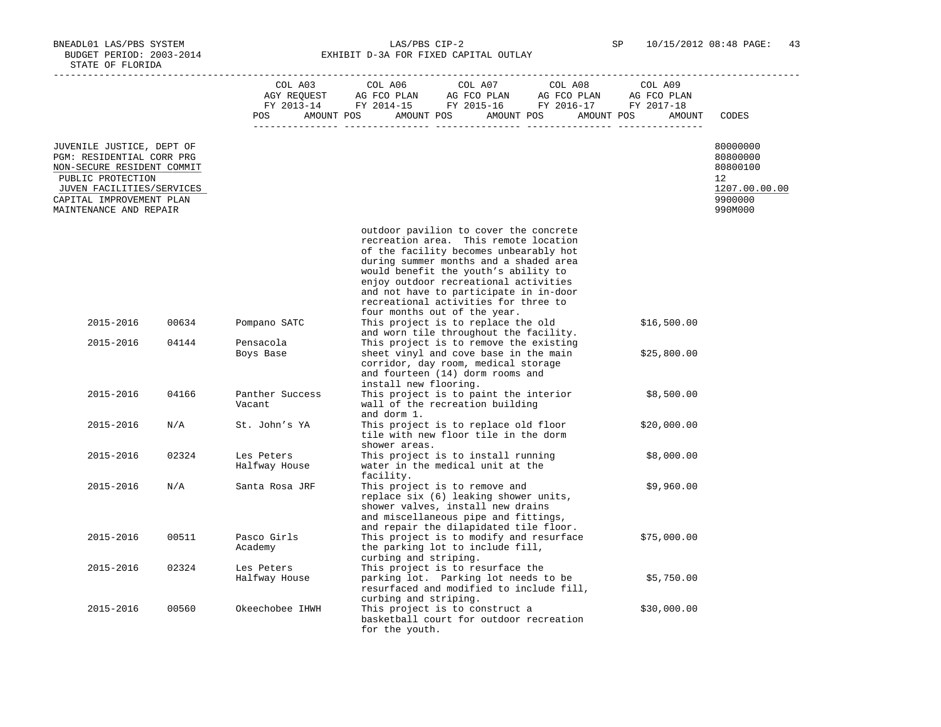BNEADL01 LAS/PBS SYSTEM LAS/PBS CIP-2 SP 10/15/2012 08:48 PAGE: 43 BUDGET PERIOD: 2003-2014 **EXHIBIT D-3A FOR FIXED CAPITAL OUTLAY** 

|                                                                                                                                                                                              |       | COL A03<br><b>POS</b>       | COL A06<br>COL A07<br>COL A08<br>COL A09<br>COL A03 COL A06 COL A07 COL A08 COL A09<br>AGY REQUEST AG FCO PLAN AG FCO PLAN AG FCO PLAN AG FCO PLAN FY 2013-14 FY 2014-15 FY 2015-16 FY 2016-17 FY 2017-18<br>AMOUNT POS AMOUNT POS AMOUNT POS AMOUNT POS<br>AMOUNT                                                                                                     | CODES                                                                         |
|----------------------------------------------------------------------------------------------------------------------------------------------------------------------------------------------|-------|-----------------------------|------------------------------------------------------------------------------------------------------------------------------------------------------------------------------------------------------------------------------------------------------------------------------------------------------------------------------------------------------------------------|-------------------------------------------------------------------------------|
| JUVENILE JUSTICE, DEPT OF<br>PGM: RESIDENTIAL CORR PRG<br>NON-SECURE RESIDENT COMMIT<br>PUBLIC PROTECTION<br>JUVEN FACILITIES/SERVICES<br>CAPITAL IMPROVEMENT PLAN<br>MAINTENANCE AND REPAIR |       |                             |                                                                                                                                                                                                                                                                                                                                                                        | 80000000<br>80800000<br>80800100<br>12<br>1207.00.00.00<br>9900000<br>990M000 |
|                                                                                                                                                                                              |       |                             | outdoor pavilion to cover the concrete<br>recreation area. This remote location<br>of the facility becomes unbearably hot<br>during summer months and a shaded area<br>would benefit the youth's ability to<br>enjoy outdoor recreational activities<br>and not have to participate in in-door<br>recreational activities for three to<br>four months out of the year. |                                                                               |
| 2015-2016                                                                                                                                                                                    | 00634 | Pompano SATC                | This project is to replace the old<br>\$16,500.00<br>and worn tile throughout the facility.                                                                                                                                                                                                                                                                            |                                                                               |
| 2015-2016                                                                                                                                                                                    | 04144 | Pensacola<br>Boys Base      | This project is to remove the existing<br>sheet vinyl and cove base in the main<br>\$25,800.00<br>corridor, day room, medical storage<br>and fourteen (14) dorm rooms and<br>install new flooring.                                                                                                                                                                     |                                                                               |
| 2015-2016                                                                                                                                                                                    | 04166 | Panther Success<br>Vacant   | This project is to paint the interior<br>\$8,500.00<br>wall of the recreation building<br>and dorm 1.                                                                                                                                                                                                                                                                  |                                                                               |
| 2015-2016                                                                                                                                                                                    | N/A   | St. John's YA               | This project is to replace old floor<br>\$20,000.00<br>tile with new floor tile in the dorm<br>shower areas.                                                                                                                                                                                                                                                           |                                                                               |
| 2015-2016                                                                                                                                                                                    | 02324 | Les Peters<br>Halfway House | This project is to install running<br>\$8,000.00<br>water in the medical unit at the<br>facility.                                                                                                                                                                                                                                                                      |                                                                               |
| 2015-2016                                                                                                                                                                                    | N/A   | Santa Rosa JRF              | This project is to remove and<br>\$9,960.00<br>replace six (6) leaking shower units,<br>shower valves, install new drains<br>and miscellaneous pipe and fittings,<br>and repair the dilapidated tile floor.                                                                                                                                                            |                                                                               |
| 2015-2016                                                                                                                                                                                    | 00511 | Pasco Girls<br>Academy      | This project is to modify and resurface<br>\$75,000.00<br>the parking lot to include fill,<br>curbing and striping.                                                                                                                                                                                                                                                    |                                                                               |
| 2015-2016                                                                                                                                                                                    | 02324 | Les Peters<br>Halfway House | This project is to resurface the<br>parking lot. Parking lot needs to be<br>\$5,750.00<br>resurfaced and modified to include fill,                                                                                                                                                                                                                                     |                                                                               |
| 2015-2016                                                                                                                                                                                    | 00560 | Okeechobee IHWH             | curbing and striping.<br>This project is to construct a<br>\$30,000.00<br>basketball court for outdoor recreation<br>for the youth.                                                                                                                                                                                                                                    |                                                                               |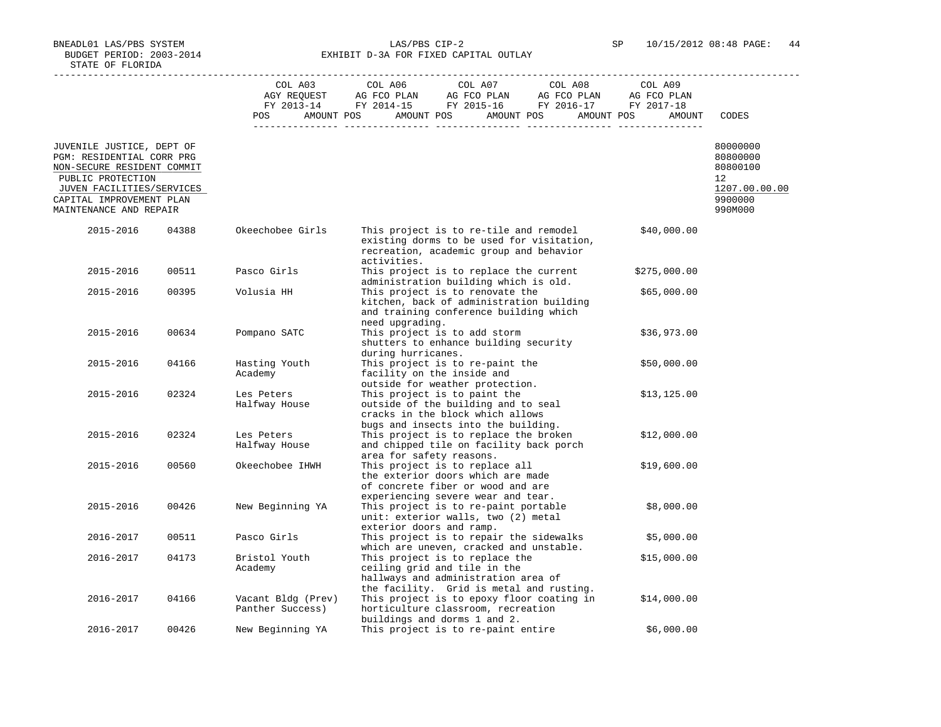BNEADL01 LAS/PBS SYSTEM LAS/PBS CIP-2 SP 10/15/2012 08:48 PAGE: 44 BUDGET PERIOD: 2003-2014 **EXHIBIT D-3A FOR FIXED CAPITAL OUTLAY** 

|                                                                                                                                                                                              |       | COL A03                                | COL A06                  | COL A07<br>AGY REQUEST AG FCO PLAN AG FCO PLAN AG FCO PLAN AG FCO PLAN                                                                                                                       | COL A08 | COL A09      |                                                                               |
|----------------------------------------------------------------------------------------------------------------------------------------------------------------------------------------------|-------|----------------------------------------|--------------------------|----------------------------------------------------------------------------------------------------------------------------------------------------------------------------------------------|---------|--------------|-------------------------------------------------------------------------------|
|                                                                                                                                                                                              |       |                                        |                          | FY 2013-14 FY 2014-15 FY 2015-16 FY 2016-17 FY 2017-18                                                                                                                                       |         |              |                                                                               |
|                                                                                                                                                                                              |       | POS                                    |                          | AMOUNT POS AMOUNT POS AMOUNT POS AMOUNT POS                                                                                                                                                  |         | AMOUNT       | CODES                                                                         |
|                                                                                                                                                                                              |       |                                        |                          |                                                                                                                                                                                              |         |              |                                                                               |
| JUVENILE JUSTICE, DEPT OF<br>PGM: RESIDENTIAL CORR PRG<br>NON-SECURE RESIDENT COMMIT<br>PUBLIC PROTECTION<br>JUVEN FACILITIES/SERVICES<br>CAPITAL IMPROVEMENT PLAN<br>MAINTENANCE AND REPAIR |       |                                        |                          |                                                                                                                                                                                              |         |              | 80000000<br>80800000<br>80800100<br>12<br>1207.00.00.00<br>9900000<br>990M000 |
| 2015-2016                                                                                                                                                                                    | 04388 | Okeechobee Girls                       |                          | This project is to re-tile and remodel<br>existing dorms to be used for visitation,<br>recreation, academic group and behavior                                                               |         | \$40,000.00  |                                                                               |
|                                                                                                                                                                                              |       |                                        | activities.              |                                                                                                                                                                                              |         |              |                                                                               |
| 2015-2016                                                                                                                                                                                    | 00511 | Pasco Girls                            |                          | This project is to replace the current<br>administration building which is old.                                                                                                              |         | \$275,000.00 |                                                                               |
| 2015-2016                                                                                                                                                                                    | 00395 | Volusia HH                             | need upgrading.          | This project is to renovate the<br>kitchen, back of administration building<br>and training conference building which                                                                        |         | \$65,000.00  |                                                                               |
| 2015-2016                                                                                                                                                                                    | 00634 | Pompano SATC                           | during hurricanes.       | This project is to add storm<br>shutters to enhance building security                                                                                                                        |         | \$36,973.00  |                                                                               |
| 2015-2016                                                                                                                                                                                    | 04166 | Hasting Youth<br>Academy               |                          | This project is to re-paint the<br>facility on the inside and<br>outside for weather protection.                                                                                             |         | \$50,000.00  |                                                                               |
| 2015-2016                                                                                                                                                                                    | 02324 | Les Peters<br>Halfway House            |                          | This project is to paint the<br>outside of the building and to seal<br>cracks in the block which allows<br>bugs and insects into the building.                                               |         | \$13,125.00  |                                                                               |
| 2015-2016                                                                                                                                                                                    | 02324 | Les Peters<br>Halfway House            | area for safety reasons. | This project is to replace the broken<br>and chipped tile on facility back porch                                                                                                             |         | \$12,000.00  |                                                                               |
| 2015-2016                                                                                                                                                                                    | 00560 | Okeechobee IHWH                        |                          | This project is to replace all<br>the exterior doors which are made<br>of concrete fiber or wood and are<br>experiencing severe wear and tear.                                               |         | \$19,600.00  |                                                                               |
| 2015-2016                                                                                                                                                                                    | 00426 | New Beginning YA                       | exterior doors and ramp. | This project is to re-paint portable<br>unit: exterior walls, two (2) metal                                                                                                                  |         | \$8,000.00   |                                                                               |
| 2016-2017                                                                                                                                                                                    | 00511 | Pasco Girls                            |                          | This project is to repair the sidewalks                                                                                                                                                      |         | \$5,000.00   |                                                                               |
| 2016-2017                                                                                                                                                                                    | 04173 | Bristol Youth<br>Academy               |                          | which are uneven, cracked and unstable.<br>This project is to replace the<br>ceiling grid and tile in the<br>hallways and administration area of<br>the facility. Grid is metal and rusting. |         | \$15,000.00  |                                                                               |
| 2016-2017                                                                                                                                                                                    | 04166 | Vacant Bldg (Prev)<br>Panther Success) |                          | This project is to epoxy floor coating in<br>horticulture classroom, recreation<br>buildings and dorms 1 and 2.                                                                              |         | \$14,000.00  |                                                                               |
| 2016-2017                                                                                                                                                                                    | 00426 | New Beginning YA                       |                          | This project is to re-paint entire                                                                                                                                                           |         | \$6,000.00   |                                                                               |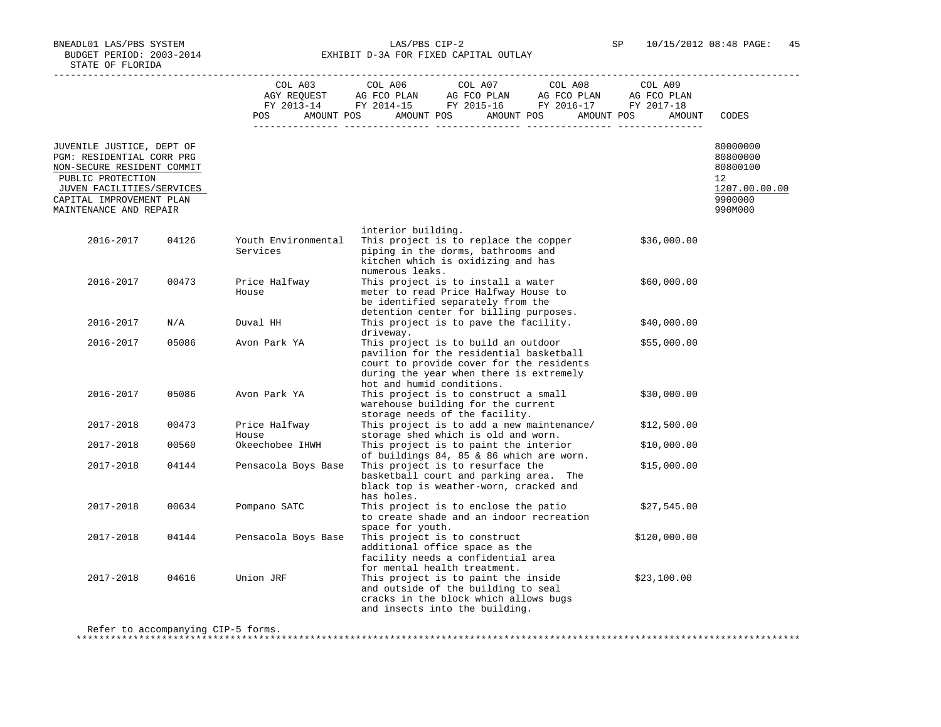BNEADL01 LAS/PBS SYSTEM LAS/PBS CIP-2 SP 10/15/2012 08:48 PAGE: 45 BUDGET PERIOD: 2003-2014 **EXHIBIT D-3A FOR FIXED CAPITAL OUTLAY** 

|                                                                                                                                                                                              |       | COL A03                         | COL A06<br>COL A07<br>COL A08<br>COL A03 COL A06 COL A07 COL A08 COL A09<br>AGY REQUEST AG FCO PLAN AG FCO PLAN AG FCO PLAN AG FCO PLAN<br>FY 2013-14 FY 2014-15 FY 2015-16 FY 2016-17 FY 2017-18<br>POS AMOUNT POS AMOUNT POS AMOUNT POS AMOUNT POS | COL A09<br>AMOUNT | CODES                                                                         |
|----------------------------------------------------------------------------------------------------------------------------------------------------------------------------------------------|-------|---------------------------------|------------------------------------------------------------------------------------------------------------------------------------------------------------------------------------------------------------------------------------------------------|-------------------|-------------------------------------------------------------------------------|
| JUVENILE JUSTICE, DEPT OF<br>PGM: RESIDENTIAL CORR PRG<br>NON-SECURE RESIDENT COMMIT<br>PUBLIC PROTECTION<br>JUVEN FACILITIES/SERVICES<br>CAPITAL IMPROVEMENT PLAN<br>MAINTENANCE AND REPAIR |       |                                 |                                                                                                                                                                                                                                                      |                   | 80000000<br>80800000<br>80800100<br>12<br>1207.00.00.00<br>9900000<br>990M000 |
| 2016-2017                                                                                                                                                                                    | 04126 | Youth Environmental<br>Services | interior building.<br>This project is to replace the copper<br>piping in the dorms, bathrooms and                                                                                                                                                    | \$36,000.00       |                                                                               |
|                                                                                                                                                                                              |       |                                 | kitchen which is oxidizing and has<br>numerous leaks.                                                                                                                                                                                                |                   |                                                                               |
| 2016-2017                                                                                                                                                                                    | 00473 | Price Halfway<br>House          | This project is to install a water<br>meter to read Price Halfway House to<br>be identified separately from the<br>detention center for billing purposes.                                                                                            | \$60,000.00       |                                                                               |
| 2016-2017                                                                                                                                                                                    | N/A   | Duval HH                        | This project is to pave the facility.<br>driveway.                                                                                                                                                                                                   | \$40,000.00       |                                                                               |
| 2016-2017                                                                                                                                                                                    | 05086 | Avon Park YA                    | This project is to build an outdoor<br>pavilion for the residential basketball<br>court to provide cover for the residents<br>during the year when there is extremely<br>hot and humid conditions.                                                   | \$55,000.00       |                                                                               |
| 2016-2017                                                                                                                                                                                    | 05086 | Avon Park YA                    | This project is to construct a small<br>warehouse building for the current<br>storage needs of the facility.                                                                                                                                         | \$30,000.00       |                                                                               |
| 2017-2018                                                                                                                                                                                    | 00473 | Price Halfway<br>House          | This project is to add a new maintenance/<br>storage shed which is old and worn.                                                                                                                                                                     | \$12,500.00       |                                                                               |
| 2017-2018                                                                                                                                                                                    | 00560 | Okeechobee IHWH                 | This project is to paint the interior<br>of buildings 84, 85 & 86 which are worn.                                                                                                                                                                    | \$10,000.00       |                                                                               |
| 2017-2018                                                                                                                                                                                    | 04144 | Pensacola Boys Base             | This project is to resurface the<br>basketball court and parking area. The<br>black top is weather-worn, cracked and<br>has holes.                                                                                                                   | \$15,000.00       |                                                                               |
| 2017-2018                                                                                                                                                                                    | 00634 | Pompano SATC                    | This project is to enclose the patio<br>to create shade and an indoor recreation<br>space for youth.                                                                                                                                                 | \$27,545.00       |                                                                               |
| 2017-2018                                                                                                                                                                                    | 04144 | Pensacola Boys Base             | This project is to construct<br>additional office space as the<br>facility needs a confidential area<br>for mental health treatment.                                                                                                                 | \$120,000.00      |                                                                               |
| 2017-2018                                                                                                                                                                                    | 04616 | Union JRF                       | This project is to paint the inside<br>and outside of the building to seal<br>cracks in the block which allows bugs<br>and insects into the building.                                                                                                | \$23,100.00       |                                                                               |

\*\*\*\*\*\*\*\*\*\*\*\*\*\*\*\*\*\*\*\*\*\*\*\*\*\*\*\*\*\*\*\*\*\*\*\*\*\*\*\*\*\*\*\*\*\*\*\*\*\*\*\*\*\*\*\*\*\*\*\*\*\*\*\*\*\*\*\*\*\*\*\*\*\*\*\*\*\*\*\*\*\*\*\*\*\*\*\*\*\*\*\*\*\*\*\*\*\*\*\*\*\*\*\*\*\*\*\*\*\*\*\*\*\*\*\*\*\*\*\*\*\*\*\*\*\*\*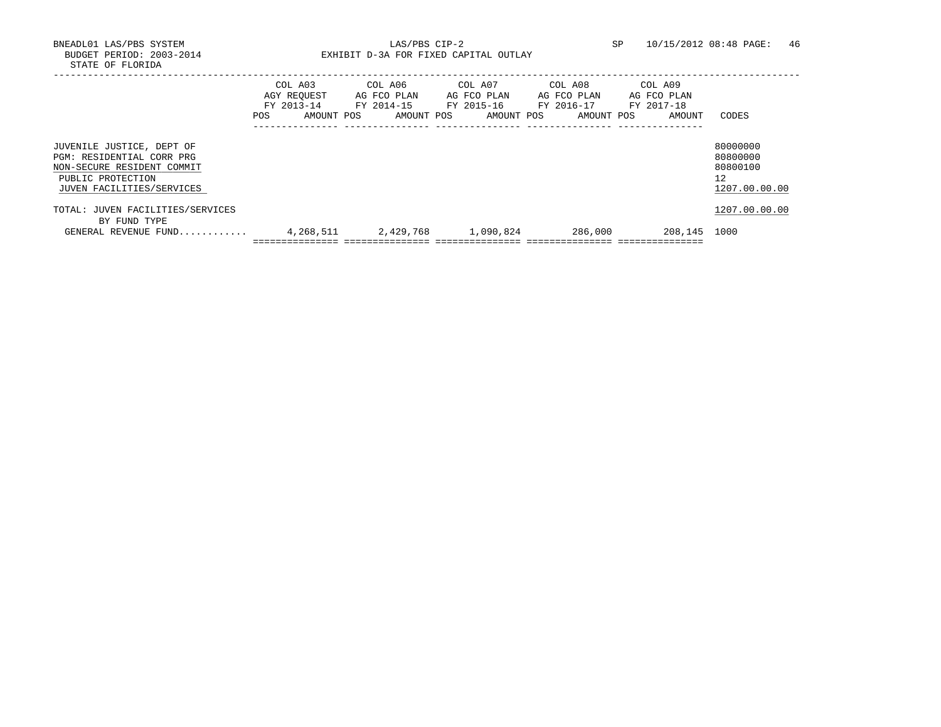BNEADL01 LAS/PBS SYSTEM LAS/PBS CIP-2 SP 10/15/2012 08:48 PAGE: 46 BUDGET PERIOD: 2003-2014 **EXHIBIT D-3A FOR FIXED CAPITAL OUTLAY** 

|                                                                                                                                        | COL A03<br>AGY REOUEST<br>FY 2013-14<br>POS. | AMOUNT POS | COL A06<br>AG FCO PLAN<br>FY 2014-15<br>AMOUNT POS | COL A07<br>AG FCO PLAN<br>FY 2015-16<br>AMOUNT POS | COL A08<br>AG FCO PLAN<br>FY 2016-17<br>AMOUNT POS | COL A09<br>AG FCO PLAN<br>FY 2017-18<br>AMOUNT | CODES                                                   |
|----------------------------------------------------------------------------------------------------------------------------------------|----------------------------------------------|------------|----------------------------------------------------|----------------------------------------------------|----------------------------------------------------|------------------------------------------------|---------------------------------------------------------|
| JUVENILE JUSTICE, DEPT OF<br>PGM: RESIDENTIAL CORR PRG<br>NON-SECURE RESIDENT COMMIT<br>PUBLIC PROTECTION<br>JUVEN FACILITIES/SERVICES |                                              |            |                                                    |                                                    |                                                    |                                                | 80000000<br>80800000<br>80800100<br>12<br>1207.00.00.00 |
| TOTAL: JUVEN FACILITIES/SERVICES<br>BY FUND TYPE                                                                                       |                                              |            |                                                    |                                                    |                                                    |                                                | 1207.00.00.00                                           |
| GENERAL REVENUE FUND                                                                                                                   |                                              | 4,268,511  | 2,429,768                                          | 1,090,824                                          | 286,000                                            | 208,145                                        | 1000                                                    |
|                                                                                                                                        |                                              |            |                                                    |                                                    |                                                    |                                                |                                                         |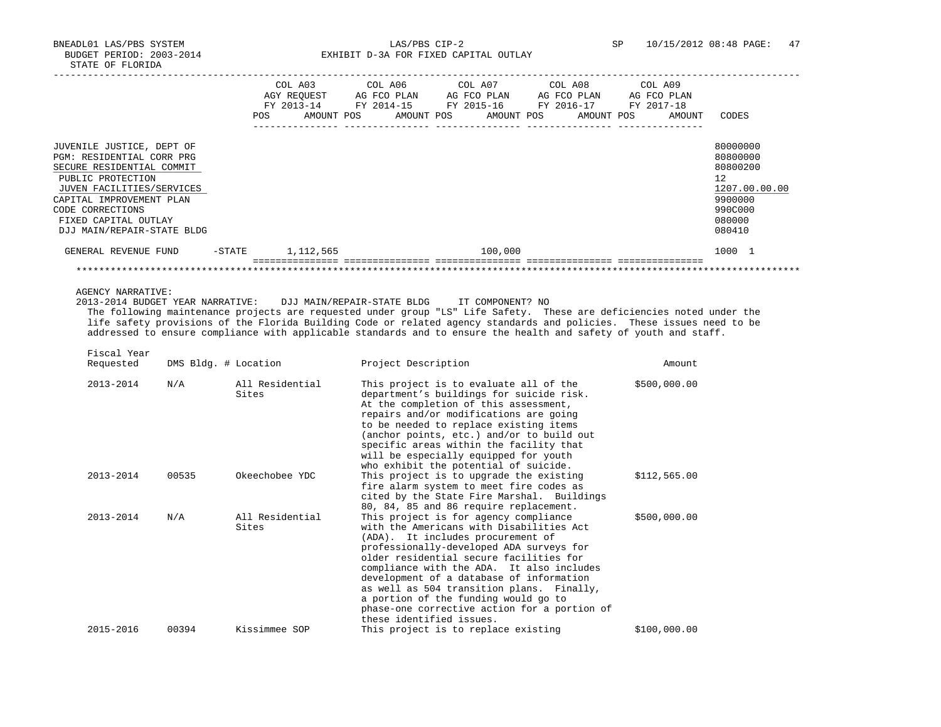BNEADL01 LAS/PBS SYSTEM LAS/PBS CIP-2 SP 10/15/2012 08:48 PAGE: 47 BUDGET PERIOD: 2003-2014 **EXHIBIT D-3A FOR FIXED CAPITAL OUTLAY** 

|                                                                                                                                                                                                                                             |           | <b>POS</b> | COL A03<br>AGY REOUEST<br>FY 2013-14<br>AMOUNT POS | COL A06<br>AG FCO PLAN<br>FY 2014-15<br>AMOUNT POS | COL A07 | AG FCO PLAN<br>FY 2015-16<br>AMOUNT POS | COL A08 | AG FCO PLAN<br>FY 2016-17<br>AMOUNT POS | COL A09<br>FY 2017-18 | AG FCO PLAN<br>AMOUNT | CODES                                                                                             |
|---------------------------------------------------------------------------------------------------------------------------------------------------------------------------------------------------------------------------------------------|-----------|------------|----------------------------------------------------|----------------------------------------------------|---------|-----------------------------------------|---------|-----------------------------------------|-----------------------|-----------------------|---------------------------------------------------------------------------------------------------|
|                                                                                                                                                                                                                                             |           |            |                                                    |                                                    |         |                                         |         |                                         |                       |                       |                                                                                                   |
| JUVENILE JUSTICE, DEPT OF<br>PGM: RESIDENTIAL CORR PRG<br>SECURE RESIDENTIAL COMMIT<br>PUBLIC PROTECTION<br>JUVEN FACILITIES/SERVICES<br>CAPITAL IMPROVEMENT PLAN<br>CODE CORRECTIONS<br>FIXED CAPITAL OUTLAY<br>DJJ MAIN/REPAIR-STATE BLDG |           |            |                                                    |                                                    |         |                                         |         |                                         |                       |                       | 80000000<br>80800000<br>80800200<br>12<br>1207.00.00.00<br>9900000<br>990C000<br>080000<br>080410 |
| GENERAL REVENUE FUND                                                                                                                                                                                                                        | $-$ STATE |            | 1,112,565                                          |                                                    |         | 100,000                                 |         |                                         |                       |                       | 1000 1                                                                                            |
|                                                                                                                                                                                                                                             |           |            |                                                    |                                                    |         |                                         |         |                                         |                       |                       |                                                                                                   |

AGENCY NARRATIVE:

 2013-2014 BUDGET YEAR NARRATIVE: DJJ MAIN/REPAIR-STATE BLDG IT COMPONENT? NO The following maintenance projects are requested under group "LS" Life Safety. These are deficiencies noted under the life safety provisions of the Florida Building Code or related agency standards and policies. These issues need to be addressed to ensure compliance with applicable standards and to ensure the health and safety of youth and staff.

Fiscal Year

| Requested     | DMS Bldg. # Location |                          | Project Description                                                                                                                                                                                                                                                                                                                                                                                                                                                     | Amount       |
|---------------|----------------------|--------------------------|-------------------------------------------------------------------------------------------------------------------------------------------------------------------------------------------------------------------------------------------------------------------------------------------------------------------------------------------------------------------------------------------------------------------------------------------------------------------------|--------------|
| 2013-2014     | N/A                  | All Residential<br>Sites | This project is to evaluate all of the<br>department's buildings for suicide risk.<br>At the completion of this assessment,<br>repairs and/or modifications are going<br>to be needed to replace existing items<br>(anchor points, etc.) and/or to build out<br>specific areas within the facility that<br>will be especially equipped for youth<br>who exhibit the potential of suicide.                                                                               | \$500,000.00 |
| $2013 - 2014$ | 00535                | Okeechobee YDC           | This project is to upgrade the existing<br>fire alarm system to meet fire codes as<br>cited by the State Fire Marshal. Buildings<br>80, 84, 85 and 86 require replacement.                                                                                                                                                                                                                                                                                              | \$112,565.00 |
| $2013 - 2014$ | N/A                  | All Residential<br>Sites | This project is for agency compliance<br>with the Americans with Disabilities Act<br>(ADA). It includes procurement of<br>professionally-developed ADA surveys for<br>older residential secure facilities for<br>compliance with the ADA. It also includes<br>development of a database of information<br>as well as 504 transition plans. Finally,<br>a portion of the funding would go to<br>phase-one corrective action for a portion of<br>these identified issues. | \$500,000.00 |
| 2015-2016     | 00394                | Kissimmee SOP            | This project is to replace existing                                                                                                                                                                                                                                                                                                                                                                                                                                     | \$100,000.00 |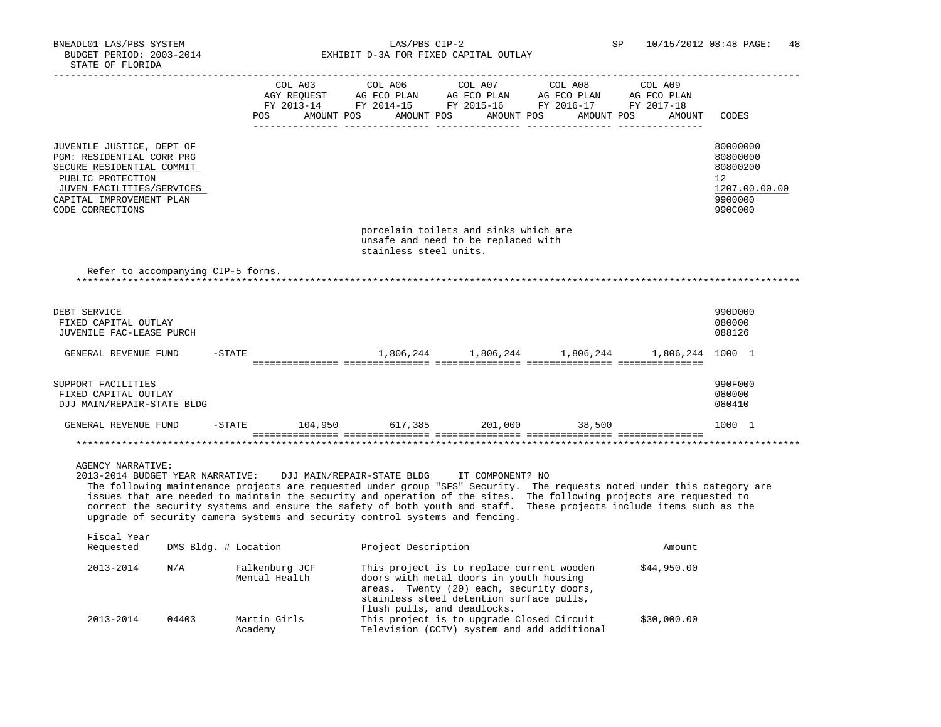BNEADL01 LAS/PBS SYSTEM LAS/PBS CIP-2 SP 10/15/2012 08:48 PAGE: 48 BUDGET PERIOD: 2003-2014 **EXHIBIT D-3A FOR FIXED CAPITAL OUTLAY** 

|                                                                                                                                                                                                                                                                                                                                                                                                                                                                                                                                                   |                      | COL A03<br>POS                        | COL A06<br>AMOUNT POS AMOUNT POS | COL A07 COL A08<br>AGY REQUEST AG FCO PLAN AG FCO PLAN AG FCO PLAN<br>FY 2013-14 FY 2014-15 FY 2015-16 FY 2016-17 FY 2017-18<br>AMOUNT POS                                   | AMOUNT POS | COL A09<br>AG FCO PLAN<br>AMOUNT | CODES                                                                         |
|---------------------------------------------------------------------------------------------------------------------------------------------------------------------------------------------------------------------------------------------------------------------------------------------------------------------------------------------------------------------------------------------------------------------------------------------------------------------------------------------------------------------------------------------------|----------------------|---------------------------------------|----------------------------------|------------------------------------------------------------------------------------------------------------------------------------------------------------------------------|------------|----------------------------------|-------------------------------------------------------------------------------|
| JUVENILE JUSTICE, DEPT OF<br>PGM: RESIDENTIAL CORR PRG<br>SECURE RESIDENTIAL COMMIT<br>PUBLIC PROTECTION<br>JUVEN FACILITIES/SERVICES<br>CAPITAL IMPROVEMENT PLAN<br>CODE CORRECTIONS                                                                                                                                                                                                                                                                                                                                                             |                      |                                       |                                  |                                                                                                                                                                              |            |                                  | 80000000<br>80800000<br>80800200<br>12<br>1207.00.00.00<br>9900000<br>990C000 |
|                                                                                                                                                                                                                                                                                                                                                                                                                                                                                                                                                   |                      |                                       | stainless steel units.           | porcelain toilets and sinks which are<br>unsafe and need to be replaced with                                                                                                 |            |                                  |                                                                               |
| Refer to accompanying CIP-5 forms.                                                                                                                                                                                                                                                                                                                                                                                                                                                                                                                |                      |                                       |                                  |                                                                                                                                                                              |            |                                  |                                                                               |
| DEBT SERVICE<br>FIXED CAPITAL OUTLAY<br>JUVENILE FAC-LEASE PURCH                                                                                                                                                                                                                                                                                                                                                                                                                                                                                  |                      |                                       |                                  |                                                                                                                                                                              |            |                                  | 990D000<br>080000<br>088126                                                   |
| GENERAL REVENUE FUND                                                                                                                                                                                                                                                                                                                                                                                                                                                                                                                              | $-$ STATE            |                                       |                                  | $1,806,244$ $1,806,244$ $1,806,244$ $1,806,244$ $1000$ 1                                                                                                                     |            |                                  |                                                                               |
| SUPPORT FACILITIES<br>FIXED CAPITAL OUTLAY<br>DJJ MAIN/REPAIR-STATE BLDG                                                                                                                                                                                                                                                                                                                                                                                                                                                                          |                      |                                       |                                  |                                                                                                                                                                              |            |                                  | 990F000<br>080000<br>080410                                                   |
| GENERAL REVENUE FUND                                                                                                                                                                                                                                                                                                                                                                                                                                                                                                                              |                      | -STATE 104,950 617,385 201,000 38,500 |                                  |                                                                                                                                                                              |            |                                  | 1000 1                                                                        |
|                                                                                                                                                                                                                                                                                                                                                                                                                                                                                                                                                   |                      |                                       |                                  |                                                                                                                                                                              |            |                                  |                                                                               |
| <b>AGENCY NARRATIVE:</b><br>2013-2014 BUDGET YEAR NARRATIVE: DJJ MAIN/REPAIR-STATE BLDG<br>The following maintenance projects are requested under group "SFS" Security. The requests noted under this category are<br>issues that are needed to maintain the security and operation of the sites. The following projects are requested to<br>correct the security systems and ensure the safety of both youth and staff. These projects include items such as the<br>upgrade of security camera systems and security control systems and fencing. |                      |                                       |                                  | IT COMPONENT? NO                                                                                                                                                             |            |                                  |                                                                               |
| Fiscal Year<br>Requested                                                                                                                                                                                                                                                                                                                                                                                                                                                                                                                          | DMS Bldg. # Location |                                       | Project Description              |                                                                                                                                                                              |            | Amount                           |                                                                               |
| 2013-2014<br>N/A                                                                                                                                                                                                                                                                                                                                                                                                                                                                                                                                  |                      | Falkenburg JCF<br>Mental Health       |                                  | This project is to replace current wooden<br>doors with metal doors in youth housing<br>areas. Twenty (20) each, security doors,<br>stainless steel detention surface pulls, |            | \$44,950.00                      |                                                                               |
| 2013-2014<br>04403                                                                                                                                                                                                                                                                                                                                                                                                                                                                                                                                |                      | Martin Girls                          |                                  | flush pulls, and deadlocks.<br>This project is to upgrade Closed Circuit                                                                                                     |            | \$30,000.00                      |                                                                               |

Academy Television (CCTV) system and add additional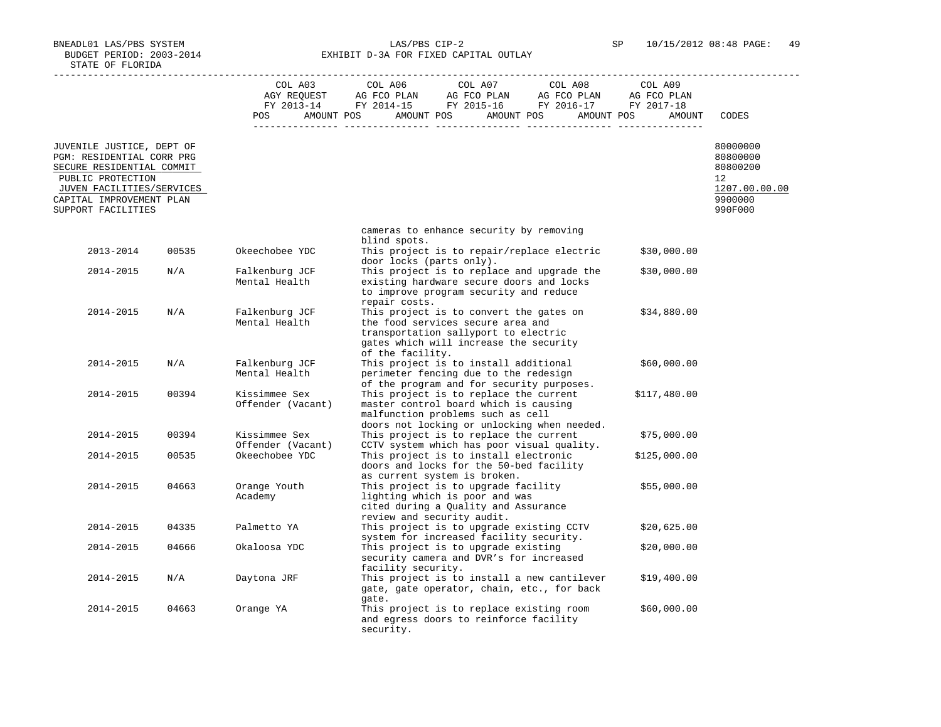BNEADL01 LAS/PBS SYSTEM LAS/PBS CIP-2 SP 10/15/2012 08:48 PAGE: 49 BUDGET PERIOD: 2003-2014 **EXHIBIT D-3A FOR FIXED CAPITAL OUTLAY** 

|                                                                                                                                                                                         |       | <b>POS</b>                         | $\begin{tabular}{lcccc} CDL A03 & CDL A06 & CDL A07 & CDL A08 & CDL A09 \\ AGY REQUEST & AG FCO PLAN & AG FCO PLAN & AG FCO PLAN & AG FCO PLAN \\ FY & 2013-14 & FY & 2014-15 & FY & 2015-16 & FY & 2016-17 & FY & 2017-18 \\ \end{tabular}$<br>AMOUNT POS AMOUNT POS AMOUNT POS AMOUNT POS<br>AMOUNT | CODES                                                                                   |
|-----------------------------------------------------------------------------------------------------------------------------------------------------------------------------------------|-------|------------------------------------|-------------------------------------------------------------------------------------------------------------------------------------------------------------------------------------------------------------------------------------------------------------------------------------------------------|-----------------------------------------------------------------------------------------|
| JUVENILE JUSTICE, DEPT OF<br>PGM: RESIDENTIAL CORR PRG<br>SECURE RESIDENTIAL COMMIT<br>PUBLIC PROTECTION<br>JUVEN FACILITIES/SERVICES<br>CAPITAL IMPROVEMENT PLAN<br>SUPPORT FACILITIES |       |                                    |                                                                                                                                                                                                                                                                                                       | 80000000<br>80800000<br>80800200<br>$12^{\circ}$<br>1207.00.00.00<br>9900000<br>990F000 |
|                                                                                                                                                                                         |       |                                    | cameras to enhance security by removing                                                                                                                                                                                                                                                               |                                                                                         |
| 2013-2014                                                                                                                                                                               | 00535 | Okeechobee YDC                     | blind spots.<br>This project is to repair/replace electric<br>\$30,000.00                                                                                                                                                                                                                             |                                                                                         |
|                                                                                                                                                                                         |       |                                    | door locks (parts only).                                                                                                                                                                                                                                                                              |                                                                                         |
| 2014-2015                                                                                                                                                                               | N/A   | Falkenburg JCF<br>Mental Health    | This project is to replace and upgrade the<br>\$30,000.00<br>existing hardware secure doors and locks<br>to improve program security and reduce<br>repair costs.                                                                                                                                      |                                                                                         |
| 2014-2015                                                                                                                                                                               | N/A   | Falkenburg JCF<br>Mental Health    | This project is to convert the gates on<br>\$34,880.00<br>the food services secure area and<br>transportation sallyport to electric<br>gates which will increase the security<br>of the facility.                                                                                                     |                                                                                         |
| 2014-2015                                                                                                                                                                               | N/A   | Falkenburg JCF<br>Mental Health    | This project is to install additional<br>\$60,000.00<br>perimeter fencing due to the redesign<br>of the program and for security purposes.                                                                                                                                                            |                                                                                         |
| 2014-2015                                                                                                                                                                               | 00394 | Kissimmee Sex<br>Offender (Vacant) | This project is to replace the current<br>\$117,480.00<br>master control board which is causing<br>malfunction problems such as cell<br>doors not locking or unlocking when needed.                                                                                                                   |                                                                                         |
| 2014-2015                                                                                                                                                                               | 00394 | Kissimmee Sex<br>Offender (Vacant) | This project is to replace the current<br>\$75,000.00<br>CCTV system which has poor visual quality.                                                                                                                                                                                                   |                                                                                         |
| 2014-2015                                                                                                                                                                               | 00535 | Okeechobee YDC                     | This project is to install electronic<br>\$125,000.00<br>doors and locks for the 50-bed facility<br>as current system is broken.                                                                                                                                                                      |                                                                                         |
| 2014-2015                                                                                                                                                                               | 04663 | Orange Youth<br>Academy            | This project is to upgrade facility<br>\$55,000.00<br>lighting which is poor and was<br>cited during a Quality and Assurance<br>review and security audit.                                                                                                                                            |                                                                                         |
| 2014-2015                                                                                                                                                                               | 04335 | Palmetto YA                        | This project is to upgrade existing CCTV<br>\$20,625.00<br>system for increased facility security.                                                                                                                                                                                                    |                                                                                         |
| 2014-2015                                                                                                                                                                               | 04666 | Okaloosa YDC                       | This project is to upgrade existing<br>\$20,000.00<br>security camera and DVR's for increased<br>facility security.                                                                                                                                                                                   |                                                                                         |
| 2014-2015                                                                                                                                                                               | N/A   | Daytona JRF                        | This project is to install a new cantilever<br>\$19,400.00<br>gate, gate operator, chain, etc., for back<br>gate.                                                                                                                                                                                     |                                                                                         |
| 2014-2015                                                                                                                                                                               | 04663 | Orange YA                          | This project is to replace existing room<br>\$60,000.00<br>and egress doors to reinforce facility<br>security.                                                                                                                                                                                        |                                                                                         |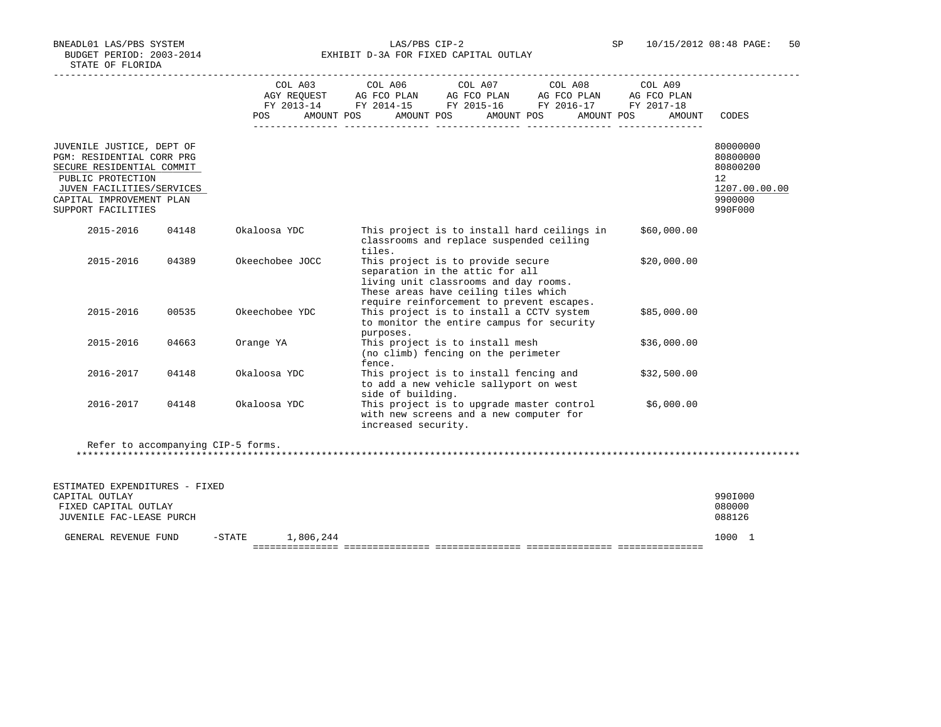BUDGET PERIOD: 2003-2014 **EXHIBIT D-3A FOR FIXED CAPITAL OUTLAY** 

|                                                                                                                                                                                         |       | POS             | COL A03 COL A06 COL A07 COL A08 COL A09<br>AGY REQUEST AG FCO PLAN AG FCO PLAN AG FCO PLAN AG FCO PLAN<br>FY 2013-14 FY 2014-15 FY 2015-16 FY 2016-17 FY 2017-18<br>AMOUNT POS<br>AMOUNT POS<br>AMOUNT POS | AMOUNT POS<br>AMOUNT | CODES                                                                                      |
|-----------------------------------------------------------------------------------------------------------------------------------------------------------------------------------------|-------|-----------------|------------------------------------------------------------------------------------------------------------------------------------------------------------------------------------------------------------|----------------------|--------------------------------------------------------------------------------------------|
| JUVENILE JUSTICE, DEPT OF<br>PGM: RESIDENTIAL CORR PRG<br>SECURE RESIDENTIAL COMMIT<br>PUBLIC PROTECTION<br>JUVEN FACILITIES/SERVICES<br>CAPITAL IMPROVEMENT PLAN<br>SUPPORT FACILITIES |       |                 |                                                                                                                                                                                                            |                      | 80000000<br>80800000<br>80800200<br>12 <sup>°</sup><br>1207.00.00.00<br>9900000<br>990F000 |
| 2015-2016                                                                                                                                                                               | 04148 | Okaloosa YDC    | This project is to install hard ceilings in<br>classrooms and replace suspended ceiling<br>tiles.                                                                                                          | \$60,000.00          |                                                                                            |
| 2015-2016                                                                                                                                                                               | 04389 | Okeechobee JOCC | This project is to provide secure<br>separation in the attic for all<br>living unit classrooms and day rooms.<br>These areas have ceiling tiles which<br>require reinforcement to prevent escapes.         | \$20,000.00          |                                                                                            |
| 2015-2016                                                                                                                                                                               | 00535 | Okeechobee YDC  | This project is to install a CCTV system<br>to monitor the entire campus for security<br>purposes.                                                                                                         | \$85,000.00          |                                                                                            |
| 2015-2016                                                                                                                                                                               | 04663 | Orange YA       | This project is to install mesh<br>(no climb) fencing on the perimeter<br>fence.                                                                                                                           | \$36,000.00          |                                                                                            |
| 2016-2017                                                                                                                                                                               | 04148 | Okaloosa YDC    | This project is to install fencing and<br>to add a new vehicle sallyport on west<br>side of building.                                                                                                      | \$32,500.00          |                                                                                            |
| 2016-2017                                                                                                                                                                               | 04148 | Okaloosa YDC    | This project is to upgrade master control<br>with new screens and a new computer for<br>increased security.                                                                                                | \$6,000.00           |                                                                                            |

| ESTIMATED EXPENDITURES - FIXED<br>CAPITAL OUTLAY<br>FIXED CAPITAL OUTLAY<br>JUVENILE FAC-LEASE PURCH |        |           | 990I000<br>080000<br>088126 |  |
|------------------------------------------------------------------------------------------------------|--------|-----------|-----------------------------|--|
| GENERAL REVENUE FUND                                                                                 | -STATE | 1,806,244 | 1000 1                      |  |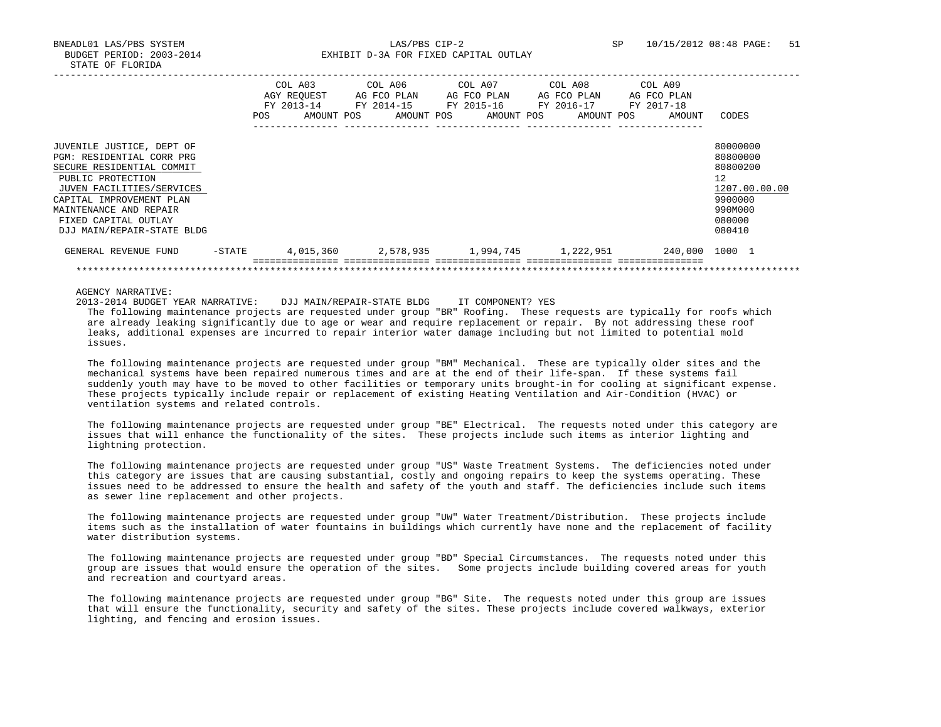BNEADL01 LAS/PBS SYSTEM LAS/PBS CIP-2 SP 10/15/2012 08:48 PAGE: 51 BUDGET PERIOD: 2003-2014 **EXHIBIT D-3A FOR FIXED CAPITAL OUTLAY** 

|                                                                                                                                                                                                                                                   | <b>POS</b> | COL A03<br>AGY REOUEST<br>FY 2013-14<br>AMOUNT POS | AG FCO PLAN<br>FY 2014-15<br>AMOUNT POS | COL A06 COL A07<br>AG FCO PLAN<br>FY 2015-16<br>AMOUNT POS | COL A08<br>AG FCO PLAN<br>FY 2016-17<br>AMOUNT POS | COL A09<br>AG FCO PLAN<br>FY 2017-18<br>AMOUNT | CODES                                                                                             |
|---------------------------------------------------------------------------------------------------------------------------------------------------------------------------------------------------------------------------------------------------|------------|----------------------------------------------------|-----------------------------------------|------------------------------------------------------------|----------------------------------------------------|------------------------------------------------|---------------------------------------------------------------------------------------------------|
| JUVENILE JUSTICE, DEPT OF<br>PGM: RESIDENTIAL CORR PRG<br>SECURE RESIDENTIAL COMMIT<br>PUBLIC PROTECTION<br>JUVEN FACILITIES/SERVICES<br>CAPITAL IMPROVEMENT PLAN<br>MAINTENANCE AND REPAIR<br>FIXED CAPITAL OUTLAY<br>DJJ MAIN/REPAIR-STATE BLDG |            |                                                    |                                         |                                                            |                                                    |                                                | 80000000<br>80800000<br>80800200<br>12<br>1207.00.00.00<br>9900000<br>990M000<br>080000<br>080410 |
| GENERAL REVENUE FUND                                                                                                                                                                                                                              | $-$ STATE  | 4,015,360                                          |                                         |                                                            | 2,578,935 1,994,745 1,222,951                      | 240,000                                        | 1000 1                                                                                            |
|                                                                                                                                                                                                                                                   |            |                                                    |                                         |                                                            |                                                    |                                                |                                                                                                   |

AGENCY NARRATIVE:

 2013-2014 BUDGET YEAR NARRATIVE: DJJ MAIN/REPAIR-STATE BLDG IT COMPONENT? YES The following maintenance projects are requested under group "BR" Roofing. These requests are typically for roofs which are already leaking significantly due to age or wear and require replacement or repair. By not addressing these roof leaks, additional expenses are incurred to repair interior water damage including but not limited to potential mold issues.

 The following maintenance projects are requested under group "BM" Mechanical. These are typically older sites and the mechanical systems have been repaired numerous times and are at the end of their life-span. If these systems fail suddenly youth may have to be moved to other facilities or temporary units brought-in for cooling at significant expense. These projects typically include repair or replacement of existing Heating Ventilation and Air-Condition (HVAC) or ventilation systems and related controls.

 The following maintenance projects are requested under group "BE" Electrical. The requests noted under this category are issues that will enhance the functionality of the sites. These projects include such items as interior lighting and lightning protection.

 The following maintenance projects are requested under group "US" Waste Treatment Systems. The deficiencies noted under this category are issues that are causing substantial, costly and ongoing repairs to keep the systems operating. These issues need to be addressed to ensure the health and safety of the youth and staff. The deficiencies include such items as sewer line replacement and other projects.

 The following maintenance projects are requested under group "UW" Water Treatment/Distribution. These projects include items such as the installation of water fountains in buildings which currently have none and the replacement of facility water distribution systems.

 The following maintenance projects are requested under group "BD" Special Circumstances. The requests noted under this group are issues that would ensure the operation of the sites. Some projects include building covered areas for youth and recreation and courtyard areas.

 The following maintenance projects are requested under group "BG" Site. The requests noted under this group are issues that will ensure the functionality, security and safety of the sites. These projects include covered walkways, exterior lighting, and fencing and erosion issues.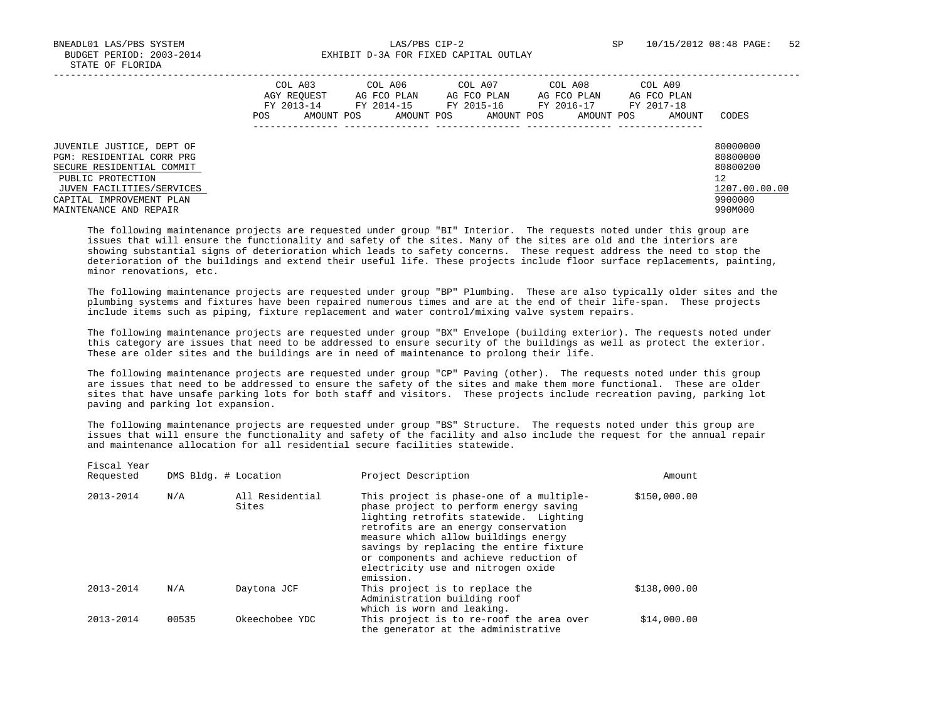BNEADL01 LAS/PBS SYSTEM LAS/PBS CIP-2 SP 10/15/2012 08:48 PAGE: 52 BUDGET PERIOD: 2003-2014 **EXHIBIT D-3A FOR FIXED CAPITAL OUTLAY** 

|                                                                                                                                                                                             | COL A03<br>AGY REOUEST<br>FY 2013-14<br>POS.<br>AMOUNT POS | COL A06<br>AG FCO PLAN<br>FY 2014-15<br>AMOUNT POS | COL A07<br>AG FCO PLAN<br>FY 2015-16<br>AMOUNT POS | COL A08<br>AG FCO PLAN<br>FY 2016-17<br>AMOUNT POS | COL A09<br>AG FCO PLAN<br>FY 2017-18<br>AMOUNT | CODES                                                                         |
|---------------------------------------------------------------------------------------------------------------------------------------------------------------------------------------------|------------------------------------------------------------|----------------------------------------------------|----------------------------------------------------|----------------------------------------------------|------------------------------------------------|-------------------------------------------------------------------------------|
| JUVENILE JUSTICE, DEPT OF<br>PGM: RESIDENTIAL CORR PRG<br>SECURE RESIDENTIAL COMMIT<br>PUBLIC PROTECTION<br>JUVEN FACILITIES/SERVICES<br>CAPITAL IMPROVEMENT PLAN<br>MAINTENANCE AND REPAIR |                                                            |                                                    |                                                    |                                                    |                                                | 80000000<br>80800000<br>80800200<br>12<br>1207.00.00.00<br>9900000<br>990M000 |

 The following maintenance projects are requested under group "BI" Interior. The requests noted under this group are issues that will ensure the functionality and safety of the sites. Many of the sites are old and the interiors are showing substantial signs of deterioration which leads to safety concerns. These request address the need to stop the deterioration of the buildings and extend their useful life. These projects include floor surface replacements, painting, minor renovations, etc.

 The following maintenance projects are requested under group "BP" Plumbing. These are also typically older sites and the plumbing systems and fixtures have been repaired numerous times and are at the end of their life-span. These projects include items such as piping, fixture replacement and water control/mixing valve system repairs.

 The following maintenance projects are requested under group "BX" Envelope (building exterior). The requests noted under this category are issues that need to be addressed to ensure security of the buildings as well as protect the exterior. These are older sites and the buildings are in need of maintenance to prolong their life.

 The following maintenance projects are requested under group "CP" Paving (other). The requests noted under this group are issues that need to be addressed to ensure the safety of the sites and make them more functional. These are older sites that have unsafe parking lots for both staff and visitors. These projects include recreation paving, parking lot paving and parking lot expansion.

 The following maintenance projects are requested under group "BS" Structure. The requests noted under this group are issues that will ensure the functionality and safety of the facility and also include the request for the annual repair and maintenance allocation for all residential secure facilities statewide.

| Requested     | DMS Bldg. # Location |                          | Project Description                                                                                                                                                                                                                                                                                                                                  | Amount       |
|---------------|----------------------|--------------------------|------------------------------------------------------------------------------------------------------------------------------------------------------------------------------------------------------------------------------------------------------------------------------------------------------------------------------------------------------|--------------|
| 2013-2014     | N/A                  | All Residential<br>Sites | This project is phase-one of a multiple-<br>phase project to perform energy saving<br>lighting retrofits statewide. Lighting<br>retrofits are an energy conservation<br>measure which allow buildings energy<br>savings by replacing the entire fixture<br>or components and achieve reduction of<br>electricity use and nitrogen oxide<br>emission. | \$150,000.00 |
| $2013 - 2014$ | N/A                  | Daytona JCF              | This project is to replace the<br>Administration building roof<br>which is worn and leaking.                                                                                                                                                                                                                                                         | \$138,000.00 |
| $2013 - 2014$ | 00535                | Okeechobee YDC           | This project is to re-roof the area over<br>the generator at the administrative                                                                                                                                                                                                                                                                      | \$14,000.00  |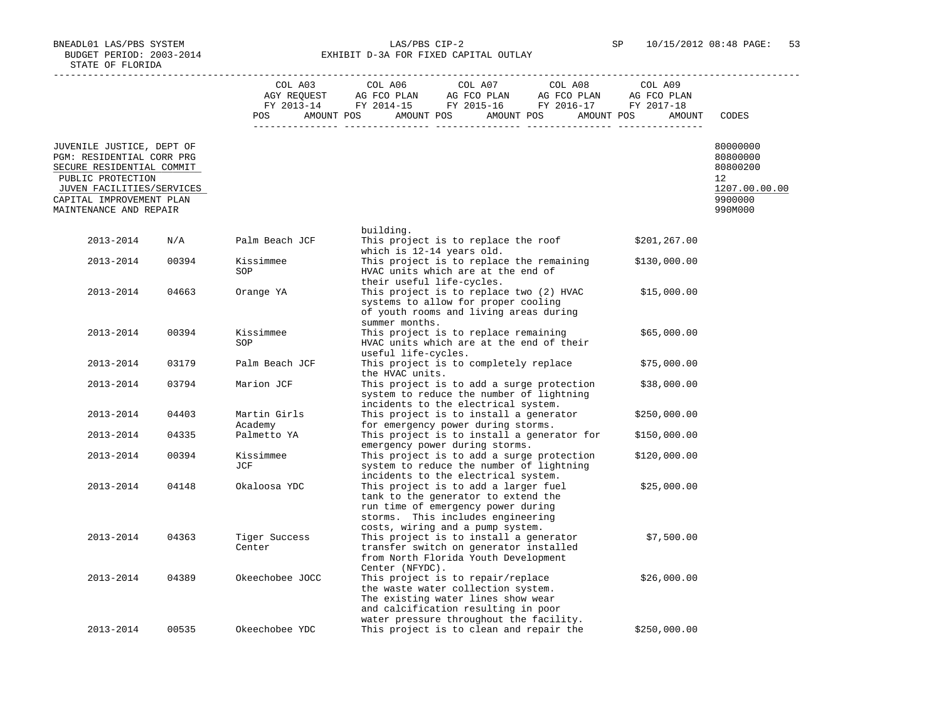BNEADL01 LAS/PBS SYSTEM LAS/PBS CIP-2 SP 10/15/2012 08:48 PAGE: 53 BUDGET PERIOD: 2003-2014 **EXHIBIT D-3A FOR FIXED CAPITAL OUTLAY** 

|                                                                                                          |       | <b>POS</b>              | $\begin{tabular}{lcccc} CDL A03 & CDL A06 & CDL A07 & CDL A08 & CDL A09 \\ AGY REQUEST & AG FCO PLAN & AG FCO PLAN & AG FCO PLAN & AG FCO PLAN \\ FY & 2013-14 & FY & 2014-15 & FY & 2015-16 & FY & 2016-17 & FY & 2017-18 \\ \end{tabular}$<br>AMOUNT POS AMOUNT POS AMOUNT POS AMOUNT POS | AMOUNT       | CODES                                  |
|----------------------------------------------------------------------------------------------------------|-------|-------------------------|---------------------------------------------------------------------------------------------------------------------------------------------------------------------------------------------------------------------------------------------------------------------------------------------|--------------|----------------------------------------|
| JUVENILE JUSTICE, DEPT OF<br>PGM: RESIDENTIAL CORR PRG<br>SECURE RESIDENTIAL COMMIT<br>PUBLIC PROTECTION |       |                         |                                                                                                                                                                                                                                                                                             |              | 80000000<br>80800000<br>80800200<br>12 |
| JUVEN FACILITIES/SERVICES<br>CAPITAL IMPROVEMENT PLAN<br>MAINTENANCE AND REPAIR                          |       |                         |                                                                                                                                                                                                                                                                                             |              | 1207.00.00.00<br>9900000<br>990M000    |
|                                                                                                          |       |                         | building.                                                                                                                                                                                                                                                                                   |              |                                        |
| 2013-2014                                                                                                | N/A   | Palm Beach JCF          | This project is to replace the roof<br>which is 12-14 years old.                                                                                                                                                                                                                            | \$201,267.00 |                                        |
| 2013-2014                                                                                                | 00394 | Kissimmee<br>SOP        | This project is to replace the remaining<br>HVAC units which are at the end of<br>their useful life-cycles.                                                                                                                                                                                 | \$130,000.00 |                                        |
| 2013-2014                                                                                                | 04663 | Orange YA               | This project is to replace two (2) HVAC<br>systems to allow for proper cooling<br>of youth rooms and living areas during                                                                                                                                                                    | \$15,000.00  |                                        |
| 2013-2014                                                                                                | 00394 | Kissimmee<br>SOP        | summer months.<br>This project is to replace remaining<br>HVAC units which are at the end of their                                                                                                                                                                                          | \$65,000.00  |                                        |
| 2013-2014                                                                                                | 03179 | Palm Beach JCF          | useful life-cycles.<br>This project is to completely replace                                                                                                                                                                                                                                | \$75,000.00  |                                        |
| 2013-2014                                                                                                | 03794 | Marion JCF              | the HVAC units.<br>This project is to add a surge protection<br>system to reduce the number of lightning<br>incidents to the electrical system.                                                                                                                                             | \$38,000.00  |                                        |
| 2013-2014                                                                                                | 04403 | Martin Girls<br>Academy | This project is to install a generator<br>for emergency power during storms.                                                                                                                                                                                                                | \$250,000.00 |                                        |
| 2013-2014                                                                                                | 04335 | Palmetto YA             | This project is to install a generator for                                                                                                                                                                                                                                                  | \$150,000.00 |                                        |
| 2013-2014                                                                                                | 00394 | Kissimmee<br>JCF        | emergency power during storms.<br>This project is to add a surge protection<br>system to reduce the number of lightning<br>incidents to the electrical system.                                                                                                                              | \$120,000.00 |                                        |
| 2013-2014                                                                                                | 04148 | Okaloosa YDC            | This project is to add a larger fuel<br>tank to the generator to extend the<br>run time of emergency power during<br>storms. This includes engineering<br>costs, wiring and a pump system.                                                                                                  | \$25,000.00  |                                        |
| 2013-2014                                                                                                | 04363 | Tiger Success<br>Center | This project is to install a generator<br>transfer switch on generator installed<br>from North Florida Youth Development<br>Center (NFYDC).                                                                                                                                                 | \$7,500.00   |                                        |
| 2013-2014                                                                                                | 04389 | Okeechobee JOCC         | This project is to repair/replace<br>the waste water collection system.<br>The existing water lines show wear<br>and calcification resulting in poor<br>water pressure throughout the facility.                                                                                             | \$26,000.00  |                                        |
| 2013-2014                                                                                                | 00535 | Okeechobee YDC          | This project is to clean and repair the                                                                                                                                                                                                                                                     | \$250,000.00 |                                        |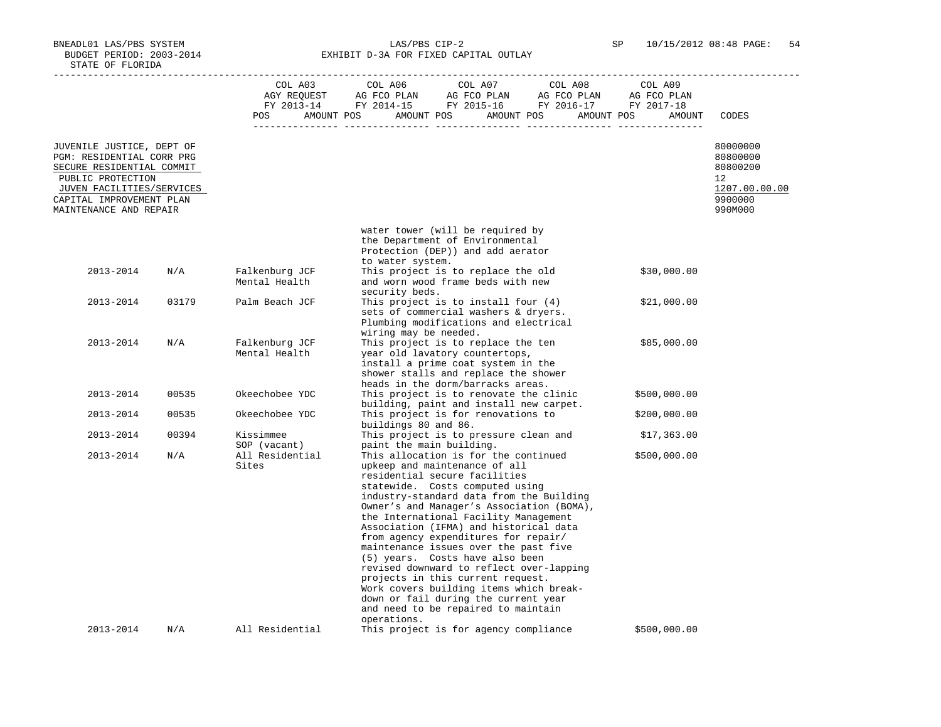BNEADL01 LAS/PBS SYSTEM LAS/PBS CIP-2 SP 10/15/2012 08:48 PAGE: 54 BUDGET PERIOD: 2003-2014 **EXHIBIT D-3A FOR FIXED CAPITAL OUTLAY** 

|                                                                                                                                                                                             |       | COL A03<br>POS<br>$- - - - -$   | COL A06<br>COL A07<br>COL A08<br>COL AU3 COL AU6 COL AU7 COL AU8 COL AU9<br>AGY REQUEST AG FCO PLAN AG FCO PLAN AG FCO PLAN AG FCO PLAN FY 2013-14 FY 2014-15 FY 2015-16 FY 2016-17 FY 2017-18<br>AMOUNT POS AMOUNT POS AMOUNT POS AMOUNT POS                                                                                                                                                                                                                                                                                                                                                                                                                       | COL A09<br>AMOUNT | CODES                                                                         |
|---------------------------------------------------------------------------------------------------------------------------------------------------------------------------------------------|-------|---------------------------------|---------------------------------------------------------------------------------------------------------------------------------------------------------------------------------------------------------------------------------------------------------------------------------------------------------------------------------------------------------------------------------------------------------------------------------------------------------------------------------------------------------------------------------------------------------------------------------------------------------------------------------------------------------------------|-------------------|-------------------------------------------------------------------------------|
| JUVENILE JUSTICE, DEPT OF<br>PGM: RESIDENTIAL CORR PRG<br>SECURE RESIDENTIAL COMMIT<br>PUBLIC PROTECTION<br>JUVEN FACILITIES/SERVICES<br>CAPITAL IMPROVEMENT PLAN<br>MAINTENANCE AND REPAIR |       |                                 |                                                                                                                                                                                                                                                                                                                                                                                                                                                                                                                                                                                                                                                                     |                   | 80000000<br>80800000<br>80800200<br>12<br>1207.00.00.00<br>9900000<br>990M000 |
|                                                                                                                                                                                             |       |                                 | water tower (will be required by<br>the Department of Environmental<br>Protection (DEP)) and add aerator                                                                                                                                                                                                                                                                                                                                                                                                                                                                                                                                                            |                   |                                                                               |
| 2013-2014                                                                                                                                                                                   | N/A   | Falkenburg JCF<br>Mental Health | to water system.<br>This project is to replace the old<br>and worn wood frame beds with new<br>security beds.                                                                                                                                                                                                                                                                                                                                                                                                                                                                                                                                                       | \$30,000.00       |                                                                               |
| 2013-2014                                                                                                                                                                                   | 03179 | Palm Beach JCF                  | This project is to install four $(4)$<br>sets of commercial washers & dryers.<br>Plumbing modifications and electrical<br>wiring may be needed.                                                                                                                                                                                                                                                                                                                                                                                                                                                                                                                     | \$21,000.00       |                                                                               |
| 2013-2014                                                                                                                                                                                   | N/A   | Falkenburg JCF<br>Mental Health | This project is to replace the ten<br>year old lavatory countertops,<br>install a prime coat system in the<br>shower stalls and replace the shower<br>heads in the dorm/barracks areas.                                                                                                                                                                                                                                                                                                                                                                                                                                                                             | \$85,000.00       |                                                                               |
| 2013-2014                                                                                                                                                                                   | 00535 | Okeechobee YDC                  | This project is to renovate the clinic<br>building, paint and install new carpet.                                                                                                                                                                                                                                                                                                                                                                                                                                                                                                                                                                                   | \$500,000.00      |                                                                               |
| 2013-2014                                                                                                                                                                                   | 00535 | Okeechobee YDC                  | This project is for renovations to<br>buildings 80 and 86.                                                                                                                                                                                                                                                                                                                                                                                                                                                                                                                                                                                                          | \$200,000.00      |                                                                               |
| 2013-2014                                                                                                                                                                                   | 00394 | Kissimmee<br>SOP (vacant)       | This project is to pressure clean and<br>paint the main building.                                                                                                                                                                                                                                                                                                                                                                                                                                                                                                                                                                                                   | \$17,363.00       |                                                                               |
| 2013-2014                                                                                                                                                                                   | N/A   | All Residential<br>Sites        | This allocation is for the continued<br>upkeep and maintenance of all<br>residential secure facilities<br>statewide. Costs computed using<br>industry-standard data from the Building<br>Owner's and Manager's Association (BOMA),<br>the International Facility Management<br>Association (IFMA) and historical data<br>from agency expenditures for repair/<br>maintenance issues over the past five<br>(5) years. Costs have also been<br>revised downward to reflect over-lapping<br>projects in this current request.<br>Work covers building items which break-<br>down or fail during the current year<br>and need to be repaired to maintain<br>operations. | \$500,000.00      |                                                                               |
| 2013-2014                                                                                                                                                                                   | N/A   | All Residential                 | This project is for agency compliance                                                                                                                                                                                                                                                                                                                                                                                                                                                                                                                                                                                                                               | \$500,000.00      |                                                                               |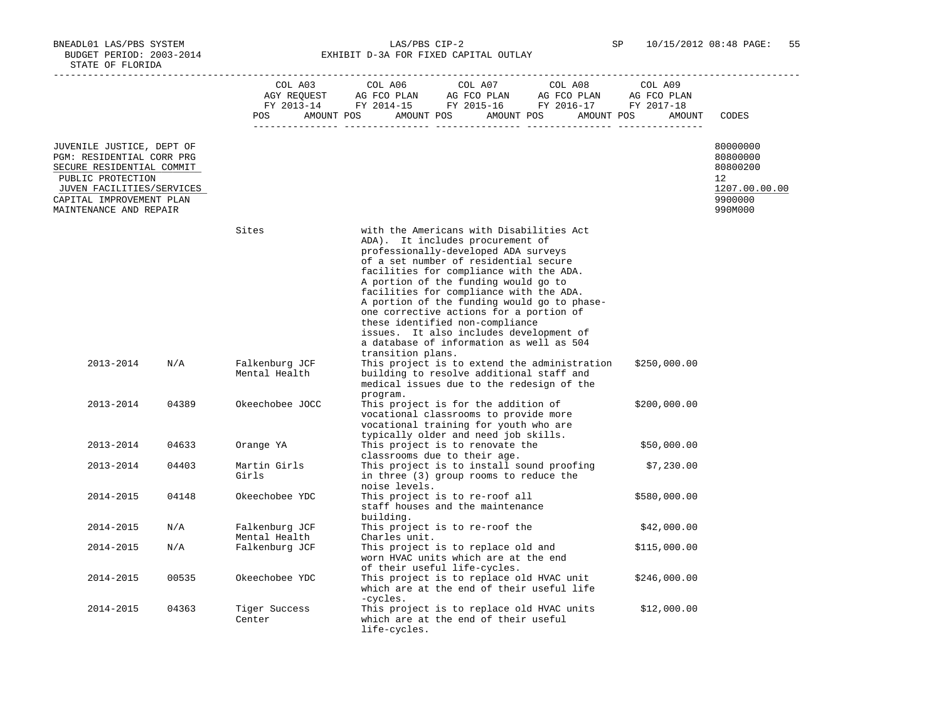BNEADL01 LAS/PBS SYSTEM LAS/PBS CIP-2 SP 10/15/2012 08:48 PAGE: 55 BUDGET PERIOD: 2003-2014 **EXHIBIT D-3A FOR FIXED CAPITAL OUTLAY** 

|                                                                                                                                                                                             |       | POS                             | $\begin{tabular}{lcccccc} CDL A03 & CDL A06 & CDL A07 & CDL A08 & CDL A09 \\ AGY REQUEST & AG FCO PLAN & AG FCO PLAN & AG FCO PLAN & AG FCO PLAN \\ FY & 2013-14 & FY & 2014-15 & FY & 2015-16 & FY & 2016-17 & FY & 2017-18 \\ \end{tabular}$<br>AMOUNT POS AMOUNT POS AMOUNT POS AMOUNT POS                                                                                                                                                                                                                                        | AMOUNT       | CODES                                                                         |
|---------------------------------------------------------------------------------------------------------------------------------------------------------------------------------------------|-------|---------------------------------|--------------------------------------------------------------------------------------------------------------------------------------------------------------------------------------------------------------------------------------------------------------------------------------------------------------------------------------------------------------------------------------------------------------------------------------------------------------------------------------------------------------------------------------|--------------|-------------------------------------------------------------------------------|
| JUVENILE JUSTICE, DEPT OF<br>PGM: RESIDENTIAL CORR PRG<br>SECURE RESIDENTIAL COMMIT<br>PUBLIC PROTECTION<br>JUVEN FACILITIES/SERVICES<br>CAPITAL IMPROVEMENT PLAN<br>MAINTENANCE AND REPAIR |       |                                 |                                                                                                                                                                                                                                                                                                                                                                                                                                                                                                                                      |              | 80000000<br>80800000<br>80800200<br>12<br>1207.00.00.00<br>9900000<br>990M000 |
|                                                                                                                                                                                             |       | Sites                           | with the Americans with Disabilities Act<br>ADA). It includes procurement of<br>professionally-developed ADA surveys<br>of a set number of residential secure<br>facilities for compliance with the ADA.<br>A portion of the funding would go to<br>facilities for compliance with the ADA.<br>A portion of the funding would go to phase-<br>one corrective actions for a portion of<br>these identified non-compliance<br>issues. It also includes development of<br>a database of information as well as 504<br>transition plans. |              |                                                                               |
| 2013-2014                                                                                                                                                                                   | N/A   | Falkenburg JCF<br>Mental Health | This project is to extend the administration<br>building to resolve additional staff and<br>medical issues due to the redesign of the<br>program.                                                                                                                                                                                                                                                                                                                                                                                    | \$250,000.00 |                                                                               |
| 2013-2014                                                                                                                                                                                   | 04389 | Okeechobee JOCC                 | This project is for the addition of<br>vocational classrooms to provide more<br>vocational training for youth who are<br>typically older and need job skills.                                                                                                                                                                                                                                                                                                                                                                        | \$200,000.00 |                                                                               |
| 2013-2014                                                                                                                                                                                   | 04633 | Orange YA                       | This project is to renovate the<br>classrooms due to their age.                                                                                                                                                                                                                                                                                                                                                                                                                                                                      | \$50,000.00  |                                                                               |
| 2013-2014                                                                                                                                                                                   | 04403 | Martin Girls<br>Girls           | This project is to install sound proofing<br>in three (3) group rooms to reduce the<br>noise levels.                                                                                                                                                                                                                                                                                                                                                                                                                                 | \$7,230.00   |                                                                               |
| 2014-2015                                                                                                                                                                                   | 04148 | Okeechobee YDC                  | This project is to re-roof all<br>staff houses and the maintenance<br>building.                                                                                                                                                                                                                                                                                                                                                                                                                                                      | \$580,000.00 |                                                                               |
| 2014-2015                                                                                                                                                                                   | N/A   | Falkenburg JCF<br>Mental Health | This project is to re-roof the<br>Charles unit.                                                                                                                                                                                                                                                                                                                                                                                                                                                                                      | \$42,000.00  |                                                                               |
| 2014-2015                                                                                                                                                                                   | N/A   | Falkenburg JCF                  | This project is to replace old and<br>worn HVAC units which are at the end<br>of their useful life-cycles.                                                                                                                                                                                                                                                                                                                                                                                                                           | \$115,000.00 |                                                                               |
| 2014-2015                                                                                                                                                                                   | 00535 | Okeechobee YDC                  | This project is to replace old HVAC unit<br>which are at the end of their useful life<br>-cycles.                                                                                                                                                                                                                                                                                                                                                                                                                                    | \$246,000.00 |                                                                               |
| 2014-2015                                                                                                                                                                                   | 04363 | Tiger Success<br>Center         | This project is to replace old HVAC units<br>which are at the end of their useful<br>life-cycles.                                                                                                                                                                                                                                                                                                                                                                                                                                    | \$12,000.00  |                                                                               |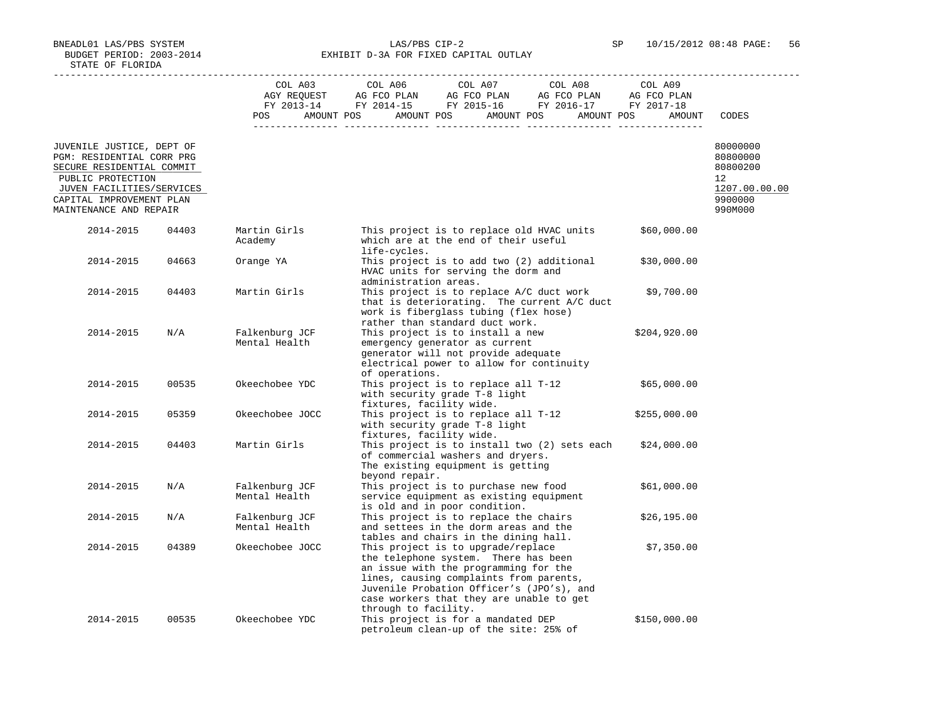BNEADL01 LAS/PBS SYSTEM LAS/PBS CIP-2 SP 10/15/2012 08:48 PAGE: 56 BUDGET PERIOD: 2003-2014 **EXHIBIT D-3A FOR FIXED CAPITAL OUTLAY** -----------------------------------------------------------------------------------------------------------------------------------

|                                                                                                                                                                                             |       | COL A03<br>POS                  | COL A06<br>AGY REQUEST AG FCO PLAN AG FCO PLAN AG FCO PLAN AG FCO PLAN FY 2013-14 FY 2014-15 FY 2015-16 FY 2016-17 FY 2017-18<br>AMOUNT POS<br>AMOUNT POS                                                                                                                       | COL A07 | COL A08<br>AMOUNT POS<br>AMOUNT POS          | COL A09<br>AG FCO PLAN<br>AMOUNT | CODES                                                                         |
|---------------------------------------------------------------------------------------------------------------------------------------------------------------------------------------------|-------|---------------------------------|---------------------------------------------------------------------------------------------------------------------------------------------------------------------------------------------------------------------------------------------------------------------------------|---------|----------------------------------------------|----------------------------------|-------------------------------------------------------------------------------|
| JUVENILE JUSTICE, DEPT OF<br>PGM: RESIDENTIAL CORR PRG<br>SECURE RESIDENTIAL COMMIT<br>PUBLIC PROTECTION<br>JUVEN FACILITIES/SERVICES<br>CAPITAL IMPROVEMENT PLAN<br>MAINTENANCE AND REPAIR |       |                                 |                                                                                                                                                                                                                                                                                 |         |                                              |                                  | 80000000<br>80800000<br>80800200<br>12<br>1207.00.00.00<br>9900000<br>990M000 |
| 2014-2015                                                                                                                                                                                   | 04403 | Martin Girls<br>Academy         | This project is to replace old HVAC units<br>which are at the end of their useful<br>life-cycles.                                                                                                                                                                               |         |                                              | \$60,000.00                      |                                                                               |
| 2014-2015                                                                                                                                                                                   | 04663 | Orange YA                       | This project is to add two (2) additional<br>HVAC units for serving the dorm and<br>administration areas.                                                                                                                                                                       |         |                                              | \$30,000.00                      |                                                                               |
| 2014-2015                                                                                                                                                                                   | 04403 | Martin Girls                    | This project is to replace A/C duct work<br>work is fiberglass tubing (flex hose)<br>rather than standard duct work.                                                                                                                                                            |         | that is deteriorating. The current A/C duct  | \$9,700.00                       |                                                                               |
| 2014-2015                                                                                                                                                                                   | N/A   | Falkenburg JCF<br>Mental Health | This project is to install a new<br>emergency generator as current<br>generator will not provide adequate<br>electrical power to allow for continuity<br>of operations.                                                                                                         |         |                                              | \$204,920.00                     |                                                                               |
| 2014-2015                                                                                                                                                                                   | 00535 | Okeechobee YDC                  | This project is to replace all T-12<br>with security grade T-8 light<br>fixtures, facility wide.                                                                                                                                                                                |         |                                              | \$65,000.00                      |                                                                               |
| 2014-2015                                                                                                                                                                                   | 05359 | Okeechobee JOCC                 | This project is to replace all T-12<br>with security grade T-8 light<br>fixtures, facility wide.                                                                                                                                                                                |         |                                              | \$255,000.00                     |                                                                               |
| 2014-2015                                                                                                                                                                                   | 04403 | Martin Girls                    | of commercial washers and dryers.<br>The existing equipment is getting<br>beyond repair.                                                                                                                                                                                        |         | This project is to install two (2) sets each | \$24,000.00                      |                                                                               |
| 2014-2015                                                                                                                                                                                   | N/A   | Falkenburg JCF<br>Mental Health | This project is to purchase new food<br>service equipment as existing equipment<br>is old and in poor condition.                                                                                                                                                                |         |                                              | \$61,000.00                      |                                                                               |
| 2014-2015                                                                                                                                                                                   | N/A   | Falkenburg JCF<br>Mental Health | This project is to replace the chairs<br>and settees in the dorm areas and the<br>tables and chairs in the dining hall.                                                                                                                                                         |         |                                              | \$26, 195.00                     |                                                                               |
| 2014-2015                                                                                                                                                                                   | 04389 | Okeechobee JOCC                 | This project is to upgrade/replace<br>the telephone system. There has been<br>an issue with the programming for the<br>lines, causing complaints from parents,<br>Juvenile Probation Officer's (JPO's), and<br>case workers that they are unable to get<br>through to facility. |         |                                              | \$7,350.00                       |                                                                               |
| 2014-2015                                                                                                                                                                                   | 00535 | Okeechobee YDC                  | This project is for a mandated DEP<br>petroleum clean-up of the site: 25% of                                                                                                                                                                                                    |         |                                              | \$150,000.00                     |                                                                               |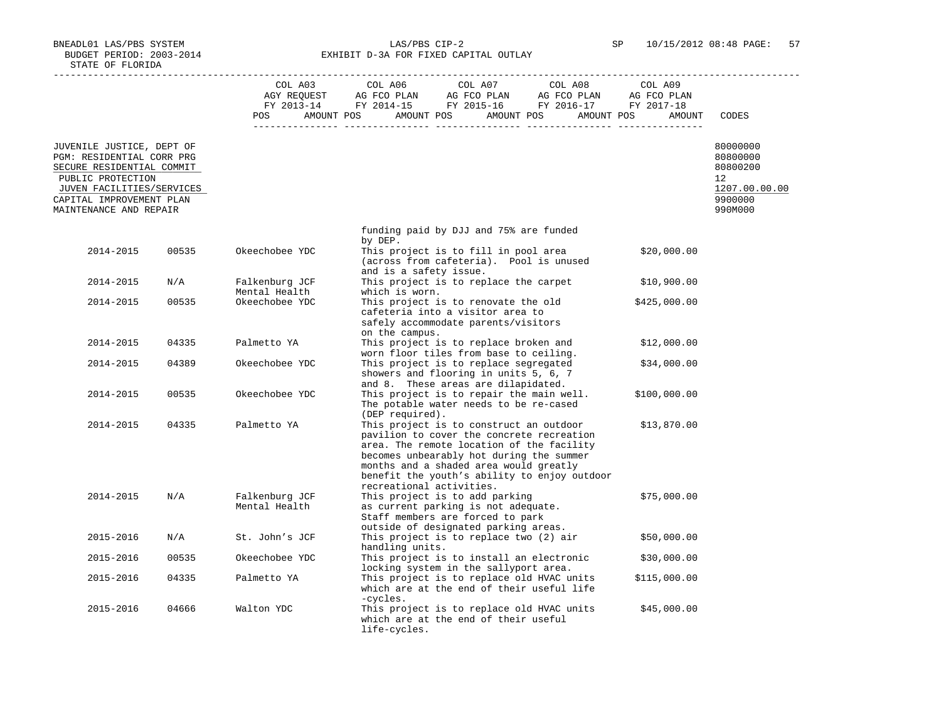BNEADL01 LAS/PBS SYSTEM LAS/PBS CIP-2 SP 10/15/2012 08:48 PAGE: 57 BUDGET PERIOD: 2003-2014 **EXHIBIT D-3A FOR FIXED CAPITAL OUTLAY** 

|                                                                                                                                                                   |       |                                 | $\begin{tabular}{lcccccc} CDL A03 & CDL A06 & CDL A07 & CDL A08 & CDL A09 \\ AGY REQUEST & AG FCO PLAN & AG FCO PLAN & AG FCO PLAN & AG FCO PLAN \\ FY & 2013-14 & FY & 2014-15 & FY & 2015-16 & FY & 2016-17 & FY & 2017-18 \\ \end{tabular}$<br>POS AMOUNT POS AMOUNT POS AMOUNT POS AMOUNT POS | AMOUNT       | CODES                                                              |
|-------------------------------------------------------------------------------------------------------------------------------------------------------------------|-------|---------------------------------|---------------------------------------------------------------------------------------------------------------------------------------------------------------------------------------------------------------------------------------------------------------------------------------------------|--------------|--------------------------------------------------------------------|
| JUVENILE JUSTICE, DEPT OF<br>PGM: RESIDENTIAL CORR PRG<br>SECURE RESIDENTIAL COMMIT<br>PUBLIC PROTECTION<br>JUVEN FACILITIES/SERVICES<br>CAPITAL IMPROVEMENT PLAN |       |                                 |                                                                                                                                                                                                                                                                                                   |              | 80000000<br>80800000<br>80800200<br>12<br>1207.00.00.00<br>9900000 |
| MAINTENANCE AND REPAIR                                                                                                                                            |       |                                 |                                                                                                                                                                                                                                                                                                   |              | 990M000                                                            |
|                                                                                                                                                                   |       |                                 | funding paid by DJJ and 75% are funded<br>by DEP.                                                                                                                                                                                                                                                 |              |                                                                    |
| 2014-2015                                                                                                                                                         | 00535 | Okeechobee YDC                  | This project is to fill in pool area<br>(across from cafeteria). Pool is unused<br>and is a safety issue.                                                                                                                                                                                         | \$20,000.00  |                                                                    |
| 2014-2015                                                                                                                                                         | N/A   | Falkenburg JCF<br>Mental Health | This project is to replace the carpet<br>which is worn.                                                                                                                                                                                                                                           | \$10,900.00  |                                                                    |
| 2014-2015                                                                                                                                                         | 00535 | Okeechobee YDC                  | This project is to renovate the old<br>cafeteria into a visitor area to<br>safely accommodate parents/visitors<br>on the campus.                                                                                                                                                                  | \$425,000.00 |                                                                    |
| 2014-2015                                                                                                                                                         | 04335 | Palmetto YA                     | This project is to replace broken and<br>worn floor tiles from base to ceiling.                                                                                                                                                                                                                   | \$12,000.00  |                                                                    |
| 2014-2015                                                                                                                                                         | 04389 | Okeechobee YDC                  | This project is to replace segregated<br>showers and flooring in units 5, 6, 7<br>and 8. These areas are dilapidated.                                                                                                                                                                             | \$34,000.00  |                                                                    |
| 2014-2015                                                                                                                                                         | 00535 | Okeechobee YDC                  | This project is to repair the main well.<br>The potable water needs to be re-cased<br>(DEP required).                                                                                                                                                                                             | \$100,000.00 |                                                                    |
| 2014-2015                                                                                                                                                         | 04335 | Palmetto YA                     | This project is to construct an outdoor<br>pavilion to cover the concrete recreation<br>area. The remote location of the facility<br>becomes unbearably hot during the summer<br>months and a shaded area would greatly<br>benefit the youth's ability to enjoy outdoor                           | \$13,870.00  |                                                                    |
| 2014-2015                                                                                                                                                         | N/A   | Falkenburg JCF<br>Mental Health | recreational activities.<br>This project is to add parking<br>as current parking is not adequate.<br>Staff members are forced to park<br>outside of designated parking areas.                                                                                                                     | \$75,000.00  |                                                                    |
| 2015-2016                                                                                                                                                         | N/A   | St. John's JCF                  | This project is to replace two (2) air<br>handling units.                                                                                                                                                                                                                                         | \$50,000.00  |                                                                    |
| 2015-2016                                                                                                                                                         | 00535 | Okeechobee YDC                  | This project is to install an electronic<br>locking system in the sallyport area.                                                                                                                                                                                                                 | \$30,000.00  |                                                                    |
| 2015-2016                                                                                                                                                         | 04335 | Palmetto YA                     | This project is to replace old HVAC units<br>which are at the end of their useful life<br>-cycles.                                                                                                                                                                                                | \$115,000.00 |                                                                    |
| 2015-2016                                                                                                                                                         | 04666 | Walton YDC                      | This project is to replace old HVAC units<br>which are at the end of their useful<br>life-cycles.                                                                                                                                                                                                 | \$45,000.00  |                                                                    |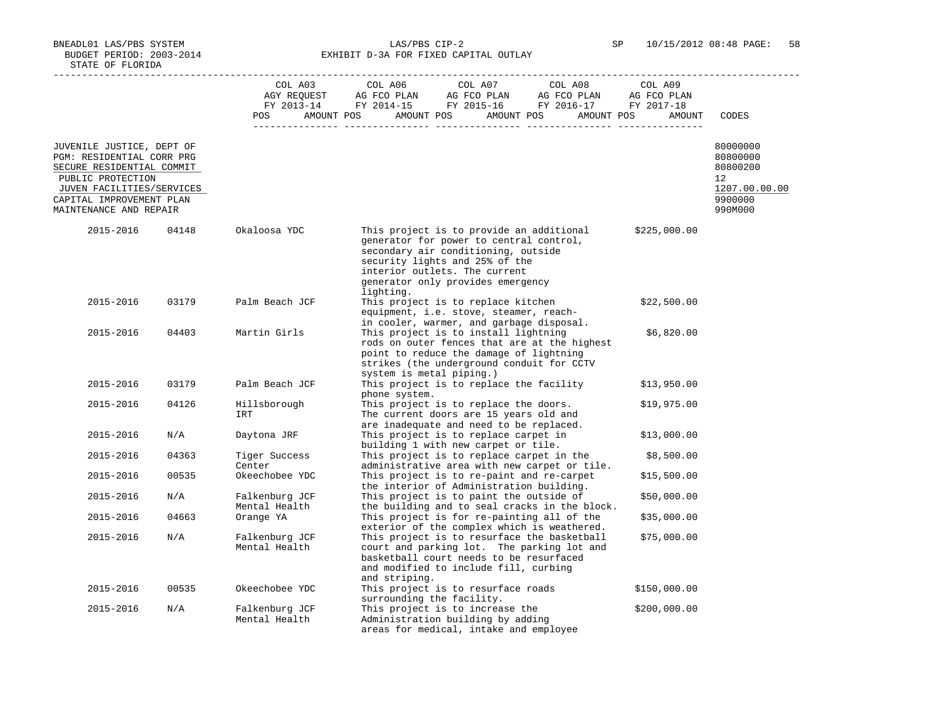BNEADL01 LAS/PBS SYSTEM LAS/PBS CIP-2 SP 10/15/2012 08:48 PAGE: 58 BUDGET PERIOD: 2003-2014 **EXHIBIT D-3A FOR FIXED CAPITAL OUTLAY** 

|                                                                                                                                                                                             |       | COL A03<br>POS<br>$- - - - - -$ | COL A06<br>COL A07<br>COL A08<br>AMOUNT POS AMOUNT POS AMOUNT POS AMOUNT POS                                                                                                                                                                    | COL A09<br>AMOUNT | CODES                                                                                   |
|---------------------------------------------------------------------------------------------------------------------------------------------------------------------------------------------|-------|---------------------------------|-------------------------------------------------------------------------------------------------------------------------------------------------------------------------------------------------------------------------------------------------|-------------------|-----------------------------------------------------------------------------------------|
| JUVENILE JUSTICE, DEPT OF<br>PGM: RESIDENTIAL CORR PRG<br>SECURE RESIDENTIAL COMMIT<br>PUBLIC PROTECTION<br>JUVEN FACILITIES/SERVICES<br>CAPITAL IMPROVEMENT PLAN<br>MAINTENANCE AND REPAIR |       |                                 |                                                                                                                                                                                                                                                 |                   | 80000000<br>80800000<br>80800200<br>$12^{\circ}$<br>1207.00.00.00<br>9900000<br>990M000 |
| 2015-2016                                                                                                                                                                                   | 04148 | Okaloosa YDC                    | This project is to provide an additional<br>generator for power to central control,<br>secondary air conditioning, outside<br>security lights and 25% of the<br>interior outlets. The current<br>generator only provides emergency<br>lighting. | \$225,000.00      |                                                                                         |
| 2015-2016                                                                                                                                                                                   | 03179 | Palm Beach JCF                  | This project is to replace kitchen<br>equipment, i.e. stove, steamer, reach-<br>in cooler, warmer, and garbage disposal.                                                                                                                        | \$22,500.00       |                                                                                         |
| 2015-2016                                                                                                                                                                                   | 04403 | Martin Girls                    | This project is to install lightning<br>rods on outer fences that are at the highest<br>point to reduce the damage of lightning<br>strikes (the underground conduit for CCTV<br>system is metal piping.)                                        | \$6,820.00        |                                                                                         |
| 2015-2016                                                                                                                                                                                   | 03179 | Palm Beach JCF                  | This project is to replace the facility<br>phone system.                                                                                                                                                                                        | \$13,950.00       |                                                                                         |
| 2015-2016                                                                                                                                                                                   | 04126 | Hillsborough<br>IRT             | This project is to replace the doors.<br>The current doors are 15 years old and<br>are inadequate and need to be replaced.                                                                                                                      | \$19,975.00       |                                                                                         |
| 2015-2016                                                                                                                                                                                   | N/A   | Daytona JRF                     | This project is to replace carpet in<br>building 1 with new carpet or tile.                                                                                                                                                                     | \$13,000.00       |                                                                                         |
| 2015-2016                                                                                                                                                                                   | 04363 | Tiger Success<br>Center         | This project is to replace carpet in the<br>administrative area with new carpet or tile.                                                                                                                                                        | \$8,500.00        |                                                                                         |
| 2015-2016                                                                                                                                                                                   | 00535 | Okeechobee YDC                  | This project is to re-paint and re-carpet<br>the interior of Administration building.                                                                                                                                                           | \$15,500.00       |                                                                                         |
| 2015-2016                                                                                                                                                                                   | N/A   | Falkenburg JCF<br>Mental Health | This project is to paint the outside of<br>the building and to seal cracks in the block.                                                                                                                                                        | \$50,000.00       |                                                                                         |
| 2015-2016                                                                                                                                                                                   | 04663 | Orange YA                       | This project is for re-painting all of the<br>exterior of the complex which is weathered.                                                                                                                                                       | \$35,000.00       |                                                                                         |
| 2015-2016                                                                                                                                                                                   | N/A   | Falkenburg JCF<br>Mental Health | This project is to resurface the basketball<br>court and parking lot. The parking lot and<br>basketball court needs to be resurfaced<br>and modified to include fill, curbing<br>and striping.                                                  | \$75,000.00       |                                                                                         |
| 2015-2016                                                                                                                                                                                   | 00535 | Okeechobee YDC                  | This project is to resurface roads<br>surrounding the facility.                                                                                                                                                                                 | \$150,000.00      |                                                                                         |
| 2015-2016                                                                                                                                                                                   | N/A   | Falkenburg JCF<br>Mental Health | This project is to increase the<br>Administration building by adding<br>areas for medical, intake and employee                                                                                                                                  | \$200,000.00      |                                                                                         |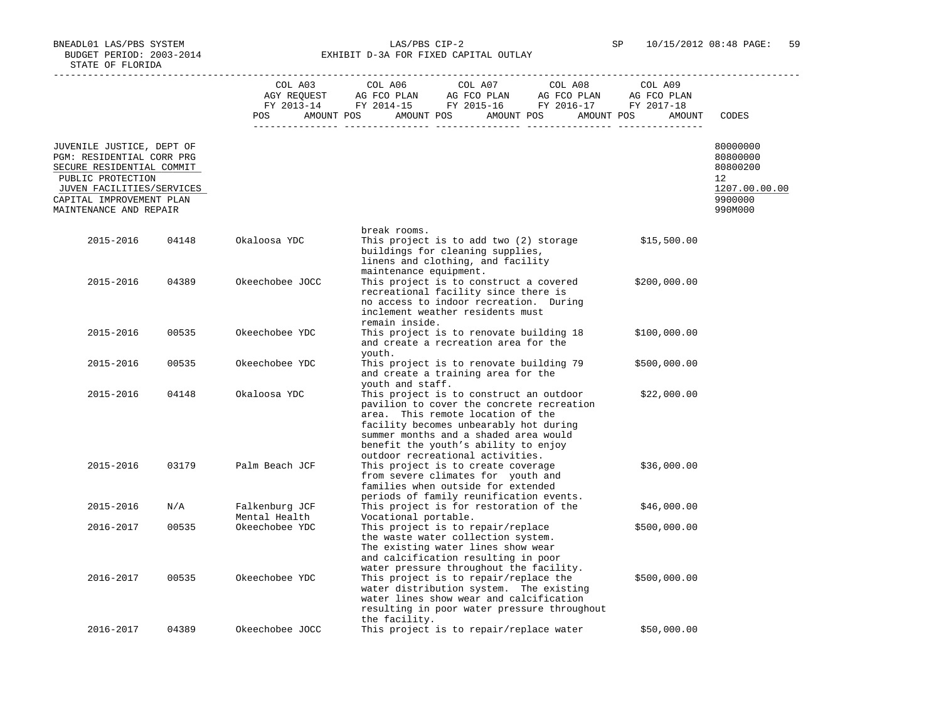BNEADL01 LAS/PBS SYSTEM LAS/PBS CIP-2 SP 10/15/2012 08:48 PAGE: 59 BUDGET PERIOD: 2003-2014 **EXHIBIT D-3A FOR FIXED CAPITAL OUTLAY** 

|                                                                                     |       |                                 | COL A06                                                                                                                                   |                      |                                  |
|-------------------------------------------------------------------------------------|-------|---------------------------------|-------------------------------------------------------------------------------------------------------------------------------------------|----------------------|----------------------------------|
|                                                                                     |       | COL A03                         | COL A07<br>COL A08                                                                                                                        | COL A09              |                                  |
|                                                                                     |       |                                 | AMOUNT POS                                                                                                                                |                      |                                  |
|                                                                                     |       | POS                             | AMOUNT POS AMOUNT POS                                                                                                                     | AMOUNT POS<br>AMOUNT | CODES                            |
| JUVENILE JUSTICE, DEPT OF<br>PGM: RESIDENTIAL CORR PRG<br>SECURE RESIDENTIAL COMMIT |       |                                 |                                                                                                                                           |                      | 80000000<br>80800000<br>80800200 |
| PUBLIC PROTECTION                                                                   |       |                                 |                                                                                                                                           |                      | 12                               |
| JUVEN FACILITIES/SERVICES                                                           |       |                                 |                                                                                                                                           |                      | 1207.00.00.00                    |
| CAPITAL IMPROVEMENT PLAN<br>MAINTENANCE AND REPAIR                                  |       |                                 |                                                                                                                                           |                      | 9900000<br>990M000               |
|                                                                                     |       |                                 | break rooms.                                                                                                                              |                      |                                  |
| 2015-2016                                                                           | 04148 | Okaloosa YDC                    | This project is to add two (2) storage<br>buildings for cleaning supplies,<br>linens and clothing, and facility<br>maintenance equipment. | \$15,500.00          |                                  |
| 2015-2016                                                                           | 04389 | Okeechobee JOCC                 | This project is to construct a covered                                                                                                    | \$200,000.00         |                                  |
|                                                                                     |       |                                 | recreational facility since there is                                                                                                      |                      |                                  |
|                                                                                     |       |                                 | no access to indoor recreation. During<br>inclement weather residents must                                                                |                      |                                  |
|                                                                                     |       |                                 | remain inside.                                                                                                                            |                      |                                  |
| 2015-2016                                                                           | 00535 | Okeechobee YDC                  | This project is to renovate building 18                                                                                                   | \$100,000.00         |                                  |
|                                                                                     |       |                                 | and create a recreation area for the<br>youth.                                                                                            |                      |                                  |
| 2015-2016                                                                           | 00535 | Okeechobee YDC                  | This project is to renovate building 79                                                                                                   | \$500,000.00         |                                  |
|                                                                                     |       |                                 | and create a training area for the                                                                                                        |                      |                                  |
| 2015-2016                                                                           | 04148 | Okaloosa YDC                    | youth and staff.<br>This project is to construct an outdoor                                                                               | \$22,000.00          |                                  |
|                                                                                     |       |                                 | pavilion to cover the concrete recreation                                                                                                 |                      |                                  |
|                                                                                     |       |                                 | area. This remote location of the                                                                                                         |                      |                                  |
|                                                                                     |       |                                 | facility becomes unbearably hot during<br>summer months and a shaded area would                                                           |                      |                                  |
|                                                                                     |       |                                 | benefit the youth's ability to enjoy                                                                                                      |                      |                                  |
|                                                                                     |       |                                 | outdoor recreational activities.                                                                                                          |                      |                                  |
| 2015-2016                                                                           | 03179 | Palm Beach JCF                  | This project is to create coverage                                                                                                        | \$36,000.00          |                                  |
|                                                                                     |       |                                 | from severe climates for youth and<br>families when outside for extended                                                                  |                      |                                  |
|                                                                                     |       |                                 | periods of family reunification events.                                                                                                   |                      |                                  |
| 2015-2016                                                                           | N/A   | Falkenburg JCF                  | This project is for restoration of the                                                                                                    | \$46,000.00          |                                  |
| 2016-2017                                                                           | 00535 | Mental Health<br>Okeechobee YDC | Vocational portable.<br>This project is to repair/replace                                                                                 | \$500,000.00         |                                  |
|                                                                                     |       |                                 | the waste water collection system.                                                                                                        |                      |                                  |
|                                                                                     |       |                                 | The existing water lines show wear                                                                                                        |                      |                                  |
|                                                                                     |       |                                 | and calcification resulting in poor                                                                                                       |                      |                                  |
| 2016-2017                                                                           | 00535 | Okeechobee YDC                  | water pressure throughout the facility.<br>This project is to repair/replace the                                                          | \$500,000.00         |                                  |
|                                                                                     |       |                                 | water distribution system. The existing                                                                                                   |                      |                                  |
|                                                                                     |       |                                 | water lines show wear and calcification                                                                                                   |                      |                                  |
|                                                                                     |       |                                 | resulting in poor water pressure throughout<br>the facility.                                                                              |                      |                                  |
| 2016-2017                                                                           | 04389 | Okeechobee JOCC                 | This project is to repair/replace water                                                                                                   | \$50,000.00          |                                  |